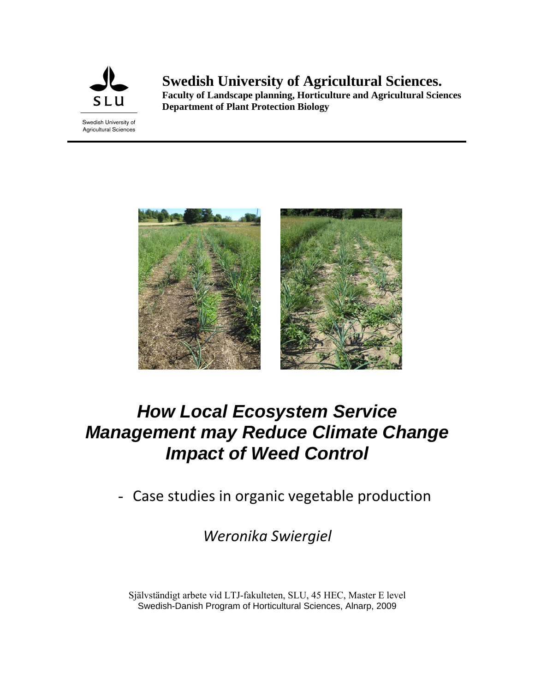

**Swedish University of Agricultural Sciences. Faculty of Landscape planning, Horticulture and Agricultural Sciences Department of Plant Protection Biology**

Swedish University of Agricultural Sciences



# *How Local Ecosystem Service Management may Reduce Climate Change Impact of Weed Control*

- Case studies in organic vegetable production

*Weronika Swiergiel*

Självständigt arbete vid LTJ-fakulteten, SLU, 45 HEC, Master E level Swedish-Danish Program of Horticultural Sciences, Alnarp, 2009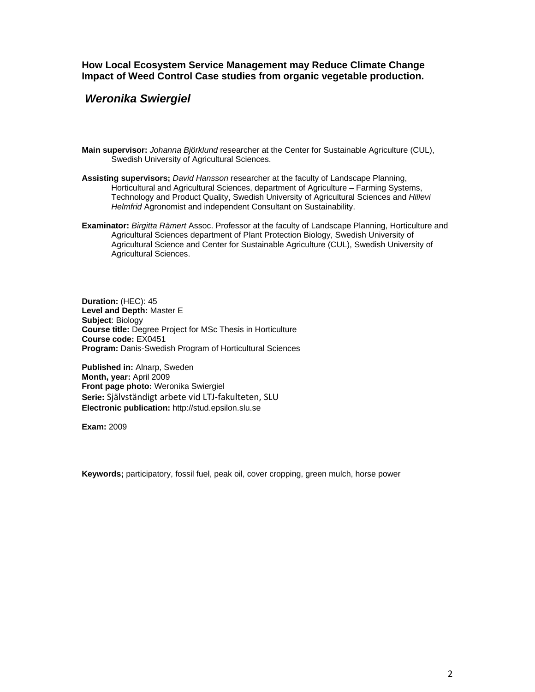**How Local Ecosystem Service Management may Reduce Climate Change Impact of Weed Control Case studies from organic vegetable production.** 

#### *Weronika Swiergiel*

- **Main supervisor:** *Johanna Björklund* researcher at the Center for Sustainable Agriculture (CUL), Swedish University of Agricultural Sciences.
- **Assisting supervisors;** *David Hansson* researcher at the faculty of Landscape Planning, Horticultural and Agricultural Sciences, department of Agriculture – Farming Systems, Technology and Product Quality, Swedish University of Agricultural Sciences and *Hillevi Helmfrid* Agronomist and independent Consultant on Sustainability.
- **Examinator:** *Birgitta Rämert* Assoc. Professor at the faculty of Landscape Planning, Horticulture and Agricultural Sciences department of Plant Protection Biology, Swedish University of Agricultural Science and Center for Sustainable Agriculture (CUL), Swedish University of Agricultural Sciences.

**Duration:** (HEC): 45 **Level and Depth:** Master E **Subject**: Biology **Course title:** Degree Project for MSc Thesis in Horticulture **Course code:** EX0451 **Program:** Danis-Swedish Program of Horticultural Sciences

**Published in:** Alnarp, Sweden **Month, year:** April 2009 **Front page photo:** Weronika Swiergiel **Serie:** Självständigt arbete vid LTJ‐fakulteten, SLU **Electronic publication:** http://stud.epsilon.slu.se

**Exam:** 2009

**Keywords;** participatory, fossil fuel, peak oil, cover cropping, green mulch, horse power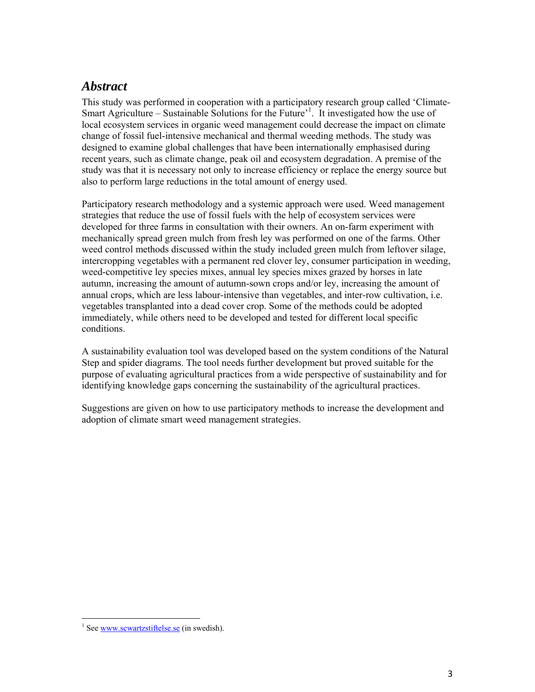# *Abstract*

This study was performed in cooperation with a participatory research group called 'Climate-Smart Agriculture – Sustainable Solutions for the Future<sup> $1$ </sup>. It investigated how the use of local ecosystem services in organic weed management could decrease the impact on climate change of fossil fuel-intensive mechanical and thermal weeding methods. The study was designed to examine global challenges that have been internationally emphasised during recent years, such as climate change, peak oil and ecosystem degradation. A premise of the study was that it is necessary not only to increase efficiency or replace the energy source but also to perform large reductions in the total amount of energy used.

Participatory research methodology and a systemic approach were used. Weed management strategies that reduce the use of fossil fuels with the help of ecosystem services were developed for three farms in consultation with their owners. An on-farm experiment with mechanically spread green mulch from fresh ley was performed on one of the farms. Other weed control methods discussed within the study included green mulch from leftover silage, intercropping vegetables with a permanent red clover ley, consumer participation in weeding, weed-competitive ley species mixes, annual ley species mixes grazed by horses in late autumn, increasing the amount of autumn-sown crops and/or ley, increasing the amount of annual crops, which are less labour-intensive than vegetables, and inter-row cultivation, i.e. vegetables transplanted into a dead cover crop. Some of the methods could be adopted immediately, while others need to be developed and tested for different local specific conditions.

A sustainability evaluation tool was developed based on the system conditions of the Natural Step and spider diagrams. The tool needs further development but proved suitable for the purpose of evaluating agricultural practices from a wide perspective of sustainability and for identifying knowledge gaps concerning the sustainability of the agricultural practices.

Suggestions are given on how to use participatory methods to increase the development and adoption of climate smart weed management strategies.

<sup>&</sup>lt;sup>1</sup> See www.scwartzstiftelse.se (in swedish).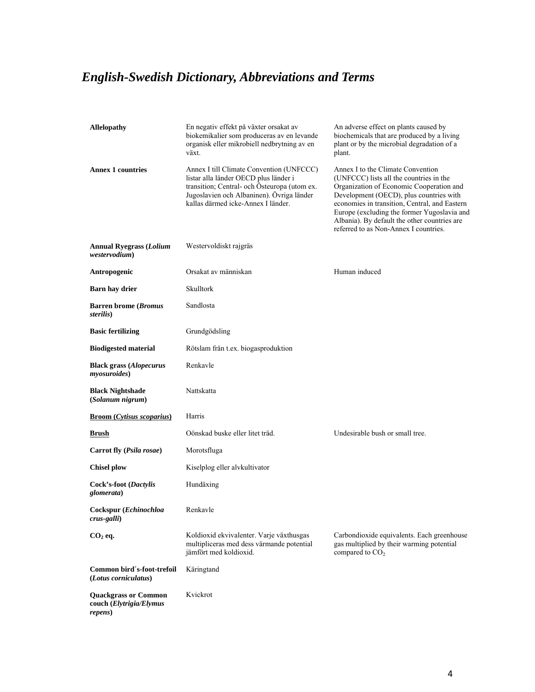# *English-Swedish Dictionary, Abbreviations and Terms*

| <b>Allelopathy</b>                                                | En negativ effekt på växter orsakat av<br>biokemikalier som produceras av en levande<br>organisk eller mikrobiell nedbrytning av en<br>växt.                                                                         | An adverse effect on plants caused by<br>biochemicals that are produced by a living<br>plant or by the microbial degradation of a<br>plant.                                                                                                                                                                                                                  |  |  |  |
|-------------------------------------------------------------------|----------------------------------------------------------------------------------------------------------------------------------------------------------------------------------------------------------------------|--------------------------------------------------------------------------------------------------------------------------------------------------------------------------------------------------------------------------------------------------------------------------------------------------------------------------------------------------------------|--|--|--|
| <b>Annex 1 countries</b>                                          | Annex I till Climate Convention (UNFCCC)<br>listar alla länder OECD plus länder i<br>transition; Central- och Östeuropa (utom ex.<br>Jugoslavien och Albaninen). Övriga länder<br>kallas därmed icke-Annex I länder. | Annex I to the Climate Convention<br>(UNFCCC) lists all the countries in the<br>Organization of Economic Cooperation and<br>Development (OECD), plus countries with<br>economies in transition, Central, and Eastern<br>Europe (excluding the former Yugoslavia and<br>Albania). By default the other countries are<br>referred to as Non-Annex I countries. |  |  |  |
| <b>Annual Ryegrass (Lolium</b><br>westervodium)                   | Westervoldiskt rajgräs                                                                                                                                                                                               |                                                                                                                                                                                                                                                                                                                                                              |  |  |  |
| Antropogenic                                                      | Orsakat av människan<br>Human induced                                                                                                                                                                                |                                                                                                                                                                                                                                                                                                                                                              |  |  |  |
| Barn hay drier                                                    | Skulltork                                                                                                                                                                                                            |                                                                                                                                                                                                                                                                                                                                                              |  |  |  |
| <b>Barren brome (Bromus</b><br>sterilis)                          | Sandlosta                                                                                                                                                                                                            |                                                                                                                                                                                                                                                                                                                                                              |  |  |  |
| <b>Basic fertilizing</b>                                          | Grundgödsling                                                                                                                                                                                                        |                                                                                                                                                                                                                                                                                                                                                              |  |  |  |
| <b>Biodigested material</b>                                       | Rötslam från t.ex. biogasproduktion                                                                                                                                                                                  |                                                                                                                                                                                                                                                                                                                                                              |  |  |  |
| <b>Black grass (Alopecurus</b><br><i>myosuroides</i> )            | Renkavle                                                                                                                                                                                                             |                                                                                                                                                                                                                                                                                                                                                              |  |  |  |
| <b>Black Nightshade</b><br>(Solanum nigrum)                       | Nattskatta                                                                                                                                                                                                           |                                                                                                                                                                                                                                                                                                                                                              |  |  |  |
| <b>Broom</b> ( <i>Cytisus scoparius</i> )                         | Harris                                                                                                                                                                                                               |                                                                                                                                                                                                                                                                                                                                                              |  |  |  |
| Oönskad buske eller litet träd.<br>Brush                          |                                                                                                                                                                                                                      | Undesirable bush or small tree.                                                                                                                                                                                                                                                                                                                              |  |  |  |
| Carrot fly ( <i>Psila rosae</i> )                                 | Morotsfluga                                                                                                                                                                                                          |                                                                                                                                                                                                                                                                                                                                                              |  |  |  |
| <b>Chisel plow</b>                                                | Kiselplog eller alvkultivator                                                                                                                                                                                        |                                                                                                                                                                                                                                                                                                                                                              |  |  |  |
| Cock's-foot (Dactylis<br>glomerata)                               | Hundäxing                                                                                                                                                                                                            |                                                                                                                                                                                                                                                                                                                                                              |  |  |  |
| Cockspur (Echinochloa<br>crus-galli)                              | Renkavle                                                                                                                                                                                                             |                                                                                                                                                                                                                                                                                                                                                              |  |  |  |
| $CO2$ eq.                                                         | Koldioxid ekvivalenter. Varje växthusgas<br>multipliceras med dess värmande potential<br>jämfört med koldioxid.                                                                                                      | Carbondioxide equivalents. Each greenhouse<br>gas multiplied by their warming potential<br>compared to CO <sub>2</sub>                                                                                                                                                                                                                                       |  |  |  |
| Common bird's-foot-trefoil<br>(Lotus corniculatus)                | Käringtand                                                                                                                                                                                                           |                                                                                                                                                                                                                                                                                                                                                              |  |  |  |
| <b>Quackgrass or Common</b><br>couch (Elytrigia/Elymus<br>repens) | Kvickrot                                                                                                                                                                                                             |                                                                                                                                                                                                                                                                                                                                                              |  |  |  |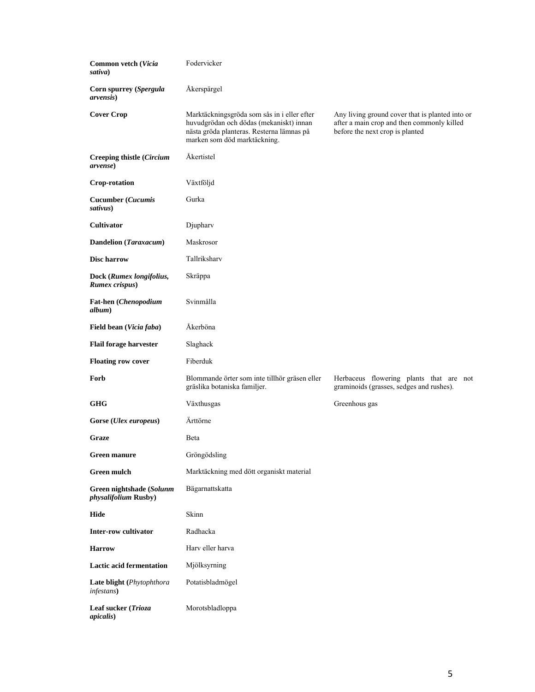| Common vetch (Vicia<br>sativa)                   | Fodervicker                                                                                                                                                         |                                                                                                                                  |  |  |
|--------------------------------------------------|---------------------------------------------------------------------------------------------------------------------------------------------------------------------|----------------------------------------------------------------------------------------------------------------------------------|--|--|
| Corn spurrey (Spergula<br>arvensis)              | Åkerspärgel                                                                                                                                                         |                                                                                                                                  |  |  |
| <b>Cover Crop</b>                                | Marktäckningsgröda som sås in i eller efter<br>huvudgrödan och dödas (mekaniskt) innan<br>nästa gröda planteras. Resterna lämnas på<br>marken som död marktäckning. | Any living ground cover that is planted into or<br>after a main crop and then commonly killed<br>before the next crop is planted |  |  |
| Creeping thistle (Circium<br><i>arvense</i> )    | Åkertistel                                                                                                                                                          |                                                                                                                                  |  |  |
| <b>Crop-rotation</b>                             | Växtföljd                                                                                                                                                           |                                                                                                                                  |  |  |
| Cucumber (Cucumis<br>sativus)                    | Gurka                                                                                                                                                               |                                                                                                                                  |  |  |
| <b>Cultivator</b>                                | Djupharv                                                                                                                                                            |                                                                                                                                  |  |  |
| Dandelion (Taraxacum)                            | Maskrosor                                                                                                                                                           |                                                                                                                                  |  |  |
| <b>Disc harrow</b>                               | Tallriksharv                                                                                                                                                        |                                                                                                                                  |  |  |
| Dock (Rumex longifolius,<br>Rumex crispus)       | Skräppa                                                                                                                                                             |                                                                                                                                  |  |  |
| Fat-hen (Chenopodium<br><i>album</i> )           | Svinmålla                                                                                                                                                           |                                                                                                                                  |  |  |
| Field bean (Vicia faba)                          | Åkerböna                                                                                                                                                            |                                                                                                                                  |  |  |
| <b>Flail forage harvester</b>                    | Slaghack                                                                                                                                                            |                                                                                                                                  |  |  |
| <b>Floating row cover</b>                        | Fiberduk                                                                                                                                                            |                                                                                                                                  |  |  |
| Forb                                             | Blommande örter som inte tillhör gräsen eller<br>gräslika botaniska familjer.                                                                                       | Herbaceus flowering plants that are not<br>graminoids (grasses, sedges and rushes).                                              |  |  |
| <b>GHG</b>                                       | Växthusgas                                                                                                                                                          | Greenhous gas                                                                                                                    |  |  |
| Gorse (Ulex europeus)                            | Ärttörne                                                                                                                                                            |                                                                                                                                  |  |  |
| Graze                                            | Beta                                                                                                                                                                |                                                                                                                                  |  |  |
| Green manure                                     | Gröngödsling                                                                                                                                                        |                                                                                                                                  |  |  |
| <b>Green mulch</b>                               | Marktäckning med dött organiskt material                                                                                                                            |                                                                                                                                  |  |  |
| Green nightshade (Solunm<br>physalifolium Rusby) | Bägarnattskatta                                                                                                                                                     |                                                                                                                                  |  |  |
| Hide                                             | Skinn                                                                                                                                                               |                                                                                                                                  |  |  |
| <b>Inter-row cultivator</b>                      | Radhacka                                                                                                                                                            |                                                                                                                                  |  |  |
| <b>Harrow</b>                                    | Harv eller harva                                                                                                                                                    |                                                                                                                                  |  |  |
| <b>Lactic acid fermentation</b>                  | Mjölksyrning                                                                                                                                                        |                                                                                                                                  |  |  |
| Late blight (Phytophthora<br><i>infestans</i> )  | Potatisbladmögel                                                                                                                                                    |                                                                                                                                  |  |  |
| Leaf sucker (Trioza<br><i>apicalis</i> )         | Morotsbladloppa                                                                                                                                                     |                                                                                                                                  |  |  |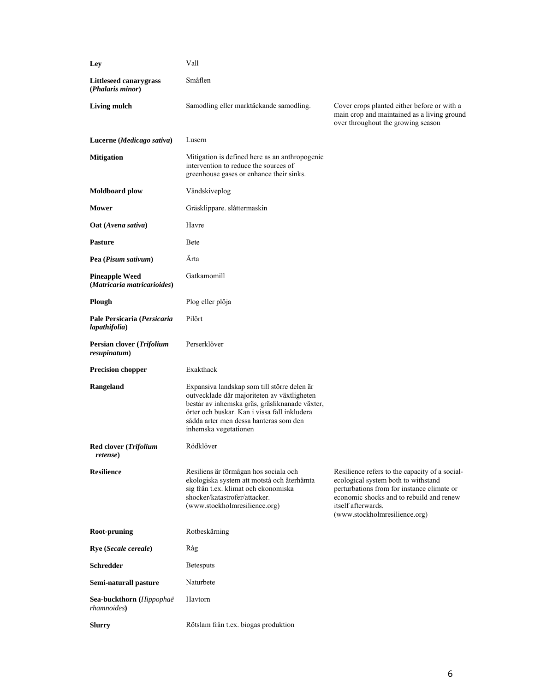| Ley                                                  | Vall                                                                                                                                                                                                                                                                                                                                                                                                                                    |                                                                                                                                  |  |
|------------------------------------------------------|-----------------------------------------------------------------------------------------------------------------------------------------------------------------------------------------------------------------------------------------------------------------------------------------------------------------------------------------------------------------------------------------------------------------------------------------|----------------------------------------------------------------------------------------------------------------------------------|--|
| <b>Littleseed canarygrass</b><br>(Phalaris minor)    | Småflen                                                                                                                                                                                                                                                                                                                                                                                                                                 |                                                                                                                                  |  |
| Living mulch                                         | Samodling eller marktäckande samodling.                                                                                                                                                                                                                                                                                                                                                                                                 | Cover crops planted either before or with a<br>main crop and maintained as a living ground<br>over throughout the growing season |  |
| Lucerne (Medicago sativa)                            | Lusern                                                                                                                                                                                                                                                                                                                                                                                                                                  |                                                                                                                                  |  |
| <b>Mitigation</b>                                    | Mitigation is defined here as an anthropogenic<br>intervention to reduce the sources of<br>greenhouse gases or enhance their sinks.                                                                                                                                                                                                                                                                                                     |                                                                                                                                  |  |
| <b>Moldboard plow</b>                                | Vändskiveplog                                                                                                                                                                                                                                                                                                                                                                                                                           |                                                                                                                                  |  |
| Mower                                                | Gräsklippare. slåttermaskin                                                                                                                                                                                                                                                                                                                                                                                                             |                                                                                                                                  |  |
| Oat (Avena sativa)                                   | Havre                                                                                                                                                                                                                                                                                                                                                                                                                                   |                                                                                                                                  |  |
| <b>Pasture</b>                                       | <b>Bete</b>                                                                                                                                                                                                                                                                                                                                                                                                                             |                                                                                                                                  |  |
| Pea (Pisum sativum)                                  | Ärta                                                                                                                                                                                                                                                                                                                                                                                                                                    |                                                                                                                                  |  |
| <b>Pineapple Weed</b><br>(Matricaria matricarioides) | Gatkamomill                                                                                                                                                                                                                                                                                                                                                                                                                             |                                                                                                                                  |  |
| Plough                                               | Plog eller plöja                                                                                                                                                                                                                                                                                                                                                                                                                        |                                                                                                                                  |  |
| Pale Persicaria (Persicaria<br>lapathifolia)         | Pilört                                                                                                                                                                                                                                                                                                                                                                                                                                  |                                                                                                                                  |  |
| Persian clover (Trifolium<br>resupinatum)            | Perserklöver                                                                                                                                                                                                                                                                                                                                                                                                                            |                                                                                                                                  |  |
| <b>Precision chopper</b>                             | Exakthack                                                                                                                                                                                                                                                                                                                                                                                                                               |                                                                                                                                  |  |
| Rangeland                                            | Expansiva landskap som till större delen är<br>outvecklade där majoriteten av växtligheten<br>består av inhemska gräs, gräsliknanade växter,<br>örter och buskar. Kan i vissa fall inkludera<br>sådda arter men dessa hanteras som den<br>inhemska vegetationen                                                                                                                                                                         |                                                                                                                                  |  |
| <b>Red clover (Trifolium</b><br>retense)             | Rödklöver                                                                                                                                                                                                                                                                                                                                                                                                                               |                                                                                                                                  |  |
| <b>Resilience</b>                                    | Resiliens är förmågan hos sociala och<br>Resilience refers to the capacity of a social-<br>ekologiska system att motstå och återhämta<br>ecological system both to withstand<br>sig från t.ex. klimat och ekonomiska<br>perturbations from for instance climate or<br>shocker/katastrofer/attacker.<br>economic shocks and to rebuild and renew<br>(www.stockholmresilience.org)<br>itself afterwards.<br>(www.stockholmresilience.org) |                                                                                                                                  |  |
| Root-pruning                                         | Rotbeskärning                                                                                                                                                                                                                                                                                                                                                                                                                           |                                                                                                                                  |  |
| Rye (Secale cereale)                                 | Råg                                                                                                                                                                                                                                                                                                                                                                                                                                     |                                                                                                                                  |  |
| <b>Schredder</b>                                     | <b>Betesputs</b>                                                                                                                                                                                                                                                                                                                                                                                                                        |                                                                                                                                  |  |
| Semi-naturall pasture                                | Naturbete                                                                                                                                                                                                                                                                                                                                                                                                                               |                                                                                                                                  |  |
| Sea-buckthorn (Hippophaë<br><i>rhamnoides</i> )      | Havtorn                                                                                                                                                                                                                                                                                                                                                                                                                                 |                                                                                                                                  |  |
| <b>Slurry</b>                                        | Rötslam från t.ex. biogas produktion                                                                                                                                                                                                                                                                                                                                                                                                    |                                                                                                                                  |  |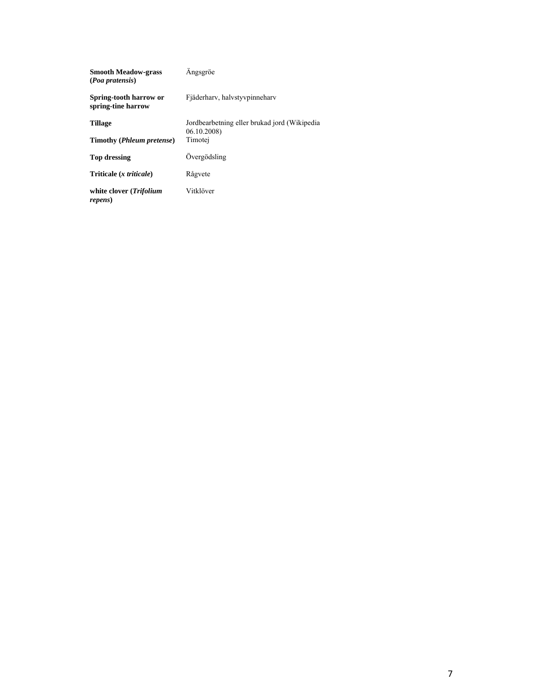| <b>Smooth Meadow-grass</b><br><i>(Poa pratensis)</i> | Angsgröe                                                    |
|------------------------------------------------------|-------------------------------------------------------------|
| Spring-tooth harrow or<br>spring-tine harrow         | Fjäderharv, halvstyvpinneharv                               |
| <b>Tillage</b>                                       | Jordbearbetning eller brukad jord (Wikipedia<br>06.10.2008) |
| <b>Timothy (Phleum pretense)</b>                     | Timotei                                                     |
| <b>Top dressing</b>                                  | Overgödsling                                                |
| Triticale (x triticale)                              | Rågvete                                                     |
| white clover (Trifolium<br>repens)                   | Vitklöver                                                   |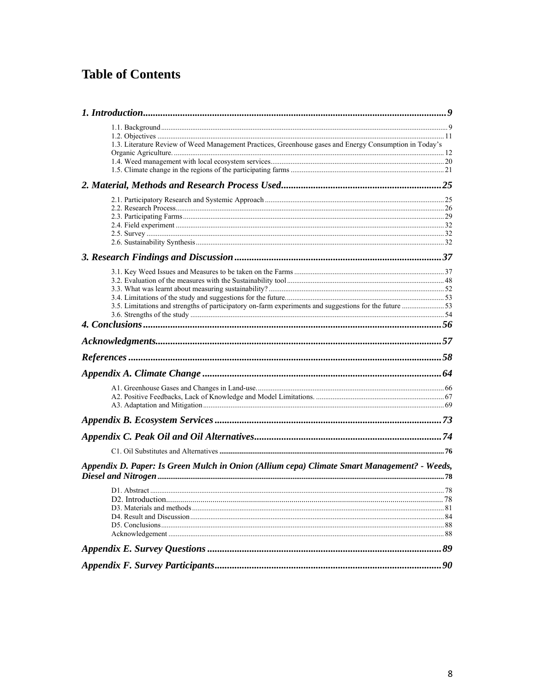# **Table of Contents**

| 1.3. Literature Review of Weed Management Practices, Greenhouse gases and Energy Consumption in Today's |      |
|---------------------------------------------------------------------------------------------------------|------|
|                                                                                                         |      |
|                                                                                                         |      |
|                                                                                                         |      |
|                                                                                                         |      |
|                                                                                                         |      |
|                                                                                                         |      |
|                                                                                                         |      |
|                                                                                                         |      |
|                                                                                                         |      |
|                                                                                                         |      |
|                                                                                                         |      |
|                                                                                                         |      |
|                                                                                                         |      |
|                                                                                                         |      |
| 3.5. Limitations and strengths of participatory on-farm experiments and suggestions for the future 53   |      |
|                                                                                                         |      |
|                                                                                                         |      |
|                                                                                                         |      |
|                                                                                                         |      |
|                                                                                                         |      |
|                                                                                                         |      |
|                                                                                                         |      |
|                                                                                                         |      |
|                                                                                                         |      |
|                                                                                                         |      |
|                                                                                                         |      |
| Appendix D. Paper: Is Green Mulch in Onion (Allium cepa) Climate Smart Management? - Weeds,             |      |
|                                                                                                         |      |
|                                                                                                         | . 78 |
|                                                                                                         |      |
|                                                                                                         |      |
|                                                                                                         |      |
|                                                                                                         |      |
|                                                                                                         |      |
|                                                                                                         | .90  |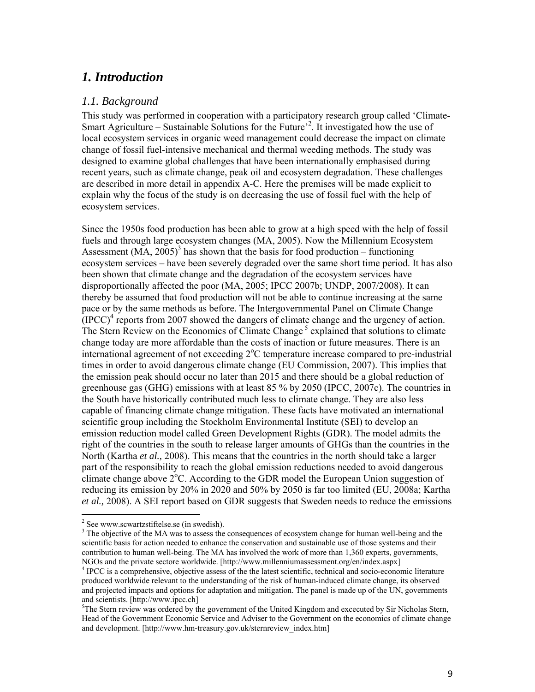## *1. Introduction*

#### *1.1. Background*

This study was performed in cooperation with a participatory research group called 'Climate-Smart Agriculture – Sustainable Solutions for the Future<sup>2</sup>. It investigated how the use of local ecosystem services in organic weed management could decrease the impact on climate change of fossil fuel-intensive mechanical and thermal weeding methods. The study was designed to examine global challenges that have been internationally emphasised during recent years, such as climate change, peak oil and ecosystem degradation. These challenges are described in more detail in appendix A-C. Here the premises will be made explicit to explain why the focus of the study is on decreasing the use of fossil fuel with the help of ecosystem services.

Since the 1950s food production has been able to grow at a high speed with the help of fossil fuels and through large ecosystem changes (MA, 2005). Now the Millennium Ecosystem Assessment  $(MA, 2005)^3$  has shown that the basis for food production – functioning ecosystem services – have been severely degraded over the same short time period. It has also been shown that climate change and the degradation of the ecosystem services have disproportionally affected the poor (MA, 2005; IPCC 2007b; UNDP, 2007/2008). It can thereby be assumed that food production will not be able to continue increasing at the same pace or by the same methods as before. The Intergovernmental Panel on Climate Change  $(IPCC)^4$  reports from 2007 showed the dangers of climate change and the urgency of action. The Stern Review on the Economics of Climate Change<sup>5</sup> explained that solutions to climate change today are more affordable than the costs of inaction or future measures. There is an international agreement of not exceeding  $2^{\circ}$ C temperature increase compared to pre-industrial times in order to avoid dangerous climate change (EU Commission, 2007). This implies that the emission peak should occur no later than 2015 and there should be a global reduction of greenhouse gas (GHG) emissions with at least 85 % by 2050 (IPCC, 2007c). The countries in the South have historically contributed much less to climate change. They are also less capable of financing climate change mitigation. These facts have motivated an international scientific group including the Stockholm Environmental Institute (SEI) to develop an emission reduction model called Green Development Rights (GDR). The model admits the right of the countries in the south to release larger amounts of GHGs than the countries in the North (Kartha *et al.,* 2008). This means that the countries in the north should take a larger part of the responsibility to reach the global emission reductions needed to avoid dangerous climate change above  $2^{o}$ C. According to the GDR model the European Union suggestion of reducing its emission by 20% in 2020 and 50% by 2050 is far too limited (EU, 2008a; Kartha *et al.,* 2008). A SEI report based on GDR suggests that Sweden needs to reduce the emissions

<sup>&</sup>lt;sup>2</sup> See <u>www.scwartzstiftelse.se</u> (in swedish).<br><sup>3</sup> The objective of the MA was to assess the

<sup>&</sup>lt;sup>3</sup> The objective of the MA was to assess the consequences of ecosystem change for human well-being and the scientific basis for action needed to enhance the conservation and sustainable use of those systems and their contribution to human well-being. The MA has involved the work of more than 1,360 experts, governments, NGOs and the private sectore worldwide. [http://www.millenniumassessment.org/en/index.aspx] 4

<sup>&</sup>lt;sup>4</sup> IPCC is a comprehensive, objective assess of the the latest scientific, technical and socio-economic literature produced worldwide relevant to the understanding of the risk of human-induced climate change, its observed and projected impacts and options for adaptation and mitigation. The panel is made up of the UN, governments and scientists. [http://www.ipcc.ch]

<sup>&</sup>lt;sup>5</sup>The Stern review was ordered by the government of the United Kingdom and excecuted by Sir Nicholas Stern, Head of the Government Economic Service and Adviser to the Government on the economics of climate change and development. [http://www.hm-treasury.gov.uk/sternreview\_index.htm]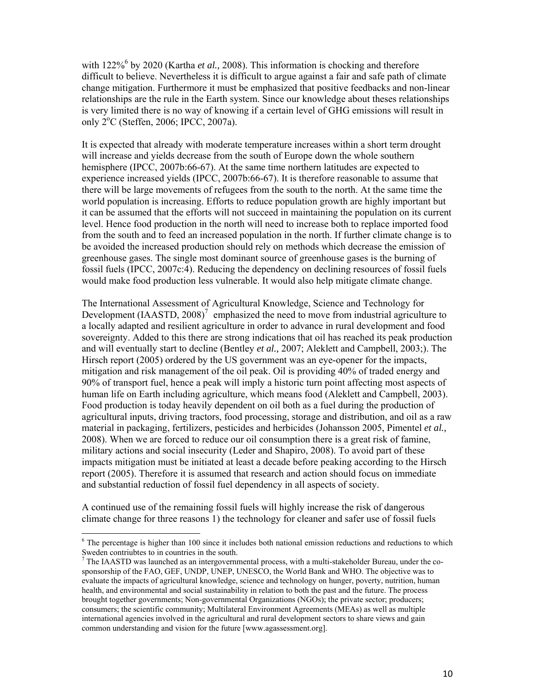with 122%<sup>6</sup> by 2020 (Kartha *et al.*, 2008). This information is chocking and therefore difficult to believe. Nevertheless it is difficult to argue against a fair and safe path of climate change mitigation. Furthermore it must be emphasized that positive feedbacks and non-linear relationships are the rule in the Earth system. Since our knowledge about theses relationships is very limited there is no way of knowing if a certain level of GHG emissions will result in only  $2^{\circ}$ C (Steffen, 2006; IPCC, 2007a).

It is expected that already with moderate temperature increases within a short term drought will increase and yields decrease from the south of Europe down the whole southern hemisphere (IPCC, 2007b:66-67). At the same time northern latitudes are expected to experience increased yields (IPCC, 2007b:66-67). It is therefore reasonable to assume that there will be large movements of refugees from the south to the north. At the same time the world population is increasing. Efforts to reduce population growth are highly important but it can be assumed that the efforts will not succeed in maintaining the population on its current level. Hence food production in the north will need to increase both to replace imported food from the south and to feed an increased population in the north. If further climate change is to be avoided the increased production should rely on methods which decrease the emission of greenhouse gases. The single most dominant source of greenhouse gases is the burning of fossil fuels (IPCC, 2007c:4). Reducing the dependency on declining resources of fossil fuels would make food production less vulnerable. It would also help mitigate climate change.

The International Assessment of Agricultural Knowledge, Science and Technology for Development (IAASTD, 2008)<sup>7</sup> emphasized the need to move from industrial agriculture to a locally adapted and resilient agriculture in order to advance in rural development and food sovereignty. Added to this there are strong indications that oil has reached its peak production and will eventually start to decline (Bentley *et al.,* 2007; Aleklett and Campbell, 2003;). The Hirsch report (2005) ordered by the US government was an eye-opener for the impacts, mitigation and risk management of the oil peak. Oil is providing 40% of traded energy and 90% of transport fuel, hence a peak will imply a historic turn point affecting most aspects of human life on Earth including agriculture, which means food (Aleklett and Campbell, 2003). Food production is today heavily dependent on oil both as a fuel during the production of agricultural inputs, driving tractors, food processing, storage and distribution, and oil as a raw material in packaging, fertilizers, pesticides and herbicides (Johansson 2005, Pimentel *et al.,* 2008). When we are forced to reduce our oil consumption there is a great risk of famine, military actions and social insecurity (Leder and Shapiro, 2008). To avoid part of these impacts mitigation must be initiated at least a decade before peaking according to the Hirsch report (2005). Therefore it is assumed that research and action should focus on immediate and substantial reduction of fossil fuel dependency in all aspects of society.

A continued use of the remaining fossil fuels will highly increase the risk of dangerous climate change for three reasons 1) the technology for cleaner and safer use of fossil fuels

 $6$  The percentage is higher than 100 since it includes both national emission reductions and reductions to which Sweden contriubtes to in countries in the south.

 $<sup>7</sup>$  The IAASTD was launched as an intergovernmental process, with a multi-stakeholder Bureau, under the co-</sup> sponsorship of the FAO, GEF, UNDP, UNEP, UNESCO, the World Bank and WHO. The objective was to evaluate the impacts of agricultural knowledge, science and technology on hunger, poverty, nutrition, human health, and environmental and social sustainability in relation to both the past and the future. The process brought together governments; Non-governmental Organizations (NGOs); the private sector; producers; consumers; the scientific community; Multilateral Environment Agreements (MEAs) as well as multiple international agencies involved in the agricultural and rural development sectors to share views and gain common understanding and vision for the future [www.agassessment.org].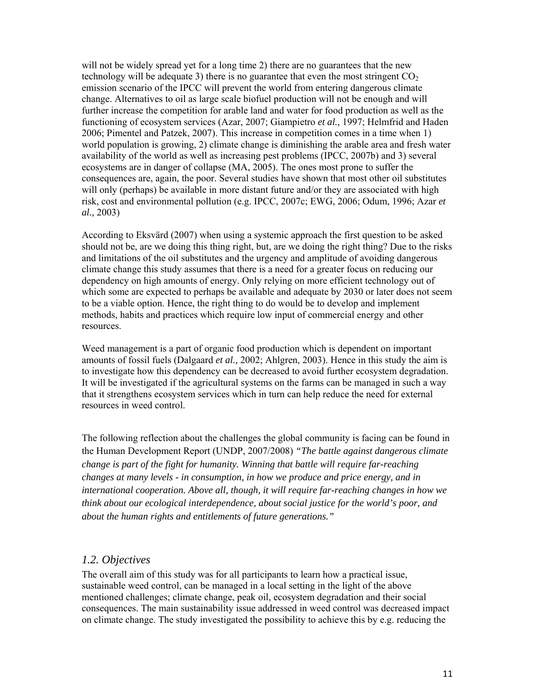will not be widely spread yet for a long time 2) there are no guarantees that the new technology will be adequate 3) there is no guarantee that even the most stringent  $CO<sub>2</sub>$ emission scenario of the IPCC will prevent the world from entering dangerous climate change. Alternatives to oil as large scale biofuel production will not be enough and will further increase the competition for arable land and water for food production as well as the functioning of ecosystem services (Azar, 2007; Giampietro *et al.*, 1997; Helmfrid and Haden 2006; Pimentel and Patzek, 2007). This increase in competition comes in a time when 1) world population is growing, 2) climate change is diminishing the arable area and fresh water availability of the world as well as increasing pest problems (IPCC, 2007b) and 3) several ecosystems are in danger of collapse (MA, 2005). The ones most prone to suffer the consequences are, again, the poor. Several studies have shown that most other oil substitutes will only (perhaps) be available in more distant future and/or they are associated with high risk, cost and environmental pollution (e.g. IPCC, 2007c; EWG, 2006; Odum, 1996; Azar *et al.,* 2003)

According to Eksvärd (2007) when using a systemic approach the first question to be asked should not be, are we doing this thing right, but, are we doing the right thing? Due to the risks and limitations of the oil substitutes and the urgency and amplitude of avoiding dangerous climate change this study assumes that there is a need for a greater focus on reducing our dependency on high amounts of energy. Only relying on more efficient technology out of which some are expected to perhaps be available and adequate by 2030 or later does not seem to be a viable option. Hence, the right thing to do would be to develop and implement methods, habits and practices which require low input of commercial energy and other resources.

Weed management is a part of organic food production which is dependent on important amounts of fossil fuels (Dalgaard *et al.,* 2002; Ahlgren, 2003). Hence in this study the aim is to investigate how this dependency can be decreased to avoid further ecosystem degradation. It will be investigated if the agricultural systems on the farms can be managed in such a way that it strengthens ecosystem services which in turn can help reduce the need for external resources in weed control.

The following reflection about the challenges the global community is facing can be found in the Human Development Report (UNDP, 2007/2008) *"The battle against dangerous climate change is part of the fight for humanity. Winning that battle will require far-reaching changes at many levels - in consumption, in how we produce and price energy, and in international cooperation. Above all, though, it will require far-reaching changes in how we think about our ecological interdependence, about social justice for the world's poor, and about the human rights and entitlements of future generations."*

## *1.2. Objectives*

The overall aim of this study was for all participants to learn how a practical issue, sustainable weed control, can be managed in a local setting in the light of the above mentioned challenges; climate change, peak oil, ecosystem degradation and their social consequences. The main sustainability issue addressed in weed control was decreased impact on climate change. The study investigated the possibility to achieve this by e.g. reducing the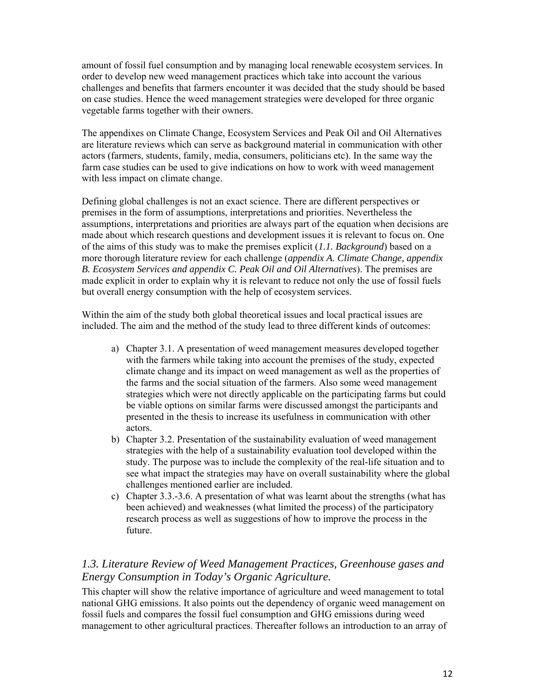amount of fossil fuel consumption and by managing local renewable ecosystem services. In order to develop new weed management practices which take into account the various challenges and benefits that farmers encounter it was decided that the study should be based on case studies. Hence the weed management strategies were developed for three organic vegetable farms together with their owners.

The appendixes on Climate Change, Ecosystem Services and Peak Oil and Oil Alternatives are literature reviews which can serve as background material in communication with other actors (farmers, students, family, media, consumers, politicians etc). In the same way the farm case studies can be used to give indications on how to work with weed management with less impact on climate change.

Defining global challenges is not an exact science. There are different perspectives or premises in the form of assumptions, interpretations and priorities. Nevertheless the assumptions, interpretations and priorities are always part of the equation when decisions are made about which research questions and development issues it is relevant to focus on. One of the aims of this study was to make the premises explicit (*1.1. Background*) based on a more thorough literature review for each challenge (*appendix A. Climate Change, appendix B. Ecosystem Services and appendix C. Peak Oil and Oil Alternatives*). The premises are made explicit in order to explain why it is relevant to reduce not only the use of fossil fuels but overall energy consumption with the help of ecosystem services.

Within the aim of the study both global theoretical issues and local practical issues are included. The aim and the method of the study lead to three different kinds of outcomes:

- a) Chapter 3.1. A presentation of weed management measures developed together with the farmers while taking into account the premises of the study, expected climate change and its impact on weed management as well as the properties of the farms and the social situation of the farmers. Also some weed management strategies which were not directly applicable on the participating farms but could be viable options on similar farms were discussed amongst the participants and presented in the thesis to increase its usefulness in communication with other actors.
- b) Chapter 3.2. Presentation of the sustainability evaluation of weed management strategies with the help of a sustainability evaluation tool developed within the study. The purpose was to include the complexity of the real-life situation and to see what impact the strategies may have on overall sustainability where the global challenges mentioned earlier are included.
- c) Chapter 3.3.-3.6. A presentation of what was learnt about the strengths (what has been achieved) and weaknesses (what limited the process) of the participatory research process as well as suggestions of how to improve the process in the future.

## *1.3. Literature Review of Weed Management Practices, Greenhouse gases and Energy Consumption in Today's Organic Agriculture.*

This chapter will show the relative importance of agriculture and weed management to total national GHG emissions. It also points out the dependency of organic weed management on fossil fuels and compares the fossil fuel consumption and GHG emissions during weed management to other agricultural practices. Thereafter follows an introduction to an array of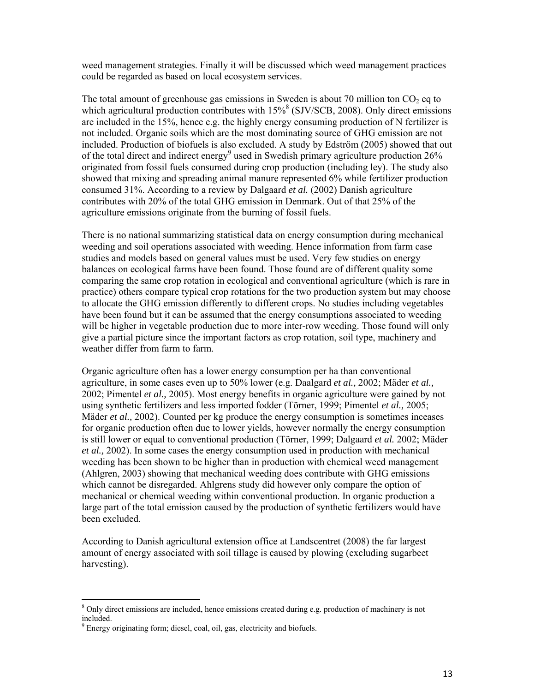weed management strategies. Finally it will be discussed which weed management practices could be regarded as based on local ecosystem services.

The total amount of greenhouse gas emissions in Sweden is about 70 million ton  $CO<sub>2</sub>$  eq to which agricultural production contributes with  $15\%$ <sup>8</sup> (SJV/SCB, 2008). Only direct emissions are included in the 15%, hence e.g. the highly energy consuming production of N fertilizer is not included. Organic soils which are the most dominating source of GHG emission are not included. Production of biofuels is also excluded. A study by Edström (2005) showed that out of the total direct and indirect energy<sup>9</sup> used in Swedish primary agriculture production 26% originated from fossil fuels consumed during crop production (including ley). The study also showed that mixing and spreading animal manure represented 6% while fertilizer production consumed 31%. According to a review by Dalgaard *et al.* (2002) Danish agriculture contributes with 20% of the total GHG emission in Denmark. Out of that 25% of the agriculture emissions originate from the burning of fossil fuels.

There is no national summarizing statistical data on energy consumption during mechanical weeding and soil operations associated with weeding. Hence information from farm case studies and models based on general values must be used. Very few studies on energy balances on ecological farms have been found. Those found are of different quality some comparing the same crop rotation in ecological and conventional agriculture (which is rare in practice) others compare typical crop rotations for the two production system but may choose to allocate the GHG emission differently to different crops. No studies including vegetables have been found but it can be assumed that the energy consumptions associated to weeding will be higher in vegetable production due to more inter-row weeding. Those found will only give a partial picture since the important factors as crop rotation, soil type, machinery and weather differ from farm to farm.

Organic agriculture often has a lower energy consumption per ha than conventional agriculture, in some cases even up to 50% lower (e.g. Daalgard *et al.,* 2002; Mäder *et al.,*  2002; Pimentel *et al.,* 2005). Most energy benefits in organic agriculture were gained by not using synthetic fertilizers and less imported fodder (Törner, 1999; Pimentel *et al.,* 2005; Mäder *et al.,* 2002). Counted per kg produce the energy consumption is sometimes inceases for organic production often due to lower yields, however normally the energy consumption is still lower or equal to conventional production (Törner, 1999; Dalgaard *et al.* 2002; Mäder *et al.,* 2002). In some cases the energy consumption used in production with mechanical weeding has been shown to be higher than in production with chemical weed management (Ahlgren, 2003) showing that mechanical weeding does contribute with GHG emissions which cannot be disregarded. Ahlgrens study did however only compare the option of mechanical or chemical weeding within conventional production. In organic production a large part of the total emission caused by the production of synthetic fertilizers would have been excluded.

According to Danish agricultural extension office at Landscentret (2008) the far largest amount of energy associated with soil tillage is caused by plowing (excluding sugarbeet harvesting).

<sup>&</sup>lt;sup>8</sup> Only direct emissions are included, hence emissions created during e.g. production of machinery is not included.

<sup>&</sup>lt;sup>9</sup> Energy originating form; diesel, coal, oil, gas, electricity and biofuels.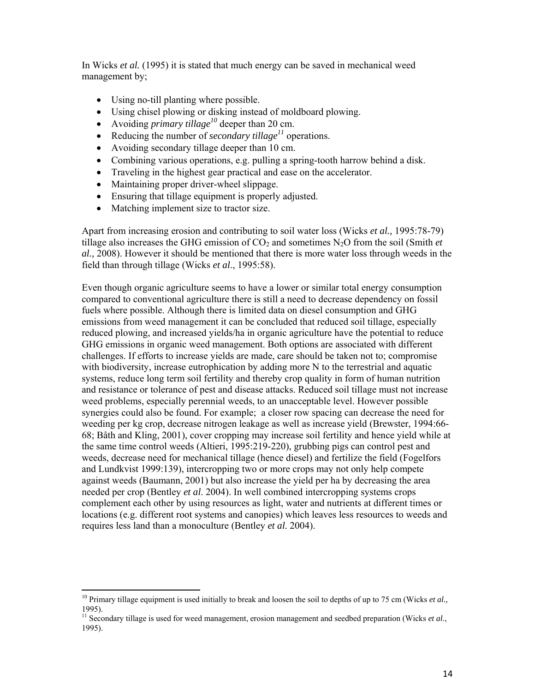In Wicks *et al.* (1995) it is stated that much energy can be saved in mechanical weed management by;

- Using no-till planting where possible.
- Using chisel plowing or disking instead of moldboard plowing.
- Avoiding *primary tillage<sup>10</sup>* deeper than 20 cm.
- Reducing the number of *secondary tillage<sup>11</sup>* operations.
- Avoiding secondary tillage deeper than 10 cm.
- Combining various operations, e.g. pulling a spring-tooth harrow behind a disk.
- Traveling in the highest gear practical and ease on the accelerator.
- Maintaining proper driver-wheel slippage.
- Ensuring that tillage equipment is properly adjusted.
- Matching implement size to tractor size.

Apart from increasing erosion and contributing to soil water loss (Wicks *et al.,* 1995:78-79) tillage also increases the GHG emission of  $CO<sub>2</sub>$  and sometimes N<sub>2</sub>O from the soil (Smith *et al.,* 2008). However it should be mentioned that there is more water loss through weeds in the field than through tillage (Wicks *et al*., 1995:58).

Even though organic agriculture seems to have a lower or similar total energy consumption compared to conventional agriculture there is still a need to decrease dependency on fossil fuels where possible. Although there is limited data on diesel consumption and GHG emissions from weed management it can be concluded that reduced soil tillage, especially reduced plowing, and increased yields/ha in organic agriculture have the potential to reduce GHG emissions in organic weed management. Both options are associated with different challenges. If efforts to increase yields are made, care should be taken not to; compromise with biodiversity, increase eutrophication by adding more N to the terrestrial and aquatic systems, reduce long term soil fertility and thereby crop quality in form of human nutrition and resistance or tolerance of pest and disease attacks. Reduced soil tillage must not increase weed problems, especially perennial weeds, to an unacceptable level. However possible synergies could also be found. For example; a closer row spacing can decrease the need for weeding per kg crop, decrease nitrogen leakage as well as increase yield (Brewster, 1994:66- 68; Båth and Kling, 2001), cover cropping may increase soil fertility and hence yield while at the same time control weeds (Altieri, 1995:219-220), grubbing pigs can control pest and weeds, decrease need for mechanical tillage (hence diesel) and fertilize the field (Fogelfors and Lundkvist 1999:139), intercropping two or more crops may not only help compete against weeds (Baumann, 2001) but also increase the yield per ha by decreasing the area needed per crop (Bentley *et al*. 2004). In well combined intercropping systems crops complement each other by using resources as light, water and nutrients at different times or locations (e.g. different root systems and canopies) which leaves less resources to weeds and requires less land than a monoculture (Bentley *et al*. 2004).

<sup>10</sup> Primary tillage equipment is used initially to break and loosen the soil to depths of up to 75 cm (Wicks *et al.,* 1995).

<sup>&</sup>lt;sup>11</sup> Secondary tillage is used for weed management, erosion management and seedbed preparation (Wicks *et al.*, 1995).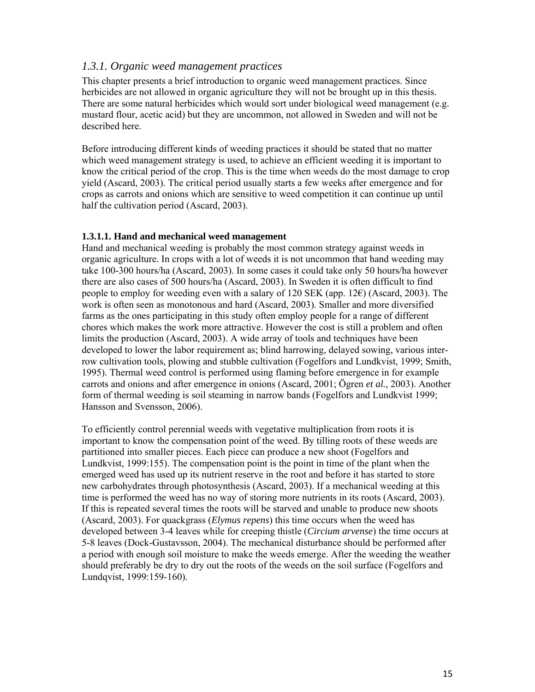## *1.3.1. Organic weed management practices*

This chapter presents a brief introduction to organic weed management practices. Since herbicides are not allowed in organic agriculture they will not be brought up in this thesis. There are some natural herbicides which would sort under biological weed management (e.g. mustard flour, acetic acid) but they are uncommon, not allowed in Sweden and will not be described here.

Before introducing different kinds of weeding practices it should be stated that no matter which weed management strategy is used, to achieve an efficient weeding it is important to know the critical period of the crop. This is the time when weeds do the most damage to crop yield (Ascard, 2003). The critical period usually starts a few weeks after emergence and for crops as carrots and onions which are sensitive to weed competition it can continue up until half the cultivation period (Ascard, 2003).

#### **1.3.1.1. Hand and mechanical weed management**

Hand and mechanical weeding is probably the most common strategy against weeds in organic agriculture. In crops with a lot of weeds it is not uncommon that hand weeding may take 100-300 hours/ha (Ascard, 2003). In some cases it could take only 50 hours/ha however there are also cases of 500 hours/ha (Ascard, 2003). In Sweden it is often difficult to find people to employ for weeding even with a salary of 120 SEK (app. 12 $\epsilon$ ) (Ascard, 2003). The work is often seen as monotonous and hard (Ascard, 2003). Smaller and more diversified farms as the ones participating in this study often employ people for a range of different chores which makes the work more attractive. However the cost is still a problem and often limits the production (Ascard, 2003). A wide array of tools and techniques have been developed to lower the labor requirement as; blind harrowing, delayed sowing, various interrow cultivation tools, plowing and stubble cultivation (Fogelfors and Lundkvist, 1999; Smith, 1995). Thermal weed control is performed using flaming before emergence in for example carrots and onions and after emergence in onions (Ascard, 2001; Ögren *et al.,* 2003). Another form of thermal weeding is soil steaming in narrow bands (Fogelfors and Lundkvist 1999; Hansson and Svensson, 2006).

To efficiently control perennial weeds with vegetative multiplication from roots it is important to know the compensation point of the weed. By tilling roots of these weeds are partitioned into smaller pieces. Each piece can produce a new shoot (Fogelfors and Lundkvist, 1999:155). The compensation point is the point in time of the plant when the emerged weed has used up its nutrient reserve in the root and before it has started to store new carbohydrates through photosynthesis (Ascard, 2003). If a mechanical weeding at this time is performed the weed has no way of storing more nutrients in its roots (Ascard, 2003). If this is repeated several times the roots will be starved and unable to produce new shoots (Ascard, 2003). For quackgrass (*Elymus repens*) this time occurs when the weed has developed between 3-4 leaves while for creeping thistle (*Circium arvense*) the time occurs at 5-8 leaves (Dock-Gustavsson, 2004). The mechanical disturbance should be performed after a period with enough soil moisture to make the weeds emerge. After the weeding the weather should preferably be dry to dry out the roots of the weeds on the soil surface (Fogelfors and Lundqvist, 1999:159-160).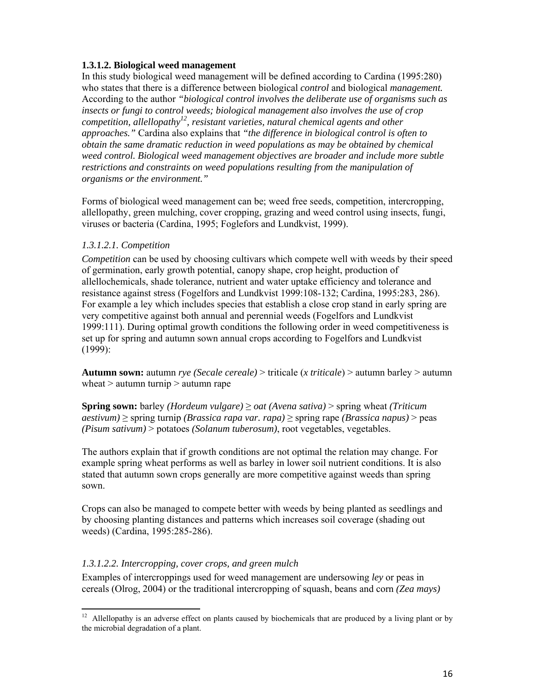#### **1.3.1.2. Biological weed management**

In this study biological weed management will be defined according to Cardina (1995:280) who states that there is a difference between biological *control* and biological *management.*  According to the author *"biological control involves the deliberate use of organisms such as insects or fungi to control weeds; biological management also involves the use of crop competition, allellopathy*<sup>12</sup>, resistant varieties, natural chemical agents and other *approaches."* Cardina also explains that *"the difference in biological control is often to obtain the same dramatic reduction in weed populations as may be obtained by chemical weed control. Biological weed management objectives are broader and include more subtle*  restrictions and constraints on weed populations resulting from the manipulation of *organisms or the environment."*

Forms of biological weed management can be; weed free seeds, competition, intercropping, allellopathy, green mulching, cover cropping, grazing and weed control using insects, fungi, viruses or bacteria (Cardina, 1995; Foglefors and Lundkvist, 1999).

#### *1.3.1.2.1. Competition*

*Competition* can be used by choosing cultivars which compete well with weeds by their speed of germination, early growth potential, canopy shape, crop height, production of allellochemicals, shade tolerance, nutrient and water uptake efficiency and tolerance and resistance against stress (Fogelfors and Lundkvist 1999:108-132; Cardina, 1995:283, 286). For example a ley which includes species that establish a close crop stand in early spring are very competitive against both annual and perennial weeds (Fogelfors and Lundkvist 1999:111). During optimal growth conditions the following order in weed competitiveness is set up for spring and autumn sown annual crops according to Fogelfors and Lundkvist (1999):

**Autumn sown:** autumn *rye (Secale cereale)* > triticale (*x triticale*) > autumn barley > autumn wheat  $>$  autumn turnip  $>$  autumn rape

**Spring sown:** barley *(Hordeum vulgare)* ≥ *oat (Avena sativa)* > spring wheat *(Triticum aestivum)* ≥ spring turnip *(Brassica rapa var. rapa)* ≥ spring rape *(Brassica napus)* > peas *(Pisum sativum)* > potatoes *(Solanum tuberosum)*, root vegetables, vegetables.

The authors explain that if growth conditions are not optimal the relation may change. For example spring wheat performs as well as barley in lower soil nutrient conditions. It is also stated that autumn sown crops generally are more competitive against weeds than spring sown.

Crops can also be managed to compete better with weeds by being planted as seedlings and by choosing planting distances and patterns which increases soil coverage (shading out weeds) (Cardina, 1995:285-286).

#### *1.3.1.2.2. Intercropping, cover crops, and green mulch*

Examples of intercroppings used for weed management are undersowing *ley* or peas in cereals (Olrog, 2004) or the traditional intercropping of squash, beans and corn *(Zea mays)*

  $12$  Allellopathy is an adverse effect on plants caused by biochemicals that are produced by a living plant or by the microbial degradation of a plant.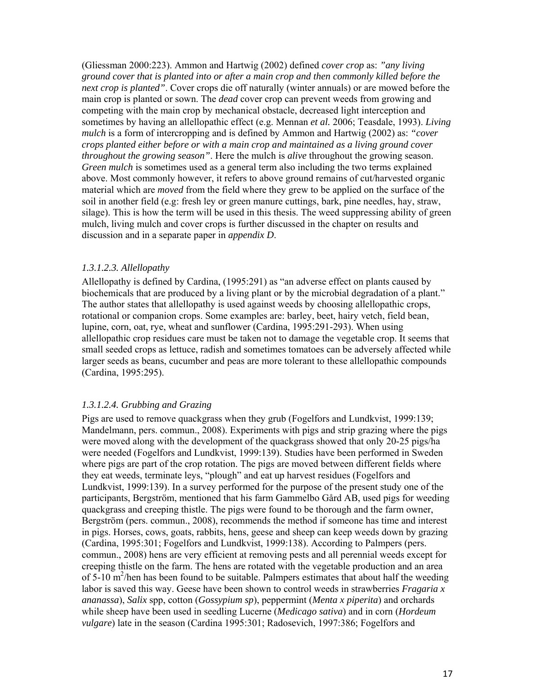(Gliessman 2000:223). Ammon and Hartwig (2002) defined *cover crop* as: *"any living ground cover that is planted into or after a main crop and then commonly killed before the next crop is planted"*. Cover crops die off naturally (winter annuals) or are mowed before the main crop is planted or sown. The *dead* cover crop can prevent weeds from growing and competing with the main crop by mechanical obstacle, decreased light interception and sometimes by having an allellopathic effect (e.g. Mennan *et al.* 2006; Teasdale, 1993). *Living mulch* is a form of intercropping and is defined by Ammon and Hartwig (2002) as: *"cover crops planted either before or with a main crop and maintained as a living ground cover throughout the growing season"*. Here the mulch is *alive* throughout the growing season. *Green mulch* is sometimes used as a general term also including the two terms explained above. Most commonly however, it refers to above ground remains of cut/harvested organic material which are *moved* from the field where they grew to be applied on the surface of the soil in another field (e.g: fresh ley or green manure cuttings, bark, pine needles, hay, straw, silage). This is how the term will be used in this thesis. The weed suppressing ability of green mulch, living mulch and cover crops is further discussed in the chapter on results and discussion and in a separate paper in *appendix D*.

#### *1.3.1.2.3. Allellopathy*

Allellopathy is defined by Cardina, (1995:291) as "an adverse effect on plants caused by biochemicals that are produced by a living plant or by the microbial degradation of a plant." The author states that allellopathy is used against weeds by choosing allellopathic crops, rotational or companion crops. Some examples are: barley, beet, hairy vetch, field bean, lupine, corn, oat, rye, wheat and sunflower (Cardina, 1995:291-293). When using allellopathic crop residues care must be taken not to damage the vegetable crop. It seems that small seeded crops as lettuce, radish and sometimes tomatoes can be adversely affected while larger seeds as beans, cucumber and peas are more tolerant to these allellopathic compounds (Cardina, 1995:295).

#### *1.3.1.2.4. Grubbing and Grazing*

Pigs are used to remove quackgrass when they grub (Fogelfors and Lundkvist, 1999:139; Mandelmann, pers. commun., 2008). Experiments with pigs and strip grazing where the pigs were moved along with the development of the quackgrass showed that only 20-25 pigs/ha were needed (Fogelfors and Lundkvist, 1999:139). Studies have been performed in Sweden where pigs are part of the crop rotation. The pigs are moved between different fields where they eat weeds, terminate leys, "plough" and eat up harvest residues (Fogelfors and Lundkvist, 1999:139). In a survey performed for the purpose of the present study one of the participants, Bergström, mentioned that his farm Gammelbo Gård AB, used pigs for weeding quackgrass and creeping thistle. The pigs were found to be thorough and the farm owner, Bergström (pers. commun., 2008), recommends the method if someone has time and interest in pigs. Horses, cows, goats, rabbits, hens, geese and sheep can keep weeds down by grazing (Cardina, 1995:301; Fogelfors and Lundkvist, 1999:138). According to Palmpers (pers. commun., 2008) hens are very efficient at removing pests and all perennial weeds except for creeping thistle on the farm. The hens are rotated with the vegetable production and an area of  $5-\frac{10}{m^2}$ hen has been found to be suitable. Palmpers estimates that about half the weeding labor is saved this way. Geese have been shown to control weeds in strawberries *Fragaria x ananassa*), *Salix* spp, cotton (*Gossypium sp*), peppermint (*Menta x piperita*) and orchards while sheep have been used in seedling Lucerne (*Medicago sativa*) and in corn (*Hordeum vulgare*) late in the season (Cardina 1995:301; Radosevich, 1997:386; Fogelfors and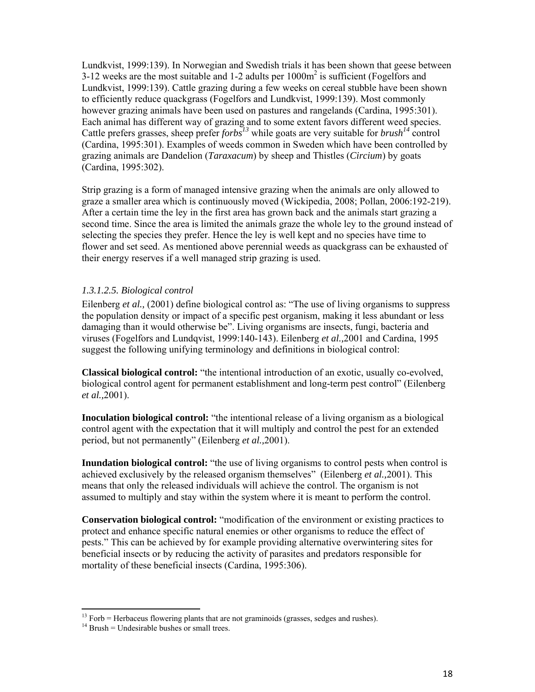Lundkvist, 1999:139). In Norwegian and Swedish trials it has been shown that geese between 3-12 weeks are the most suitable and 1-2 adults per  $1000m^2$  is sufficient (Fogelfors and Lundkvist, 1999:139). Cattle grazing during a few weeks on cereal stubble have been shown to efficiently reduce quackgrass (Fogelfors and Lundkvist, 1999:139). Most commonly however grazing animals have been used on pastures and rangelands (Cardina, 1995:301). Each animal has different way of grazing and to some extent favors different weed species. Cattle prefers grasses, sheep prefer *forbs<sup>13</sup>* while goats are very suitable for *brush<sup>14</sup>* control (Cardina, 1995:301). Examples of weeds common in Sweden which have been controlled by grazing animals are Dandelion (*Taraxacum*) by sheep and Thistles (*Circium*) by goats (Cardina, 1995:302).

Strip grazing is a form of managed intensive grazing when the animals are only allowed to graze a smaller area which is continuously moved (Wickipedia, 2008; Pollan, 2006:192-219). After a certain time the ley in the first area has grown back and the animals start grazing a second time. Since the area is limited the animals graze the whole ley to the ground instead of selecting the species they prefer. Hence the ley is well kept and no species have time to flower and set seed. As mentioned above perennial weeds as quackgrass can be exhausted of their energy reserves if a well managed strip grazing is used.

#### *1.3.1.2.5. Biological control*

Eilenberg *et al.,* (2001) define biological control as: "The use of living organisms to suppress the population density or impact of a specific pest organism, making it less abundant or less damaging than it would otherwise be". Living organisms are insects, fungi, bacteria and viruses (Fogelfors and Lundqvist, 1999:140-143). Eilenberg *et al.,*2001 and Cardina, 1995 suggest the following unifying terminology and definitions in biological control:

**Classical biological control:** "the intentional introduction of an exotic, usually co-evolved, biological control agent for permanent establishment and long-term pest control" (Eilenberg *et al.,*2001).

**Inoculation biological control:** "the intentional release of a living organism as a biological control agent with the expectation that it will multiply and control the pest for an extended period, but not permanently" (Eilenberg *et al.,*2001).

**Inundation biological control:** "the use of living organisms to control pests when control is achieved exclusively by the released organism themselves" (Eilenberg *et al.,*2001). This means that only the released individuals will achieve the control. The organism is not assumed to multiply and stay within the system where it is meant to perform the control.

**Conservation biological control:** "modification of the environment or existing practices to protect and enhance specific natural enemies or other organisms to reduce the effect of pests." This can be achieved by for example providing alternative overwintering sites for beneficial insects or by reducing the activity of parasites and predators responsible for mortality of these beneficial insects (Cardina, 1995:306).

 $13$  Forb = Herbaceus flowering plants that are not graminoids (grasses, sedges and rushes).

 $14$  Brush = Undesirable bushes or small trees.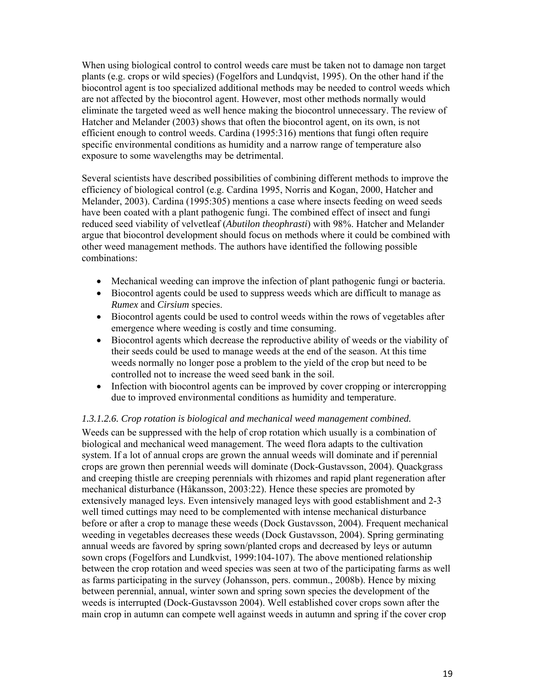When using biological control to control weeds care must be taken not to damage non target plants (e.g. crops or wild species) (Fogelfors and Lundqvist, 1995). On the other hand if the biocontrol agent is too specialized additional methods may be needed to control weeds which are not affected by the biocontrol agent. However, most other methods normally would eliminate the targeted weed as well hence making the biocontrol unnecessary. The review of Hatcher and Melander (2003) shows that often the biocontrol agent, on its own, is not efficient enough to control weeds. Cardina (1995:316) mentions that fungi often require specific environmental conditions as humidity and a narrow range of temperature also exposure to some wavelengths may be detrimental.

Several scientists have described possibilities of combining different methods to improve the efficiency of biological control (e.g. Cardina 1995, Norris and Kogan, 2000, Hatcher and Melander, 2003). Cardina (1995:305) mentions a case where insects feeding on weed seeds have been coated with a plant pathogenic fungi. The combined effect of insect and fungi reduced seed viability of velvetleaf (*Abutilon theophrasti*) with 98%. Hatcher and Melander argue that biocontrol development should focus on methods where it could be combined with other weed management methods. The authors have identified the following possible combinations:

- Mechanical weeding can improve the infection of plant pathogenic fungi or bacteria.
- Biocontrol agents could be used to suppress weeds which are difficult to manage as *Rumex* and *Cirsium* species.
- Biocontrol agents could be used to control weeds within the rows of vegetables after emergence where weeding is costly and time consuming.
- Biocontrol agents which decrease the reproductive ability of weeds or the viability of their seeds could be used to manage weeds at the end of the season. At this time weeds normally no longer pose a problem to the yield of the crop but need to be controlled not to increase the weed seed bank in the soil.
- Infection with biocontrol agents can be improved by cover cropping or intercropping due to improved environmental conditions as humidity and temperature.

#### *1.3.1.2.6. Crop rotation is biological and mechanical weed management combined.*

Weeds can be suppressed with the help of crop rotation which usually is a combination of biological and mechanical weed management. The weed flora adapts to the cultivation system. If a lot of annual crops are grown the annual weeds will dominate and if perennial crops are grown then perennial weeds will dominate (Dock-Gustavsson, 2004). Quackgrass and creeping thistle are creeping perennials with rhizomes and rapid plant regeneration after mechanical disturbance (Håkansson, 2003:22). Hence these species are promoted by extensively managed leys. Even intensively managed leys with good establishment and 2-3 well timed cuttings may need to be complemented with intense mechanical disturbance before or after a crop to manage these weeds (Dock Gustavsson, 2004). Frequent mechanical weeding in vegetables decreases these weeds (Dock Gustavsson, 2004). Spring germinating annual weeds are favored by spring sown/planted crops and decreased by leys or autumn sown crops (Fogelfors and Lundkvist, 1999:104-107). The above mentioned relationship between the crop rotation and weed species was seen at two of the participating farms as well as farms participating in the survey (Johansson, pers. commun., 2008b). Hence by mixing between perennial, annual, winter sown and spring sown species the development of the weeds is interrupted (Dock-Gustavsson 2004). Well established cover crops sown after the main crop in autumn can compete well against weeds in autumn and spring if the cover crop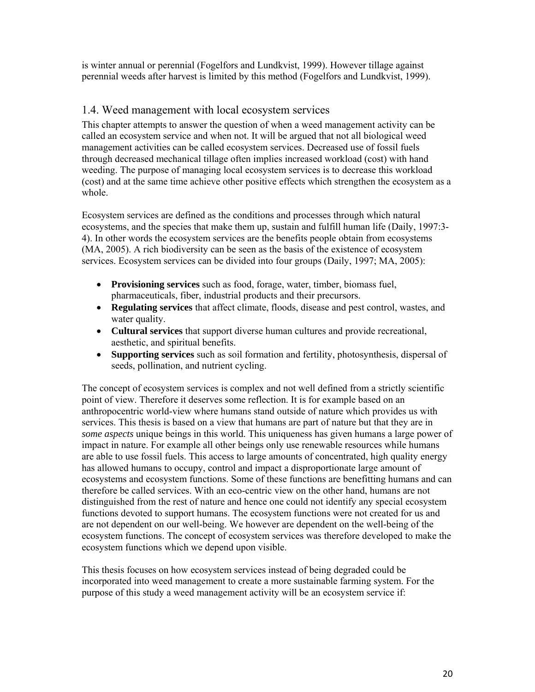is winter annual or perennial (Fogelfors and Lundkvist, 1999). However tillage against perennial weeds after harvest is limited by this method (Fogelfors and Lundkvist, 1999).

## 1.4. Weed management with local ecosystem services

This chapter attempts to answer the question of when a weed management activity can be called an ecosystem service and when not. It will be argued that not all biological weed management activities can be called ecosystem services. Decreased use of fossil fuels through decreased mechanical tillage often implies increased workload (cost) with hand weeding. The purpose of managing local ecosystem services is to decrease this workload (cost) and at the same time achieve other positive effects which strengthen the ecosystem as a whole.

Ecosystem services are defined as the conditions and processes through which natural ecosystems, and the species that make them up, sustain and fulfill human life (Daily, 1997:3- 4). In other words the ecosystem services are the benefits people obtain from ecosystems (MA, 2005). A rich biodiversity can be seen as the basis of the existence of ecosystem services. Ecosystem services can be divided into four groups (Daily, 1997; MA, 2005):

- **Provisioning services** such as food, forage, water, timber, biomass fuel, pharmaceuticals, fiber, industrial products and their precursors.
- **Regulating services** that affect climate, floods, disease and pest control, wastes, and water quality.
- **Cultural services** that support diverse human cultures and provide recreational, aesthetic, and spiritual benefits.
- **Supporting services** such as soil formation and fertility, photosynthesis, dispersal of seeds, pollination, and nutrient cycling.

The concept of ecosystem services is complex and not well defined from a strictly scientific point of view. Therefore it deserves some reflection. It is for example based on an anthropocentric world-view where humans stand outside of nature which provides us with services. This thesis is based on a view that humans are part of nature but that they are in *some aspects* unique beings in this world. This uniqueness has given humans a large power of impact in nature. For example all other beings only use renewable resources while humans are able to use fossil fuels. This access to large amounts of concentrated, high quality energy has allowed humans to occupy, control and impact a disproportionate large amount of ecosystems and ecosystem functions. Some of these functions are benefitting humans and can therefore be called services. With an eco-centric view on the other hand, humans are not distinguished from the rest of nature and hence one could not identify any special ecosystem functions devoted to support humans. The ecosystem functions were not created for us and are not dependent on our well-being. We however are dependent on the well-being of the ecosystem functions. The concept of ecosystem services was therefore developed to make the ecosystem functions which we depend upon visible.

This thesis focuses on how ecosystem services instead of being degraded could be incorporated into weed management to create a more sustainable farming system. For the purpose of this study a weed management activity will be an ecosystem service if: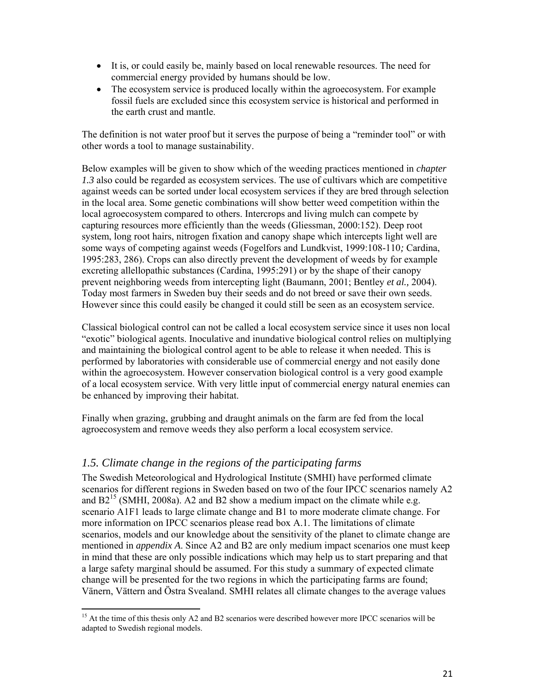- It is, or could easily be, mainly based on local renewable resources. The need for commercial energy provided by humans should be low.
- The ecosystem service is produced locally within the agroecosystem. For example fossil fuels are excluded since this ecosystem service is historical and performed in the earth crust and mantle.

The definition is not water proof but it serves the purpose of being a "reminder tool" or with other words a tool to manage sustainability.

Below examples will be given to show which of the weeding practices mentioned in *chapter 1.3* also could be regarded as ecosystem services. The use of cultivars which are competitive against weeds can be sorted under local ecosystem services if they are bred through selection in the local area. Some genetic combinations will show better weed competition within the local agroecosystem compared to others. Intercrops and living mulch can compete by capturing resources more efficiently than the weeds (Gliessman, 2000:152). Deep root system, long root hairs, nitrogen fixation and canopy shape which intercepts light well are some ways of competing against weeds (Fogelfors and Lundkvist, 1999:108-110*;* Cardina, 1995:283, 286). Crops can also directly prevent the development of weeds by for example excreting allellopathic substances (Cardina, 1995:291) or by the shape of their canopy prevent neighboring weeds from intercepting light (Baumann, 2001; Bentley *et al.,* 2004). Today most farmers in Sweden buy their seeds and do not breed or save their own seeds. However since this could easily be changed it could still be seen as an ecosystem service.

Classical biological control can not be called a local ecosystem service since it uses non local "exotic" biological agents. Inoculative and inundative biological control relies on multiplying and maintaining the biological control agent to be able to release it when needed. This is performed by laboratories with considerable use of commercial energy and not easily done within the agroecosystem. However conservation biological control is a very good example of a local ecosystem service. With very little input of commercial energy natural enemies can be enhanced by improving their habitat.

Finally when grazing, grubbing and draught animals on the farm are fed from the local agroecosystem and remove weeds they also perform a local ecosystem service.

## *1.5. Climate change in the regions of the participating farms*

The Swedish Meteorological and Hydrological Institute (SMHI) have performed climate scenarios for different regions in Sweden based on two of the four IPCC scenarios namely A2 and  $B2<sup>15</sup>$  (SMHI, 2008a). A2 and B2 show a medium impact on the climate while e.g. scenario A1F1 leads to large climate change and B1 to more moderate climate change. For more information on IPCC scenarios please read box A.1. The limitations of climate scenarios, models and our knowledge about the sensitivity of the planet to climate change are mentioned in *appendix A*. Since A2 and B2 are only medium impact scenarios one must keep in mind that these are only possible indications which may help us to start preparing and that a large safety marginal should be assumed. For this study a summary of expected climate change will be presented for the two regions in which the participating farms are found; Vänern, Vättern and Östra Svealand. SMHI relates all climate changes to the average values

 <sup>15</sup> At the time of this thesis only A2 and B2 scenarios were described however more IPCC scenarios will be adapted to Swedish regional models.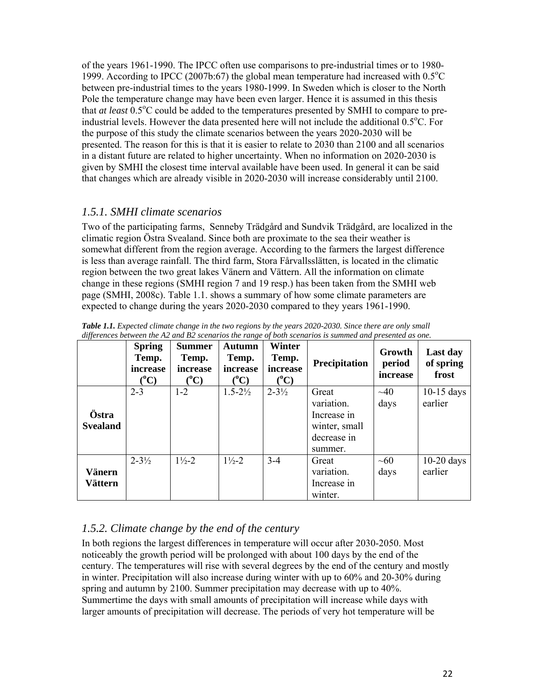of the years 1961-1990. The IPCC often use comparisons to pre-industrial times or to 1980- 1999. According to IPCC (2007b:67) the global mean temperature had increased with  $0.5^{\circ}$ C between pre-industrial times to the years 1980-1999. In Sweden which is closer to the North Pole the temperature change may have been even larger. Hence it is assumed in this thesis that *at least* 0.5°C could be added to the temperatures presented by SMHI to compare to preindustrial levels. However the data presented here will not include the additional  $0.5^{\circ}$ C. For the purpose of this study the climate scenarios between the years 2020-2030 will be presented. The reason for this is that it is easier to relate to 2030 than 2100 and all scenarios in a distant future are related to higher uncertainty. When no information on 2020-2030 is given by SMHI the closest time interval available have been used. In general it can be said that changes which are already visible in 2020-2030 will increase considerably until 2100.

#### *1.5.1. SMHI climate scenarios*

Two of the participating farms, Senneby Trädgård and Sundvik Trädgård, are localized in the climatic region Östra Svealand. Since both are proximate to the sea their weather is somewhat different from the region average. According to the farmers the largest difference is less than average rainfall. The third farm, Stora Fårvallsslätten, is located in the climatic region between the two great lakes Vänern and Vättern. All the information on climate change in these regions (SMHI region 7 and 19 resp.) has been taken from the SMHI web page (SMHI, 2008c). Table 1.1. shows a summary of how some climate parameters are expected to change during the years 2020-2030 compared to they years 1961-1990.

|                 | <b>Spring</b><br>Temp.<br>increase<br>$(^{0}C)$ | <b>Summer</b><br>Temp.<br>increase<br>$(^{0}C)$ | Autumn<br>Temp.<br>increase<br>$(^{0}C)$ | Winter<br>Temp.<br>increase<br>$(^{0}C)$ | Precipitation | Growth<br>period<br>increase | Last day<br>of spring<br>frost |
|-----------------|-------------------------------------------------|-------------------------------------------------|------------------------------------------|------------------------------------------|---------------|------------------------------|--------------------------------|
|                 | $2 - 3$                                         | $1 - 2$                                         | $1.5 - 2\frac{1}{2}$                     | $2 - 3\frac{1}{2}$                       | Great         | $\sim$ 40                    | $10-15$ days                   |
|                 |                                                 |                                                 |                                          |                                          | variation.    | days                         | earlier                        |
| Östra           |                                                 |                                                 |                                          |                                          | Increase in   |                              |                                |
| <b>Svealand</b> |                                                 |                                                 |                                          |                                          | winter, small |                              |                                |
|                 |                                                 |                                                 |                                          |                                          | decrease in   |                              |                                |
|                 |                                                 |                                                 |                                          |                                          | summer.       |                              |                                |
|                 | $2 - 3\frac{1}{2}$                              | $1\frac{1}{2} - 2$                              | $1\frac{1}{2} - 2$                       | $3 - 4$                                  | Great         | $~1$ –60                     | $10-20$ days                   |
| <b>Vänern</b>   |                                                 |                                                 |                                          |                                          | variation.    | days                         | earlier                        |
| Vättern         |                                                 |                                                 |                                          |                                          | Increase in   |                              |                                |
|                 |                                                 |                                                 |                                          |                                          | winter.       |                              |                                |

*Table 1.1. Expected climate change in the two regions by the years 2020-2030. Since there are only small differences between the A2 and B2 scenarios the range of both scenarios is summed and presented as one.* 

## *1.5.2. Climate change by the end of the century*

In both regions the largest differences in temperature will occur after 2030-2050. Most noticeably the growth period will be prolonged with about 100 days by the end of the century. The temperatures will rise with several degrees by the end of the century and mostly in winter. Precipitation will also increase during winter with up to 60% and 20-30% during spring and autumn by 2100. Summer precipitation may decrease with up to 40%. Summertime the days with small amounts of precipitation will increase while days with larger amounts of precipitation will decrease. The periods of very hot temperature will be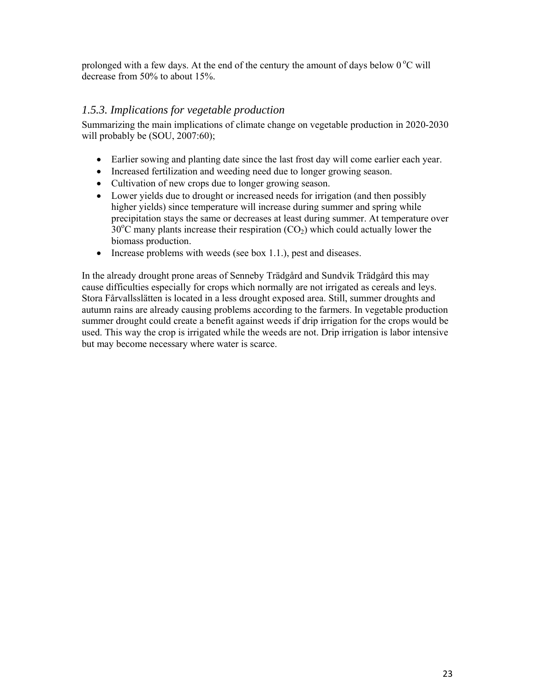prolonged with a few days. At the end of the century the amount of days below  $0^{\circ}$ C will decrease from 50% to about 15%.

## *1.5.3. Implications for vegetable production*

Summarizing the main implications of climate change on vegetable production in 2020-2030 will probably be (SOU, 2007:60);

- Earlier sowing and planting date since the last frost day will come earlier each year.
- Increased fertilization and weeding need due to longer growing season.
- Cultivation of new crops due to longer growing season.
- Lower yields due to drought or increased needs for irrigation (and then possibly higher yields) since temperature will increase during summer and spring while precipitation stays the same or decreases at least during summer. At temperature over  $30^{\circ}$ C many plants increase their respiration (CO<sub>2</sub>) which could actually lower the biomass production.
- Increase problems with weeds (see box 1.1.), pest and diseases.

In the already drought prone areas of Senneby Trädgård and Sundvik Trädgård this may cause difficulties especially for crops which normally are not irrigated as cereals and leys. Stora Fårvallsslätten is located in a less drought exposed area. Still, summer droughts and autumn rains are already causing problems according to the farmers. In vegetable production summer drought could create a benefit against weeds if drip irrigation for the crops would be used. This way the crop is irrigated while the weeds are not. Drip irrigation is labor intensive but may become necessary where water is scarce.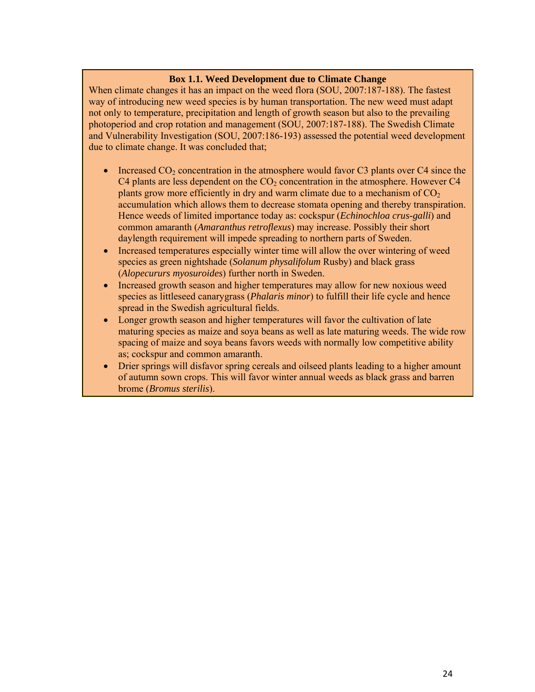#### **Box 1.1. Weed Development due to Climate Change**

When climate changes it has an impact on the weed flora (SOU, 2007:187-188). The fastest way of introducing new weed species is by human transportation. The new weed must adapt not only to temperature, precipitation and length of growth season but also to the prevailing photoperiod and crop rotation and management (SOU, 2007:187-188). The Swedish Climate and Vulnerability Investigation (SOU, 2007:186-193) assessed the potential weed development due to climate change. It was concluded that;

- Increased  $CO<sub>2</sub>$  concentration in the atmosphere would favor C3 plants over C4 since the C4 plants are less dependent on the  $CO<sub>2</sub>$  concentration in the atmosphere. However C4 plants grow more efficiently in dry and warm climate due to a mechanism of  $CO<sub>2</sub>$ accumulation which allows them to decrease stomata opening and thereby transpiration. Hence weeds of limited importance today as: cockspur (*Echinochloa crus-galli*) and common amaranth (*Amaranthus retroflexus*) may increase. Possibly their short daylength requirement will impede spreading to northern parts of Sweden.
- Increased temperatures especially winter time will allow the over wintering of weed species as green nightshade (*Solanum physalifolum* Rusby) and black grass (*Alopecururs myosuroides*) further north in Sweden.
- Increased growth season and higher temperatures may allow for new noxious weed species as littleseed canarygrass (*Phalaris minor*) to fulfill their life cycle and hence spread in the Swedish agricultural fields.
- Longer growth season and higher temperatures will favor the cultivation of late maturing species as maize and soya beans as well as late maturing weeds. The wide row spacing of maize and soya beans favors weeds with normally low competitive ability as; cockspur and common amaranth.
- Drier springs will disfavor spring cereals and oilseed plants leading to a higher amount of autumn sown crops. This will favor winter annual weeds as black grass and barren brome (*Bromus sterilis*).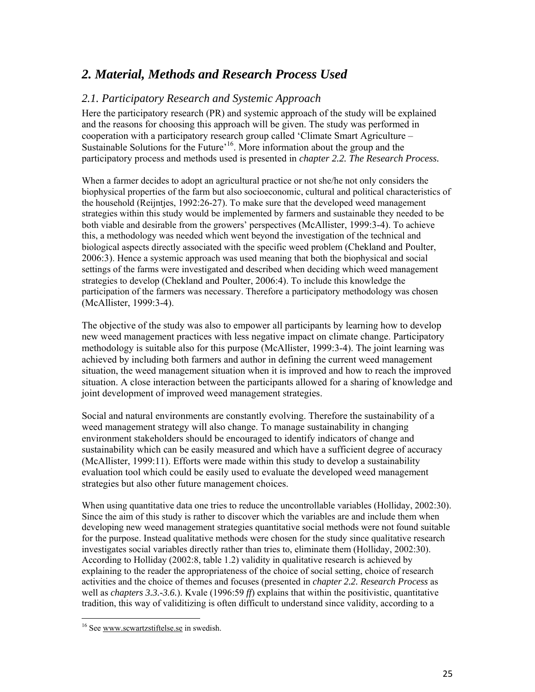# *2. Material, Methods and Research Process Used*

## *2.1. Participatory Research and Systemic Approach*

Here the participatory research (PR) and systemic approach of the study will be explained and the reasons for choosing this approach will be given. The study was performed in cooperation with a participatory research group called 'Climate Smart Agriculture – Sustainable Solutions for the Future'<sup>16</sup>. More information about the group and the participatory process and methods used is presented in *chapter 2.2. The Research Process.*

When a farmer decides to adopt an agricultural practice or not she/he not only considers the biophysical properties of the farm but also socioeconomic, cultural and political characteristics of the household (Reijntjes, 1992:26-27). To make sure that the developed weed management strategies within this study would be implemented by farmers and sustainable they needed to be both viable and desirable from the growers' perspectives (McAllister, 1999:3-4). To achieve this, a methodology was needed which went beyond the investigation of the technical and biological aspects directly associated with the specific weed problem (Chekland and Poulter, 2006:3). Hence a systemic approach was used meaning that both the biophysical and social settings of the farms were investigated and described when deciding which weed management strategies to develop (Chekland and Poulter, 2006:4). To include this knowledge the participation of the farmers was necessary. Therefore a participatory methodology was chosen (McAllister, 1999:3-4).

The objective of the study was also to empower all participants by learning how to develop new weed management practices with less negative impact on climate change. Participatory methodology is suitable also for this purpose (McAllister, 1999:3-4). The joint learning was achieved by including both farmers and author in defining the current weed management situation, the weed management situation when it is improved and how to reach the improved situation. A close interaction between the participants allowed for a sharing of knowledge and joint development of improved weed management strategies.

Social and natural environments are constantly evolving. Therefore the sustainability of a weed management strategy will also change. To manage sustainability in changing environment stakeholders should be encouraged to identify indicators of change and sustainability which can be easily measured and which have a sufficient degree of accuracy (McAllister, 1999:11). Efforts were made within this study to develop a sustainability evaluation tool which could be easily used to evaluate the developed weed management strategies but also other future management choices.

When using quantitative data one tries to reduce the uncontrollable variables (Holliday, 2002:30). Since the aim of this study is rather to discover which the variables are and include them when developing new weed management strategies quantitative social methods were not found suitable for the purpose. Instead qualitative methods were chosen for the study since qualitative research investigates social variables directly rather than tries to, eliminate them (Holliday, 2002:30). According to Holliday (2002:8, table 1.2) validity in qualitative research is achieved by explaining to the reader the appropriateness of the choice of social setting, choice of research activities and the choice of themes and focuses (presented in *chapter 2.2. Research Process* as well as *chapters 3.3.-3.6.*). Kvale (1996:59 *ff*) explains that within the positivistic, quantitative tradition, this way of validitizing is often difficult to understand since validity, according to a

<sup>&</sup>lt;sup>16</sup> See www.scwartzstiftelse.se in swedish.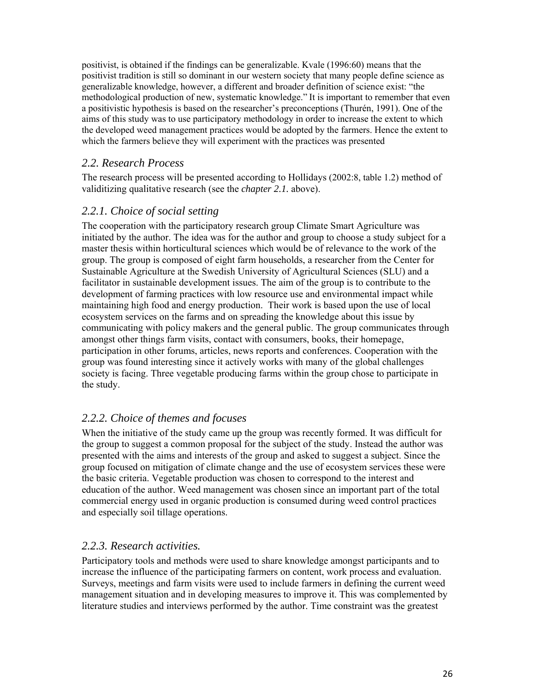positivist, is obtained if the findings can be generalizable. Kvale (1996:60) means that the positivist tradition is still so dominant in our western society that many people define science as generalizable knowledge, however, a different and broader definition of science exist: "the methodological production of new, systematic knowledge." It is important to remember that even a positivistic hypothesis is based on the researcher's preconceptions (Thurén, 1991). One of the aims of this study was to use participatory methodology in order to increase the extent to which the developed weed management practices would be adopted by the farmers. Hence the extent to which the farmers believe they will experiment with the practices was presented

## *2.2. Research Process*

The research process will be presented according to Hollidays (2002:8, table 1.2) method of validitizing qualitative research (see the *chapter 2.1.* above).

## *2.2.1. Choice of social setting*

The cooperation with the participatory research group Climate Smart Agriculture was initiated by the author. The idea was for the author and group to choose a study subject for a master thesis within horticultural sciences which would be of relevance to the work of the group. The group is composed of eight farm households, a researcher from the Center for Sustainable Agriculture at the Swedish University of Agricultural Sciences (SLU) and a facilitator in sustainable development issues. The aim of the group is to contribute to the development of farming practices with low resource use and environmental impact while maintaining high food and energy production. Their work is based upon the use of local ecosystem services on the farms and on spreading the knowledge about this issue by communicating with policy makers and the general public. The group communicates through amongst other things farm visits, contact with consumers, books, their homepage, participation in other forums, articles, news reports and conferences. Cooperation with the group was found interesting since it actively works with many of the global challenges society is facing. Three vegetable producing farms within the group chose to participate in the study.

## *2.2.2. Choice of themes and focuses*

When the initiative of the study came up the group was recently formed. It was difficult for the group to suggest a common proposal for the subject of the study. Instead the author was presented with the aims and interests of the group and asked to suggest a subject. Since the group focused on mitigation of climate change and the use of ecosystem services these were the basic criteria. Vegetable production was chosen to correspond to the interest and education of the author. Weed management was chosen since an important part of the total commercial energy used in organic production is consumed during weed control practices and especially soil tillage operations.

## *2.2.3. Research activities.*

Participatory tools and methods were used to share knowledge amongst participants and to increase the influence of the participating farmers on content, work process and evaluation. Surveys, meetings and farm visits were used to include farmers in defining the current weed management situation and in developing measures to improve it. This was complemented by literature studies and interviews performed by the author. Time constraint was the greatest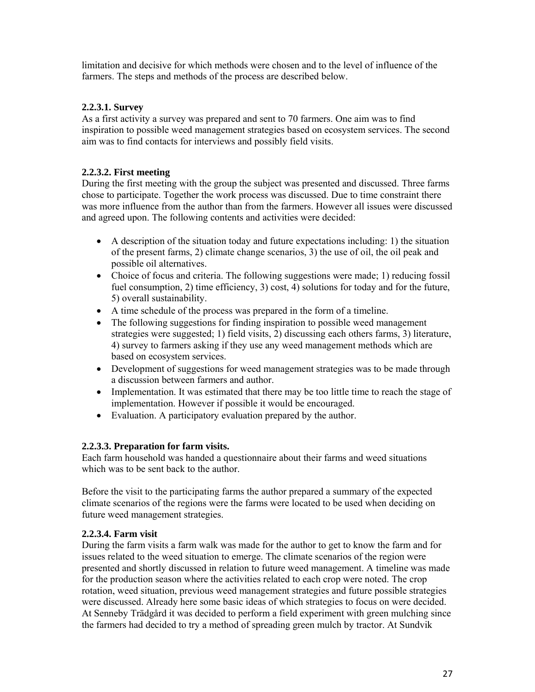limitation and decisive for which methods were chosen and to the level of influence of the farmers. The steps and methods of the process are described below.

## **2.2.3.1. Survey**

As a first activity a survey was prepared and sent to 70 farmers. One aim was to find inspiration to possible weed management strategies based on ecosystem services. The second aim was to find contacts for interviews and possibly field visits.

## **2.2.3.2. First meeting**

During the first meeting with the group the subject was presented and discussed. Three farms chose to participate. Together the work process was discussed. Due to time constraint there was more influence from the author than from the farmers. However all issues were discussed and agreed upon. The following contents and activities were decided:

- A description of the situation today and future expectations including: 1) the situation of the present farms, 2) climate change scenarios, 3) the use of oil, the oil peak and possible oil alternatives.
- Choice of focus and criteria. The following suggestions were made; 1) reducing fossil fuel consumption, 2) time efficiency, 3) cost, 4) solutions for today and for the future, 5) overall sustainability.
- A time schedule of the process was prepared in the form of a timeline.
- The following suggestions for finding inspiration to possible weed management strategies were suggested; 1) field visits, 2) discussing each others farms, 3) literature, 4) survey to farmers asking if they use any weed management methods which are based on ecosystem services.
- Development of suggestions for weed management strategies was to be made through a discussion between farmers and author.
- Implementation. It was estimated that there may be too little time to reach the stage of implementation. However if possible it would be encouraged.
- Evaluation. A participatory evaluation prepared by the author.

## **2.2.3.3. Preparation for farm visits.**

Each farm household was handed a questionnaire about their farms and weed situations which was to be sent back to the author.

Before the visit to the participating farms the author prepared a summary of the expected climate scenarios of the regions were the farms were located to be used when deciding on future weed management strategies.

## **2.2.3.4. Farm visit**

During the farm visits a farm walk was made for the author to get to know the farm and for issues related to the weed situation to emerge. The climate scenarios of the region were presented and shortly discussed in relation to future weed management. A timeline was made for the production season where the activities related to each crop were noted. The crop rotation, weed situation, previous weed management strategies and future possible strategies were discussed. Already here some basic ideas of which strategies to focus on were decided. At Senneby Trädgård it was decided to perform a field experiment with green mulching since the farmers had decided to try a method of spreading green mulch by tractor. At Sundvik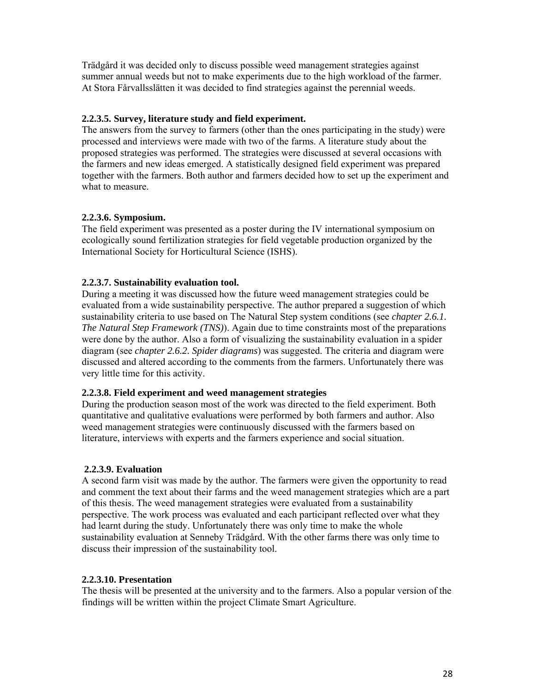Trädgård it was decided only to discuss possible weed management strategies against summer annual weeds but not to make experiments due to the high workload of the farmer. At Stora Fårvallsslätten it was decided to find strategies against the perennial weeds.

#### **2.2.3.5. Survey, literature study and field experiment.**

The answers from the survey to farmers (other than the ones participating in the study) were processed and interviews were made with two of the farms. A literature study about the proposed strategies was performed. The strategies were discussed at several occasions with the farmers and new ideas emerged. A statistically designed field experiment was prepared together with the farmers. Both author and farmers decided how to set up the experiment and what to measure.

#### **2.2.3.6. Symposium.**

The field experiment was presented as a poster during the IV international symposium on ecologically sound fertilization strategies for field vegetable production organized by the International Society for Horticultural Science (ISHS).

#### **2.2.3.7. Sustainability evaluation tool.**

During a meeting it was discussed how the future weed management strategies could be evaluated from a wide sustainability perspective. The author prepared a suggestion of which sustainability criteria to use based on The Natural Step system conditions (see *chapter 2.6.1. The Natural Step Framework (TNS)*). Again due to time constraints most of the preparations were done by the author. Also a form of visualizing the sustainability evaluation in a spider diagram (see *chapter 2.6.2. Spider diagrams*) was suggested. The criteria and diagram were discussed and altered according to the comments from the farmers. Unfortunately there was very little time for this activity.

#### **2.2.3.8. Field experiment and weed management strategies**

During the production season most of the work was directed to the field experiment. Both quantitative and qualitative evaluations were performed by both farmers and author. Also weed management strategies were continuously discussed with the farmers based on literature, interviews with experts and the farmers experience and social situation.

#### **2.2.3.9. Evaluation**

A second farm visit was made by the author. The farmers were given the opportunity to read and comment the text about their farms and the weed management strategies which are a part of this thesis. The weed management strategies were evaluated from a sustainability perspective. The work process was evaluated and each participant reflected over what they had learnt during the study. Unfortunately there was only time to make the whole sustainability evaluation at Senneby Trädgård. With the other farms there was only time to discuss their impression of the sustainability tool.

#### **2.2.3.10. Presentation**

The thesis will be presented at the university and to the farmers. Also a popular version of the findings will be written within the project Climate Smart Agriculture.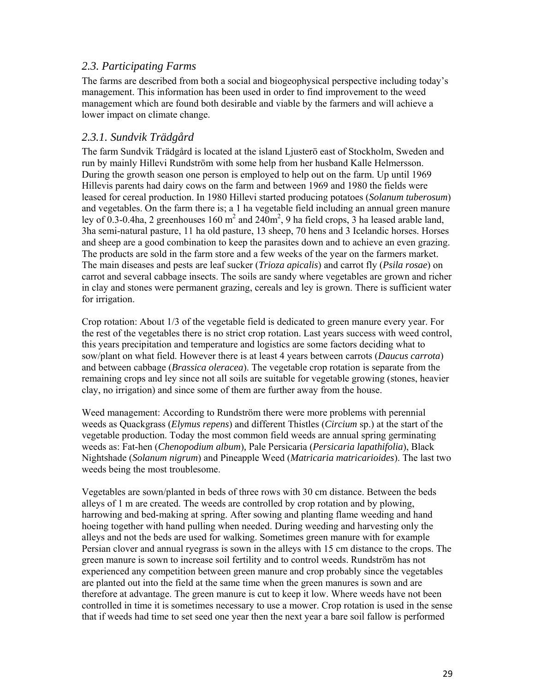## *2.3. Participating Farms*

The farms are described from both a social and biogeophysical perspective including today's management. This information has been used in order to find improvement to the weed management which are found both desirable and viable by the farmers and will achieve a lower impact on climate change.

#### *2.3.1. Sundvik Trädgård*

The farm Sundvik Trädgård is located at the island Ljusterö east of Stockholm, Sweden and run by mainly Hillevi Rundström with some help from her husband Kalle Helmersson. During the growth season one person is employed to help out on the farm. Up until 1969 Hillevis parents had dairy cows on the farm and between 1969 and 1980 the fields were leased for cereal production. In 1980 Hillevi started producing potatoes (*Solanum tuberosum*) and vegetables. On the farm there is; a 1 ha vegetable field including an annual green manure ley of 0.3-0.4ha, 2 greenhouses  $160 \text{ m}^2$  and  $240 \text{ m}^2$ , 9 ha field crops, 3 ha leased arable land, 3ha semi-natural pasture, 11 ha old pasture, 13 sheep, 70 hens and 3 Icelandic horses. Horses and sheep are a good combination to keep the parasites down and to achieve an even grazing. The products are sold in the farm store and a few weeks of the year on the farmers market. The main diseases and pests are leaf sucker (*Trioza apicalis*) and carrot fly (*Psila rosae*) on carrot and several cabbage insects. The soils are sandy where vegetables are grown and richer in clay and stones were permanent grazing, cereals and ley is grown. There is sufficient water for irrigation.

Crop rotation: About 1/3 of the vegetable field is dedicated to green manure every year. For the rest of the vegetables there is no strict crop rotation. Last years success with weed control, this years precipitation and temperature and logistics are some factors deciding what to sow/plant on what field. However there is at least 4 years between carrots (*Daucus carrota*) and between cabbage (*Brassica oleracea*). The vegetable crop rotation is separate from the remaining crops and ley since not all soils are suitable for vegetable growing (stones, heavier clay, no irrigation) and since some of them are further away from the house.

Weed management: According to Rundström there were more problems with perennial weeds as Quackgrass (*Elymus repens*) and different Thistles (*Circium* sp.) at the start of the vegetable production. Today the most common field weeds are annual spring germinating weeds as: Fat-hen (*Chenopodium album*)*,* Pale Persicaria (*Persicaria lapathifolia*), Black Nightshade (*Solanum nigrum*) and Pineapple Weed (*Matricaria matricarioides*). The last two weeds being the most troublesome.

Vegetables are sown/planted in beds of three rows with 30 cm distance. Between the beds alleys of 1 m are created. The weeds are controlled by crop rotation and by plowing, harrowing and bed-making at spring. After sowing and planting flame weeding and hand hoeing together with hand pulling when needed. During weeding and harvesting only the alleys and not the beds are used for walking. Sometimes green manure with for example Persian clover and annual ryegrass is sown in the alleys with 15 cm distance to the crops. The green manure is sown to increase soil fertility and to control weeds. Rundström has not experienced any competition between green manure and crop probably since the vegetables are planted out into the field at the same time when the green manures is sown and are therefore at advantage. The green manure is cut to keep it low. Where weeds have not been controlled in time it is sometimes necessary to use a mower. Crop rotation is used in the sense that if weeds had time to set seed one year then the next year a bare soil fallow is performed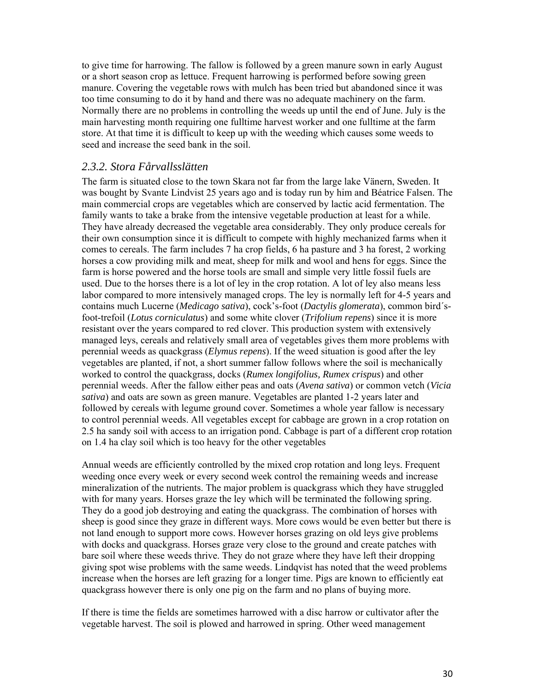to give time for harrowing. The fallow is followed by a green manure sown in early August or a short season crop as lettuce. Frequent harrowing is performed before sowing green manure. Covering the vegetable rows with mulch has been tried but abandoned since it was too time consuming to do it by hand and there was no adequate machinery on the farm. Normally there are no problems in controlling the weeds up until the end of June. July is the main harvesting month requiring one fulltime harvest worker and one fulltime at the farm store. At that time it is difficult to keep up with the weeding which causes some weeds to seed and increase the seed bank in the soil.

#### *2.3.2. Stora Fårvallsslätten*

The farm is situated close to the town Skara not far from the large lake Vänern, Sweden. It was bought by Svante Lindvist 25 years ago and is today run by him and Béatrice Falsen. The main commercial crops are vegetables which are conserved by lactic acid fermentation. The family wants to take a brake from the intensive vegetable production at least for a while. They have already decreased the vegetable area considerably. They only produce cereals for their own consumption since it is difficult to compete with highly mechanized farms when it comes to cereals. The farm includes 7 ha crop fields, 6 ha pasture and 3 ha forest, 2 working horses a cow providing milk and meat, sheep for milk and wool and hens for eggs. Since the farm is horse powered and the horse tools are small and simple very little fossil fuels are used. Due to the horses there is a lot of ley in the crop rotation. A lot of ley also means less labor compared to more intensively managed crops. The ley is normally left for 4-5 years and contains much Lucerne (*Medicago sativa*), cock's-foot (*Dactylis glomerata*), common bird´sfoot-trefoil (*Lotus corniculatus*) and some white clover (*Trifolium repens*) since it is more resistant over the years compared to red clover. This production system with extensively managed leys, cereals and relatively small area of vegetables gives them more problems with perennial weeds as quackgrass (*Elymus repens*). If the weed situation is good after the ley vegetables are planted, if not, a short summer fallow follows where the soil is mechanically worked to control the quackgrass*,* docks (*Rumex longifolius, Rumex crispus*) and other perennial weeds. After the fallow either peas and oats (*Avena sativa*) or common vetch (*Vicia sativa*) and oats are sown as green manure. Vegetables are planted 1-2 years later and followed by cereals with legume ground cover. Sometimes a whole year fallow is necessary to control perennial weeds. All vegetables except for cabbage are grown in a crop rotation on 2.5 ha sandy soil with access to an irrigation pond. Cabbage is part of a different crop rotation on 1.4 ha clay soil which is too heavy for the other vegetables

Annual weeds are efficiently controlled by the mixed crop rotation and long leys. Frequent weeding once every week or every second week control the remaining weeds and increase mineralization of the nutrients. The major problem is quackgrass which they have struggled with for many years. Horses graze the ley which will be terminated the following spring. They do a good job destroying and eating the quackgrass. The combination of horses with sheep is good since they graze in different ways. More cows would be even better but there is not land enough to support more cows. However horses grazing on old leys give problems with docks and quackgrass. Horses graze very close to the ground and create patches with bare soil where these weeds thrive. They do not graze where they have left their dropping giving spot wise problems with the same weeds. Lindqvist has noted that the weed problems increase when the horses are left grazing for a longer time. Pigs are known to efficiently eat quackgrass however there is only one pig on the farm and no plans of buying more.

If there is time the fields are sometimes harrowed with a disc harrow or cultivator after the vegetable harvest. The soil is plowed and harrowed in spring. Other weed management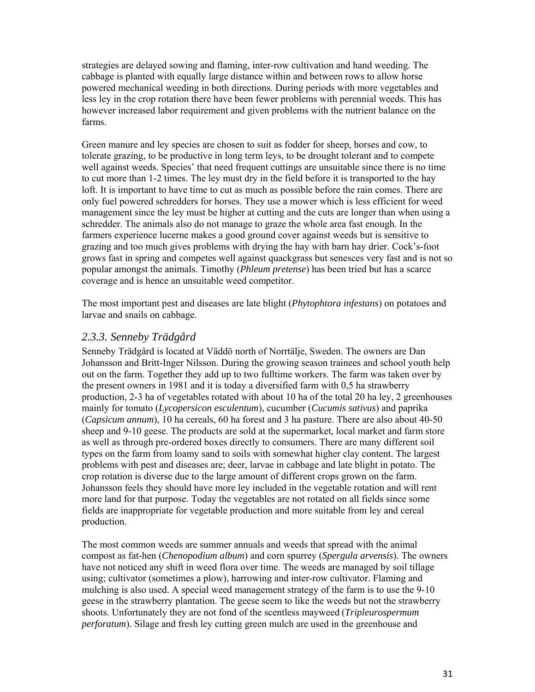strategies are delayed sowing and flaming, inter-row cultivation and hand weeding. The cabbage is planted with equally large distance within and between rows to allow horse powered mechanical weeding in both directions. During periods with more vegetables and less ley in the crop rotation there have been fewer problems with perennial weeds. This has however increased labor requirement and given problems with the nutrient balance on the farms.

Green manure and ley species are chosen to suit as fodder for sheep, horses and cow, to tolerate grazing, to be productive in long term leys, to be drought tolerant and to compete well against weeds. Species' that need frequent cuttings are unsuitable since there is no time to cut more than 1-2 times. The ley must dry in the field before it is transported to the hay loft. It is important to have time to cut as much as possible before the rain comes. There are only fuel powered schredders for horses. They use a mower which is less efficient for weed management since the ley must be higher at cutting and the cuts are longer than when using a schredder. The animals also do not manage to graze the whole area fast enough. In the farmers experience lucerne makes a good ground cover against weeds but is sensitive to grazing and too much gives problems with drying the hay with barn hay drier. Cock's-foot grows fast in spring and competes well against quackgrass but senesces very fast and is not so popular amongst the animals. Timothy (*Phleum pretense*) has been tried but has a scarce coverage and is hence an unsuitable weed competitor.

The most important pest and diseases are late blight (*Phytophtora infestans*) on potatoes and larvae and snails on cabbage.

## *2.3.3. Senneby Trädgård*

Senneby Trädgård is located at Väddö north of Norrtälje, Sweden. The owners are Dan Johansson and Britt-Inger Nilsson. During the growing season trainees and school youth help out on the farm. Together they add up to two fulltime workers. The farm was taken over by the present owners in 1981 and it is today a diversified farm with 0,5 ha strawberry production, 2-3 ha of vegetables rotated with about 10 ha of the total 20 ha ley, 2 greenhouses mainly for tomato (*Lycopersicon esculentum*), cucumber (*Cucumis sativus*) and paprika (*Capsicum annum*), 10 ha cereals, 60 ha forest and 3 ha pasture. There are also about 40-50 sheep and 9-10 geese. The products are sold at the supermarket, local market and farm store as well as through pre-ordered boxes directly to consumers. There are many different soil types on the farm from loamy sand to soils with somewhat higher clay content. The largest problems with pest and diseases are; deer, larvae in cabbage and late blight in potato. The crop rotation is diverse due to the large amount of different crops grown on the farm. Johansson feels they should have more ley included in the vegetable rotation and will rent more land for that purpose. Today the vegetables are not rotated on all fields since some fields are inappropriate for vegetable production and more suitable from ley and cereal production.

The most common weeds are summer annuals and weeds that spread with the animal compost as fat-hen (*Chenopodium album*) and corn spurrey (*Spergula arvensis*). The owners have not noticed any shift in weed flora over time. The weeds are managed by soil tillage using; cultivator (sometimes a plow), harrowing and inter-row cultivator. Flaming and mulching is also used. A special weed management strategy of the farm is to use the 9-10 geese in the strawberry plantation. The geese seem to like the weeds but not the strawberry shoots. Unfortunately they are not fond of the scentless mayweed (*Tripleurospermum perforatum*). Silage and fresh ley cutting green mulch are used in the greenhouse and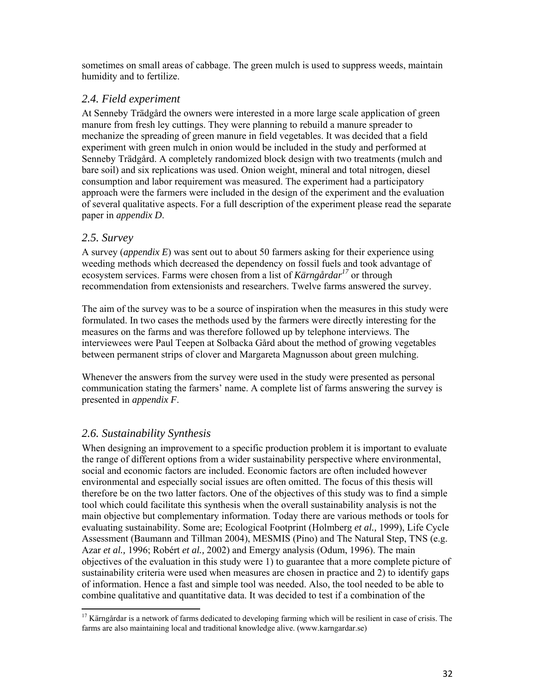sometimes on small areas of cabbage. The green mulch is used to suppress weeds, maintain humidity and to fertilize.

## *2.4. Field experiment*

At Senneby Trädgård the owners were interested in a more large scale application of green manure from fresh ley cuttings. They were planning to rebuild a manure spreader to mechanize the spreading of green manure in field vegetables. It was decided that a field experiment with green mulch in onion would be included in the study and performed at Senneby Trädgård. A completely randomized block design with two treatments (mulch and bare soil) and six replications was used. Onion weight, mineral and total nitrogen, diesel consumption and labor requirement was measured. The experiment had a participatory approach were the farmers were included in the design of the experiment and the evaluation of several qualitative aspects. For a full description of the experiment please read the separate paper in *appendix D*.

## *2.5. Survey*

A survey (*appendix E*) was sent out to about 50 farmers asking for their experience using weeding methods which decreased the dependency on fossil fuels and took advantage of ecosystem services. Farms were chosen from a list of *Kärngårdar<sup>17</sup>* or through recommendation from extensionists and researchers. Twelve farms answered the survey.

The aim of the survey was to be a source of inspiration when the measures in this study were formulated. In two cases the methods used by the farmers were directly interesting for the measures on the farms and was therefore followed up by telephone interviews. The interviewees were Paul Teepen at Solbacka Gård about the method of growing vegetables between permanent strips of clover and Margareta Magnusson about green mulching.

Whenever the answers from the survey were used in the study were presented as personal communication stating the farmers' name. A complete list of farms answering the survey is presented in *appendix F*.

## *2.6. Sustainability Synthesis*

When designing an improvement to a specific production problem it is important to evaluate the range of different options from a wider sustainability perspective where environmental, social and economic factors are included. Economic factors are often included however environmental and especially social issues are often omitted. The focus of this thesis will therefore be on the two latter factors. One of the objectives of this study was to find a simple tool which could facilitate this synthesis when the overall sustainability analysis is not the main objective but complementary information. Today there are various methods or tools for evaluating sustainability. Some are; Ecological Footprint (Holmberg *et al.,* 1999), Life Cycle Assessment (Baumann and Tillman 2004), MESMIS (Pino) and The Natural Step, TNS (e.g. Azar *et al.,* 1996; Robért *et al.,* 2002) and Emergy analysis (Odum, 1996). The main objectives of the evaluation in this study were 1) to guarantee that a more complete picture of sustainability criteria were used when measures are chosen in practice and 2) to identify gaps of information. Hence a fast and simple tool was needed. Also, the tool needed to be able to combine qualitative and quantitative data. It was decided to test if a combination of the

  $17$  Kärngårdar is a network of farms dedicated to developing farming which will be resilient in case of crisis. The farms are also maintaining local and traditional knowledge alive. (www.karngardar.se)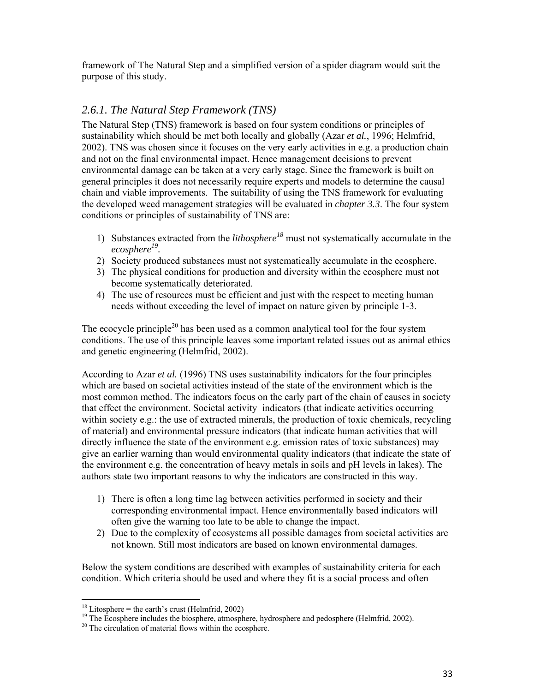framework of The Natural Step and a simplified version of a spider diagram would suit the purpose of this study.

## *2.6.1. The Natural Step Framework (TNS)*

The Natural Step (TNS) framework is based on four system conditions or principles of sustainability which should be met both locally and globally (Azar *et al.*, 1996; Helmfrid, 2002). TNS was chosen since it focuses on the very early activities in e.g. a production chain and not on the final environmental impact. Hence management decisions to prevent environmental damage can be taken at a very early stage. Since the framework is built on general principles it does not necessarily require experts and models to determine the causal chain and viable improvements. The suitability of using the TNS framework for evaluating the developed weed management strategies will be evaluated in *chapter 3.3*. The four system conditions or principles of sustainability of TNS are:

- 1) Substances extracted from the *lithosphere<sup>18</sup>* must not systematically accumulate in the *ecosphere19.*
- 2) Society produced substances must not systematically accumulate in the ecosphere.
- 3) The physical conditions for production and diversity within the ecosphere must not become systematically deteriorated.
- 4) The use of resources must be efficient and just with the respect to meeting human needs without exceeding the level of impact on nature given by principle 1-3.

The ecocycle principle<sup>20</sup> has been used as a common analytical tool for the four system conditions. The use of this principle leaves some important related issues out as animal ethics and genetic engineering (Helmfrid, 2002).

According to Azar *et al.* (1996) TNS uses sustainability indicators for the four principles which are based on societal activities instead of the state of the environment which is the most common method. The indicators focus on the early part of the chain of causes in society that effect the environment. Societal activity indicators (that indicate activities occurring within society e.g.: the use of extracted minerals, the production of toxic chemicals, recycling of material) and environmental pressure indicators (that indicate human activities that will directly influence the state of the environment e.g. emission rates of toxic substances) may give an earlier warning than would environmental quality indicators (that indicate the state of the environment e.g. the concentration of heavy metals in soils and pH levels in lakes). The authors state two important reasons to why the indicators are constructed in this way.

- 1) There is often a long time lag between activities performed in society and their corresponding environmental impact. Hence environmentally based indicators will often give the warning too late to be able to change the impact.
- 2) Due to the complexity of ecosystems all possible damages from societal activities are not known. Still most indicators are based on known environmental damages.

Below the system conditions are described with examples of sustainability criteria for each condition. Which criteria should be used and where they fit is a social process and often

<sup>&</sup>lt;sup>18</sup> Litosphere = the earth's crust (Helmfrid, 2002)

<sup>&</sup>lt;sup>19</sup> The Ecosphere includes the biosphere, atmosphere, hydrosphere and pedosphere (Helmfrid, 2002).

<sup>&</sup>lt;sup>20</sup> The circulation of material flows within the ecosphere.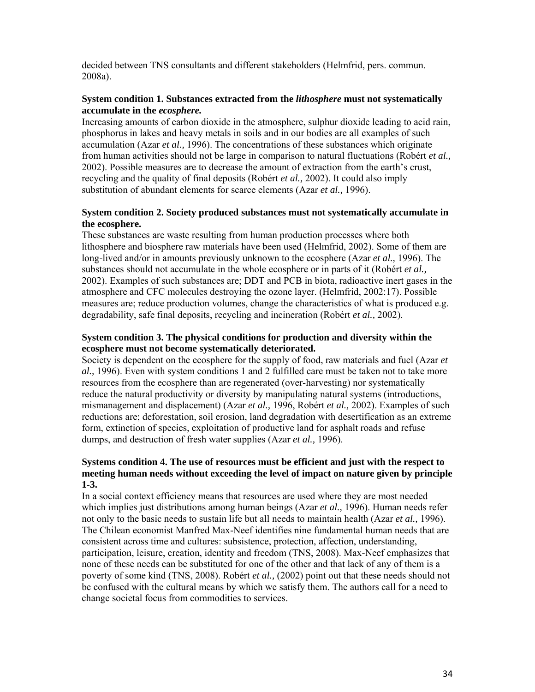decided between TNS consultants and different stakeholders (Helmfrid, pers. commun. 2008a).

#### **System condition 1. Substances extracted from the** *lithosphere* **must not systematically accumulate in the** *ecosphere.*

Increasing amounts of carbon dioxide in the atmosphere, sulphur dioxide leading to acid rain, phosphorus in lakes and heavy metals in soils and in our bodies are all examples of such accumulation (Azar *et al.,* 1996). The concentrations of these substances which originate from human activities should not be large in comparison to natural fluctuations (Robért *et al.,* 2002). Possible measures are to decrease the amount of extraction from the earth's crust, recycling and the quality of final deposits (Robért *et al.,* 2002). It could also imply substitution of abundant elements for scarce elements (Azar *et al.,* 1996).

#### **System condition 2. Society produced substances must not systematically accumulate in the ecosphere.**

These substances are waste resulting from human production processes where both lithosphere and biosphere raw materials have been used (Helmfrid, 2002). Some of them are long-lived and/or in amounts previously unknown to the ecosphere (Azar *et al.,* 1996). The substances should not accumulate in the whole ecosphere or in parts of it (Robért *et al.,* 2002). Examples of such substances are; DDT and PCB in biota, radioactive inert gases in the atmosphere and CFC molecules destroying the ozone layer. (Helmfrid, 2002:17). Possible measures are; reduce production volumes, change the characteristics of what is produced e.g. degradability, safe final deposits, recycling and incineration (Robért *et al.,* 2002).

#### **System condition 3. The physical conditions for production and diversity within the ecosphere must not become systematically deteriorated.**

Society is dependent on the ecosphere for the supply of food, raw materials and fuel (Azar *et al.,* 1996). Even with system conditions 1 and 2 fulfilled care must be taken not to take more resources from the ecosphere than are regenerated (over-harvesting) nor systematically reduce the natural productivity or diversity by manipulating natural systems (introductions, mismanagement and displacement) (Azar *et al.,* 1996, Robért *et al.,* 2002). Examples of such reductions are; deforestation, soil erosion, land degradation with desertification as an extreme form, extinction of species, exploitation of productive land for asphalt roads and refuse dumps, and destruction of fresh water supplies (Azar *et al.,* 1996).

#### **Systems condition 4. The use of resources must be efficient and just with the respect to meeting human needs without exceeding the level of impact on nature given by principle 1-3.**

In a social context efficiency means that resources are used where they are most needed which implies just distributions among human beings (Azar *et al.,* 1996). Human needs refer not only to the basic needs to sustain life but all needs to maintain health (Azar *et al.,* 1996). The Chilean economist Manfred Max-Neef identifies nine fundamental human needs that are consistent across time and cultures: subsistence, protection, affection, understanding, participation, leisure, creation, identity and freedom (TNS, 2008). Max-Neef emphasizes that none of these needs can be substituted for one of the other and that lack of any of them is a poverty of some kind (TNS, 2008). Robért *et al.,* (2002) point out that these needs should not be confused with the cultural means by which we satisfy them. The authors call for a need to change societal focus from commodities to services.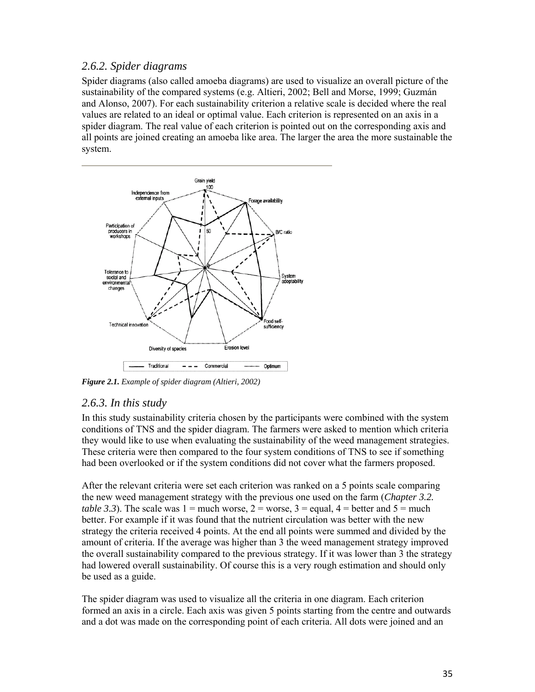## *2.6.2. Spider diagrams*

Spider diagrams (also called amoeba diagrams) are used to visualize an overall picture of the sustainability of the compared systems (e.g. Altieri, 2002; Bell and Morse, 1999; Guzmán and Alonso, 2007). For each sustainability criterion a relative scale is decided where the real values are related to an ideal or optimal value. Each criterion is represented on an axis in a spider diagram. The real value of each criterion is pointed out on the corresponding axis and all points are joined creating an amoeba like area. The larger the area the more sustainable the system.



## *2.6.3. In this study*

In this study sustainability criteria chosen by the participants were combined with the system conditions of TNS and the spider diagram. The farmers were asked to mention which criteria they would like to use when evaluating the sustainability of the weed management strategies. These criteria were then compared to the four system conditions of TNS to see if something had been overlooked or if the system conditions did not cover what the farmers proposed.

After the relevant criteria were set each criterion was ranked on a 5 points scale comparing the new weed management strategy with the previous one used on the farm (*Chapter 3.2. table 3.3*). The scale was  $1 =$  much worse,  $2 =$  worse,  $3 =$  equal,  $4 =$  better and  $5 =$  much better. For example if it was found that the nutrient circulation was better with the new strategy the criteria received 4 points. At the end all points were summed and divided by the amount of criteria. If the average was higher than 3 the weed management strategy improved the overall sustainability compared to the previous strategy. If it was lower than 3 the strategy had lowered overall sustainability. Of course this is a very rough estimation and should only be used as a guide.

The spider diagram was used to visualize all the criteria in one diagram. Each criterion formed an axis in a circle. Each axis was given 5 points starting from the centre and outwards and a dot was made on the corresponding point of each criteria. All dots were joined and an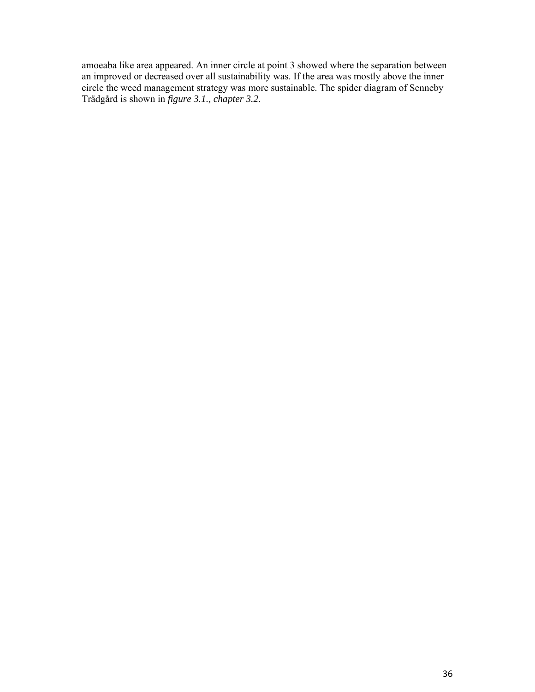amoeaba like area appeared. An inner circle at point 3 showed where the separation between an improved or decreased over all sustainability was. If the area was mostly above the inner circle the weed management strategy was more sustainable. The spider diagram of Senneby Trädgård is shown in *figure 3.1., chapter 3.2*.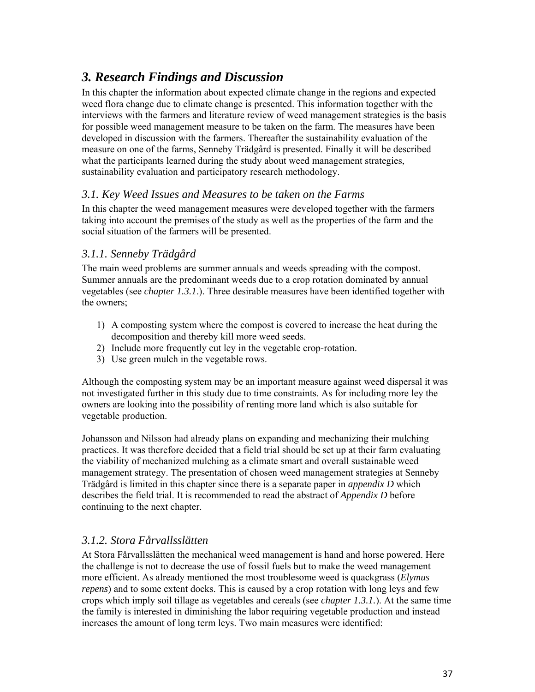# *3. Research Findings and Discussion*

In this chapter the information about expected climate change in the regions and expected weed flora change due to climate change is presented. This information together with the interviews with the farmers and literature review of weed management strategies is the basis for possible weed management measure to be taken on the farm. The measures have been developed in discussion with the farmers. Thereafter the sustainability evaluation of the measure on one of the farms, Senneby Trädgård is presented. Finally it will be described what the participants learned during the study about weed management strategies, sustainability evaluation and participatory research methodology.

## *3.1. Key Weed Issues and Measures to be taken on the Farms*

In this chapter the weed management measures were developed together with the farmers taking into account the premises of the study as well as the properties of the farm and the social situation of the farmers will be presented.

# *3.1.1. Senneby Trädgård*

The main weed problems are summer annuals and weeds spreading with the compost. Summer annuals are the predominant weeds due to a crop rotation dominated by annual vegetables (see *chapter 1.3.1*.). Three desirable measures have been identified together with the owners;

- 1) A composting system where the compost is covered to increase the heat during the decomposition and thereby kill more weed seeds.
- 2) Include more frequently cut ley in the vegetable crop-rotation.
- 3) Use green mulch in the vegetable rows.

Although the composting system may be an important measure against weed dispersal it was not investigated further in this study due to time constraints. As for including more ley the owners are looking into the possibility of renting more land which is also suitable for vegetable production.

Johansson and Nilsson had already plans on expanding and mechanizing their mulching practices. It was therefore decided that a field trial should be set up at their farm evaluating the viability of mechanized mulching as a climate smart and overall sustainable weed management strategy. The presentation of chosen weed management strategies at Senneby Trädgård is limited in this chapter since there is a separate paper in *appendix D* which describes the field trial. It is recommended to read the abstract of *Appendix D* before continuing to the next chapter.

## *3.1.2. Stora Fårvallsslätten*

At Stora Fårvallsslätten the mechanical weed management is hand and horse powered. Here the challenge is not to decrease the use of fossil fuels but to make the weed management more efficient. As already mentioned the most troublesome weed is quackgrass (*Elymus repens*) and to some extent docks. This is caused by a crop rotation with long leys and few crops which imply soil tillage as vegetables and cereals (see *chapter 1.3.1.*). At the same time the family is interested in diminishing the labor requiring vegetable production and instead increases the amount of long term leys. Two main measures were identified: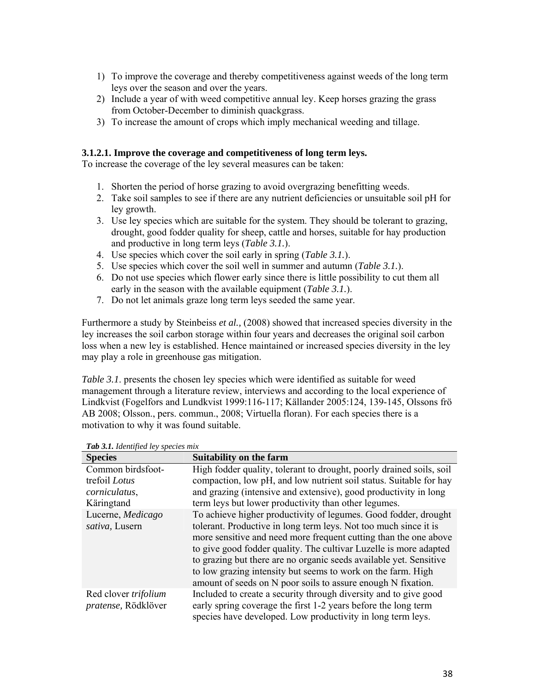- 1) To improve the coverage and thereby competitiveness against weeds of the long term leys over the season and over the years.
- 2) Include a year of with weed competitive annual ley. Keep horses grazing the grass from October-December to diminish quackgrass.
- 3) To increase the amount of crops which imply mechanical weeding and tillage.

#### **3.1.2.1. Improve the coverage and competitiveness of long term leys.**

To increase the coverage of the ley several measures can be taken:

- 1. Shorten the period of horse grazing to avoid overgrazing benefitting weeds.
- 2. Take soil samples to see if there are any nutrient deficiencies or unsuitable soil pH for ley growth.
- 3. Use ley species which are suitable for the system. They should be tolerant to grazing, drought, good fodder quality for sheep, cattle and horses, suitable for hay production and productive in long term leys (*Table 3.1.*).
- 4. Use species which cover the soil early in spring (*Table 3.1.*).
- 5. Use species which cover the soil well in summer and autumn (*Table 3.1.*).
- 6. Do not use species which flower early since there is little possibility to cut them all early in the season with the available equipment (*Table 3.1.*).
- 7. Do not let animals graze long term leys seeded the same year.

Furthermore a study by Steinbeiss *et al.,* (2008) showed that increased species diversity in the ley increases the soil carbon storage within four years and decreases the original soil carbon loss when a new ley is established. Hence maintained or increased species diversity in the ley may play a role in greenhouse gas mitigation.

*Table 3.1*. presents the chosen ley species which were identified as suitable for weed management through a literature review, interviews and according to the local experience of Lindkvist (Fogelfors and Lundkvist 1999:116-117; Källander 2005:124, 139-145, Olssons frö AB 2008; Olsson., pers. commun., 2008; Virtuella floran). For each species there is a motivation to why it was found suitable.

| <b>Species</b>       | <b>Suitability on the farm</b>                                       |  |  |  |
|----------------------|----------------------------------------------------------------------|--|--|--|
| Common birdsfoot-    | High fodder quality, tolerant to drought, poorly drained soils, soil |  |  |  |
| trefoil <i>Lotus</i> | compaction, low pH, and low nutrient soil status. Suitable for hay   |  |  |  |
| corniculatus,        | and grazing (intensive and extensive), good productivity in long     |  |  |  |
| Käringtand           | term leys but lower productivity than other legumes.                 |  |  |  |
| Lucerne, Medicago    | To achieve higher productivity of legumes. Good fodder, drought      |  |  |  |
| sativa, Lusern       | tolerant. Productive in long term leys. Not too much since it is     |  |  |  |
|                      | more sensitive and need more frequent cutting than the one above     |  |  |  |
|                      | to give good fodder quality. The cultivar Luzelle is more adapted    |  |  |  |
|                      | to grazing but there are no organic seeds available yet. Sensitive   |  |  |  |
|                      | to low grazing intensity but seems to work on the farm. High         |  |  |  |
|                      | amount of seeds on N poor soils to assure enough N fixation.         |  |  |  |
| Red clover trifolium | Included to create a security through diversity and to give good     |  |  |  |
| pratense, Rödklöver  | early spring coverage the first 1-2 years before the long term       |  |  |  |
|                      | species have developed. Low productivity in long term leys.          |  |  |  |

*Tab 3.1. Identified ley species mix*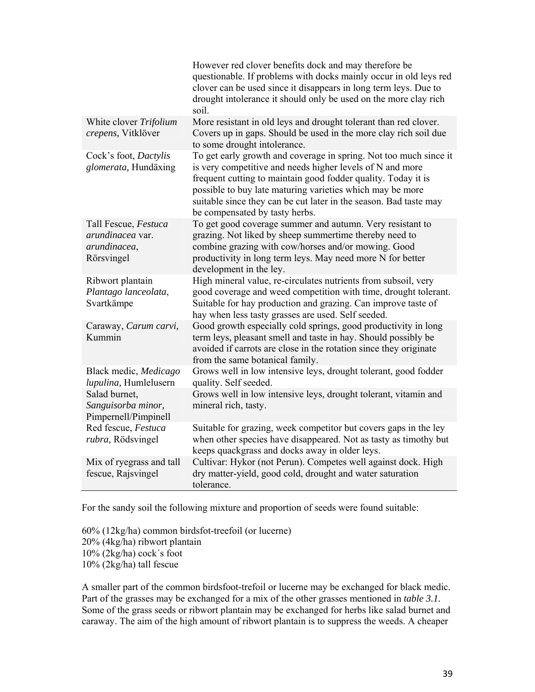|                                                                        | However red clover benefits dock and may therefore be<br>questionable. If problems with docks mainly occur in old leys red<br>clover can be used since it disappears in long term leys. Due to<br>drought intolerance it should only be used on the more clay rich<br>soil.                                                                                         |
|------------------------------------------------------------------------|---------------------------------------------------------------------------------------------------------------------------------------------------------------------------------------------------------------------------------------------------------------------------------------------------------------------------------------------------------------------|
| White clover Trifolium<br>crepens, Vitklöver                           | More resistant in old leys and drought tolerant than red clover.<br>Covers up in gaps. Should be used in the more clay rich soil due<br>to some drought intolerance.                                                                                                                                                                                                |
| Cock's foot, Dactylis<br>glomerata, Hundäxing                          | To get early growth and coverage in spring. Not too much since it<br>is very competitive and needs higher levels of N and more<br>frequent cutting to maintain good fodder quality. Today it is<br>possible to buy late maturing varieties which may be more<br>suitable since they can be cut later in the season. Bad taste may<br>be compensated by tasty herbs. |
| Tall Fescue, Festuca<br>arundinacea var.<br>arundinacea,<br>Rörsvingel | To get good coverage summer and autumn. Very resistant to<br>grazing. Not liked by sheep summertime thereby need to<br>combine grazing with cow/horses and/or mowing. Good<br>productivity in long term leys. May need more N for better<br>development in the ley.                                                                                                 |
| Ribwort plantain<br>Plantago lanceolata,<br>Svartkämpe                 | High mineral value, re-circulates nutrients from subsoil, very<br>good coverage and weed competition with time, drought tolerant.<br>Suitable for hay production and grazing. Can improve taste of<br>hay when less tasty grasses are used. Self seeded.                                                                                                            |
| Caraway, Carum carvi,<br>Kummin                                        | Good growth especially cold springs, good productivity in long<br>term leys, pleasant smell and taste in hay. Should possibly be<br>avoided if carrots are close in the rotation since they originate<br>from the same botanical family.                                                                                                                            |
| Black medic, Medicago<br>lupulina, Humlelusern                         | Grows well in low intensive leys, drought tolerant, good fodder<br>quality. Self seeded.                                                                                                                                                                                                                                                                            |
| Salad burnet,<br>Sanguisorba minor,<br>Pimpernell/Pimpinell            | Grows well in low intensive leys, drought tolerant, vitamin and<br>mineral rich, tasty.                                                                                                                                                                                                                                                                             |
| Red fescue, Festuca<br>rubra, Rödsvingel                               | Suitable for grazing, week competitor but covers gaps in the ley<br>when other species have disappeared. Not as tasty as timothy but<br>keeps quackgrass and docks away in older leys.                                                                                                                                                                              |
| Mix of ryegrass and tall<br>fescue, Rajsvingel                         | Cultivar: Hykor (not Perun). Competes well against dock. High<br>dry matter-yield, good cold, drought and water saturation<br>tolerance.                                                                                                                                                                                                                            |

For the sandy soil the following mixture and proportion of seeds were found suitable:

60% (12kg/ha) common birdsfot-treefoil (or lucerne) 20% (4kg/ha) ribwort plantain 10% (2kg/ha) cock´s foot 10% (2kg/ha) tall fescue

A smaller part of the common birdsfoot-trefoil or lucerne may be exchanged for black medic. Part of the grasses may be exchanged for a mix of the other grasses mentioned in *table 3.1.* Some of the grass seeds or ribwort plantain may be exchanged for herbs like salad burnet and caraway. The aim of the high amount of ribwort plantain is to suppress the weeds. A cheaper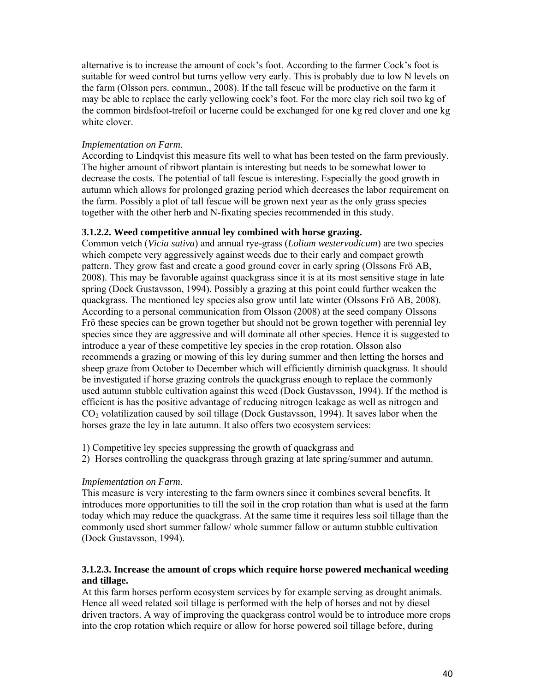alternative is to increase the amount of cock's foot. According to the farmer Cock's foot is suitable for weed control but turns yellow very early. This is probably due to low N levels on the farm (Olsson pers. commun., 2008). If the tall fescue will be productive on the farm it may be able to replace the early yellowing cock's foot. For the more clay rich soil two kg of the common birdsfoot-trefoil or lucerne could be exchanged for one kg red clover and one kg white clover.

#### *Implementation on Farm.*

According to Lindqvist this measure fits well to what has been tested on the farm previously. The higher amount of ribwort plantain is interesting but needs to be somewhat lower to decrease the costs. The potential of tall fescue is interesting. Especially the good growth in autumn which allows for prolonged grazing period which decreases the labor requirement on the farm. Possibly a plot of tall fescue will be grown next year as the only grass species together with the other herb and N-fixating species recommended in this study.

#### **3.1.2.2. Weed competitive annual ley combined with horse grazing.**

Common vetch (*Vicia sativa*) and annual rye-grass (*Lolium westervodicum*) are two species which compete very aggressively against weeds due to their early and compact growth pattern. They grow fast and create a good ground cover in early spring (Olssons Frö AB, 2008). This may be favorable against quackgrass since it is at its most sensitive stage in late spring (Dock Gustavsson, 1994). Possibly a grazing at this point could further weaken the quackgrass. The mentioned ley species also grow until late winter (Olssons Frö AB, 2008). According to a personal communication from Olsson (2008) at the seed company Olssons Frö these species can be grown together but should not be grown together with perennial ley species since they are aggressive and will dominate all other species. Hence it is suggested to introduce a year of these competitive ley species in the crop rotation. Olsson also recommends a grazing or mowing of this ley during summer and then letting the horses and sheep graze from October to December which will efficiently diminish quackgrass. It should be investigated if horse grazing controls the quackgrass enough to replace the commonly used autumn stubble cultivation against this weed (Dock Gustavsson, 1994). If the method is efficient is has the positive advantage of reducing nitrogen leakage as well as nitrogen and CO2 volatilization caused by soil tillage (Dock Gustavsson, 1994). It saves labor when the horses graze the ley in late autumn. It also offers two ecosystem services:

- 1) Competitive ley species suppressing the growth of quackgrass and
- 2) Horses controlling the quackgrass through grazing at late spring/summer and autumn.

#### *Implementation on Farm.*

This measure is very interesting to the farm owners since it combines several benefits. It introduces more opportunities to till the soil in the crop rotation than what is used at the farm today which may reduce the quackgrass. At the same time it requires less soil tillage than the commonly used short summer fallow/ whole summer fallow or autumn stubble cultivation (Dock Gustavsson, 1994).

#### **3.1.2.3. Increase the amount of crops which require horse powered mechanical weeding and tillage.**

At this farm horses perform ecosystem services by for example serving as drought animals. Hence all weed related soil tillage is performed with the help of horses and not by diesel driven tractors. A way of improving the quackgrass control would be to introduce more crops into the crop rotation which require or allow for horse powered soil tillage before, during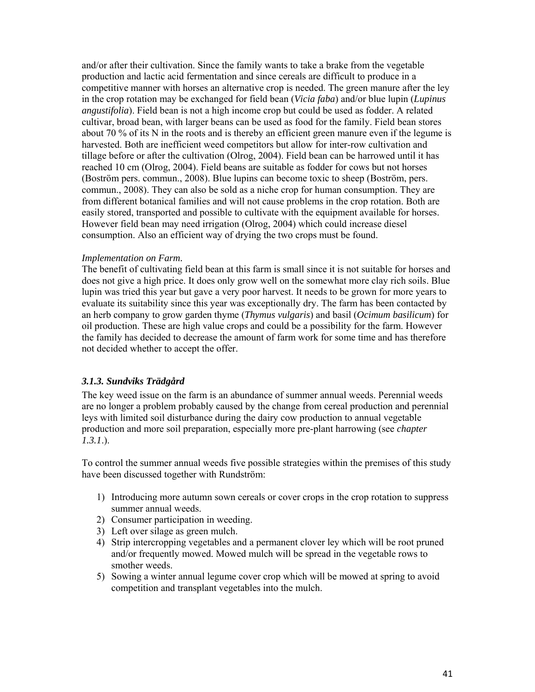and/or after their cultivation. Since the family wants to take a brake from the vegetable production and lactic acid fermentation and since cereals are difficult to produce in a competitive manner with horses an alternative crop is needed. The green manure after the ley in the crop rotation may be exchanged for field bean (*Vicia faba*) and/or blue lupin (*Lupinus angustifolia*). Field bean is not a high income crop but could be used as fodder. A related cultivar, broad bean, with larger beans can be used as food for the family. Field bean stores about 70 % of its N in the roots and is thereby an efficient green manure even if the legume is harvested. Both are inefficient weed competitors but allow for inter-row cultivation and tillage before or after the cultivation (Olrog, 2004). Field bean can be harrowed until it has reached 10 cm (Olrog, 2004). Field beans are suitable as fodder for cows but not horses (Boström pers. commun., 2008). Blue lupins can become toxic to sheep (Boström, pers. commun., 2008). They can also be sold as a niche crop for human consumption. They are from different botanical families and will not cause problems in the crop rotation. Both are easily stored, transported and possible to cultivate with the equipment available for horses. However field bean may need irrigation (Olrog, 2004) which could increase diesel consumption. Also an efficient way of drying the two crops must be found.

#### *Implementation on Farm.*

The benefit of cultivating field bean at this farm is small since it is not suitable for horses and does not give a high price. It does only grow well on the somewhat more clay rich soils. Blue lupin was tried this year but gave a very poor harvest. It needs to be grown for more years to evaluate its suitability since this year was exceptionally dry. The farm has been contacted by an herb company to grow garden thyme (*Thymus vulgaris*) and basil (*Ocimum basilicum*) for oil production. These are high value crops and could be a possibility for the farm. However the family has decided to decrease the amount of farm work for some time and has therefore not decided whether to accept the offer.

#### *3.1.3. Sundviks Trädgård*

The key weed issue on the farm is an abundance of summer annual weeds. Perennial weeds are no longer a problem probably caused by the change from cereal production and perennial leys with limited soil disturbance during the dairy cow production to annual vegetable production and more soil preparation, especially more pre-plant harrowing (see *chapter 1.3.1*.).

To control the summer annual weeds five possible strategies within the premises of this study have been discussed together with Rundström:

- 1) Introducing more autumn sown cereals or cover crops in the crop rotation to suppress summer annual weeds.
- 2) Consumer participation in weeding.
- 3) Left over silage as green mulch.
- 4) Strip intercropping vegetables and a permanent clover ley which will be root pruned and/or frequently mowed. Mowed mulch will be spread in the vegetable rows to smother weeds.
- 5) Sowing a winter annual legume cover crop which will be mowed at spring to avoid competition and transplant vegetables into the mulch.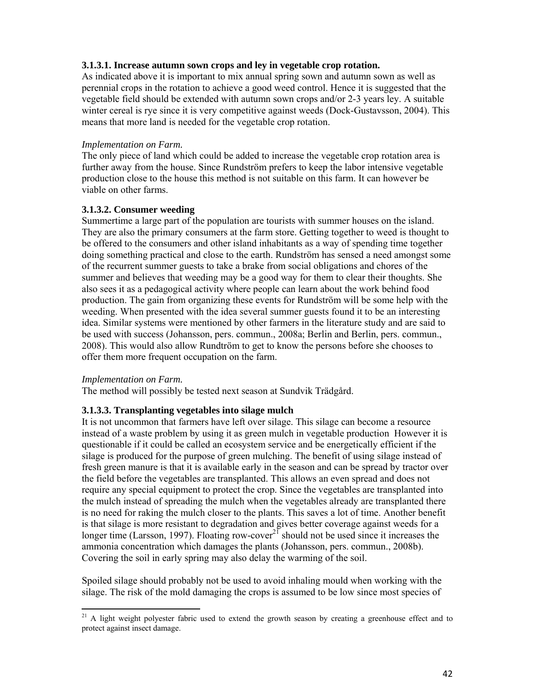## **3.1.3.1. Increase autumn sown crops and ley in vegetable crop rotation.**

As indicated above it is important to mix annual spring sown and autumn sown as well as perennial crops in the rotation to achieve a good weed control. Hence it is suggested that the vegetable field should be extended with autumn sown crops and/or 2-3 years ley. A suitable winter cereal is rye since it is very competitive against weeds (Dock-Gustavsson, 2004). This means that more land is needed for the vegetable crop rotation.

#### *Implementation on Farm.*

The only piece of land which could be added to increase the vegetable crop rotation area is further away from the house. Since Rundström prefers to keep the labor intensive vegetable production close to the house this method is not suitable on this farm. It can however be viable on other farms.

## **3.1.3.2. Consumer weeding**

Summertime a large part of the population are tourists with summer houses on the island. They are also the primary consumers at the farm store. Getting together to weed is thought to be offered to the consumers and other island inhabitants as a way of spending time together doing something practical and close to the earth. Rundström has sensed a need amongst some of the recurrent summer guests to take a brake from social obligations and chores of the summer and believes that weeding may be a good way for them to clear their thoughts. She also sees it as a pedagogical activity where people can learn about the work behind food production. The gain from organizing these events for Rundström will be some help with the weeding. When presented with the idea several summer guests found it to be an interesting idea. Similar systems were mentioned by other farmers in the literature study and are said to be used with success (Johansson, pers. commun., 2008a; Berlin and Berlin, pers. commun., 2008). This would also allow Rundtröm to get to know the persons before she chooses to offer them more frequent occupation on the farm.

#### *Implementation on Farm.*

The method will possibly be tested next season at Sundvik Trädgård.

## **3.1.3.3. Transplanting vegetables into silage mulch**

It is not uncommon that farmers have left over silage. This silage can become a resource instead of a waste problem by using it as green mulch in vegetable production However it is questionable if it could be called an ecosystem service and be energetically efficient if the silage is produced for the purpose of green mulching. The benefit of using silage instead of fresh green manure is that it is available early in the season and can be spread by tractor over the field before the vegetables are transplanted. This allows an even spread and does not require any special equipment to protect the crop. Since the vegetables are transplanted into the mulch instead of spreading the mulch when the vegetables already are transplanted there is no need for raking the mulch closer to the plants. This saves a lot of time. Another benefit is that silage is more resistant to degradation and gives better coverage against weeds for a longer time (Larsson, 1997). Floating row-cover<sup>21</sup> should not be used since it increases the ammonia concentration which damages the plants (Johansson, pers. commun., 2008b). Covering the soil in early spring may also delay the warming of the soil.

Spoiled silage should probably not be used to avoid inhaling mould when working with the silage. The risk of the mold damaging the crops is assumed to be low since most species of

  $2<sup>1</sup>$  A light weight polyester fabric used to extend the growth season by creating a greenhouse effect and to protect against insect damage.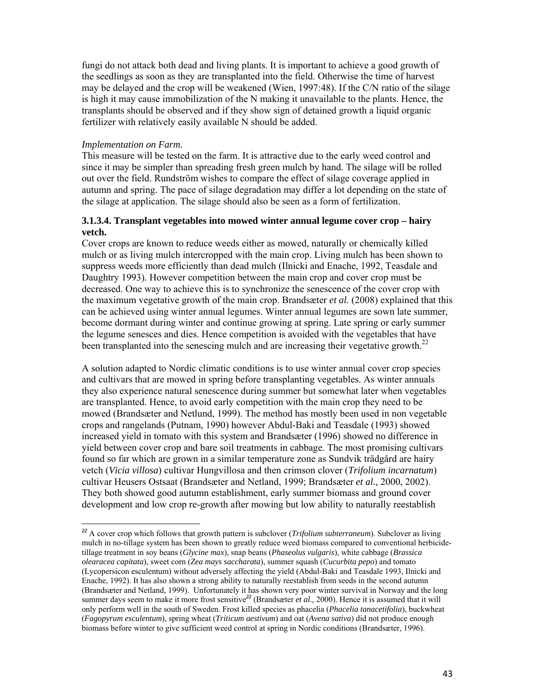fungi do not attack both dead and living plants. It is important to achieve a good growth of the seedlings as soon as they are transplanted into the field. Otherwise the time of harvest may be delayed and the crop will be weakened (Wien, 1997:48). If the C/N ratio of the silage is high it may cause immobilization of the N making it unavailable to the plants. Hence, the transplants should be observed and if they show sign of detained growth a liquid organic fertilizer with relatively easily available N should be added.

#### *Implementation on Farm.*

This measure will be tested on the farm. It is attractive due to the early weed control and since it may be simpler than spreading fresh green mulch by hand. The silage will be rolled out over the field. Rundström wishes to compare the effect of silage coverage applied in autumn and spring. The pace of silage degradation may differ a lot depending on the state of the silage at application. The silage should also be seen as a form of fertilization.

## **3.1.3.4. Transplant vegetables into mowed winter annual legume cover crop – hairy vetch.**

Cover crops are known to reduce weeds either as mowed, naturally or chemically killed mulch or as living mulch intercropped with the main crop. Living mulch has been shown to suppress weeds more efficiently than dead mulch (Ilnicki and Enache, 1992, Teasdale and Daughtry 1993). However competition between the main crop and cover crop must be decreased. One way to achieve this is to synchronize the senescence of the cover crop with the maximum vegetative growth of the main crop. Brandsæter *et al.* (2008) explained that this can be achieved using winter annual legumes. Winter annual legumes are sown late summer, become dormant during winter and continue growing at spring. Late spring or early summer the legume senesces and dies. Hence competition is avoided with the vegetables that have been transplanted into the senescing mulch and are increasing their vegetative growth.<sup>22</sup>

A solution adapted to Nordic climatic conditions is to use winter annual cover crop species and cultivars that are mowed in spring before transplanting vegetables. As winter annuals they also experience natural senescence during summer but somewhat later when vegetables are transplanted. Hence, to avoid early competition with the main crop they need to be mowed (Brandsæter and Netlund, 1999). The method has mostly been used in non vegetable crops and rangelands (Putnam, 1990) however Abdul-Baki and Teasdale (1993) showed increased yield in tomato with this system and Brandsæter (1996) showed no difference in yield between cover crop and bare soil treatments in cabbage. The most promising cultivars found so far which are grown in a similar temperature zone as Sundvik trädgård are hairy vetch (*Vicia villosa*) cultivar Hungvillosa and then crimson clover (*Trifolium incarnatum*) cultivar Heusers Ostsaat (Brandsæter and Netland, 1999; Brandsæter *et al.,* 2000, 2002). They both showed good autumn establishment, early summer biomass and ground cover development and low crop re-growth after mowing but low ability to naturally reestablish

*<sup>22</sup>* A cover crop which follows that growth pattern is subclover (*Trifolium subterraneum*). Subclover as living mulch in no-tillage system has been shown to greatly reduce weed biomass compared to conventional herbicidetillage treatment in soy beans (*Glycine max*), snap beans (*Phaseolus vulgaris*), white cabbage (*Brassica olearacea capitata*), sweet corn (*Zea mays saccharata*), summer squash (*Cucurbita pepo*) and tomato (Lycopersicon esculentum) without adversely affecting the yield (Abdul-Baki and Teasdale 1993, Ilnicki and Enache, 1992). It has also shown a strong ability to naturally reestablish from seeds in the second autumn (Brandsæter and Netland, 1999). Unfortunately it has shown very poor winter survival in Norway and the long summer days seem to make it more frost sensitive<sup>22</sup> (Brandsæter *et al.*, 2000). Hence it is assumed that it will only perform well in the south of Sweden. Frost killed species as phacelia (*Phacelia tanacetifolia*), buckwheat (*Fagopyrum esculentum*), spring wheat (*Triticum aestivum*) and oat (*Avena sativa*) did not produce enough biomass before winter to give sufficient weed control at spring in Nordic conditions (Brandsæter, 1996).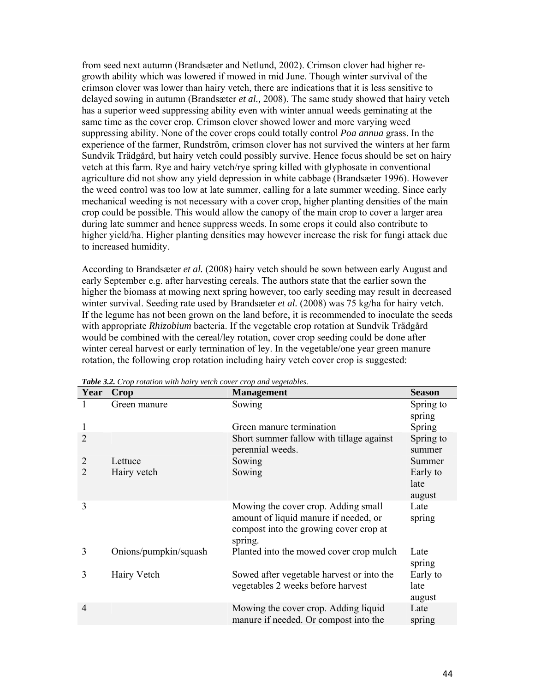from seed next autumn (Brandsæter and Netlund, 2002). Crimson clover had higher regrowth ability which was lowered if mowed in mid June. Though winter survival of the crimson clover was lower than hairy vetch, there are indications that it is less sensitive to delayed sowing in autumn (Brandsæter *et al.,* 2008). The same study showed that hairy vetch has a superior weed suppressing ability even with winter annual weeds geminating at the same time as the cover crop. Crimson clover showed lower and more varying weed suppressing ability. None of the cover crops could totally control *Poa annua* grass. In the experience of the farmer, Rundström, crimson clover has not survived the winters at her farm Sundvik Trädgård, but hairy vetch could possibly survive. Hence focus should be set on hairy vetch at this farm. Rye and hairy vetch/rye spring killed with glyphosate in conventional agriculture did not show any yield depression in white cabbage (Brandsæter 1996). However the weed control was too low at late summer, calling for a late summer weeding. Since early mechanical weeding is not necessary with a cover crop, higher planting densities of the main crop could be possible. This would allow the canopy of the main crop to cover a larger area during late summer and hence suppress weeds. In some crops it could also contribute to higher yield/ha. Higher planting densities may however increase the risk for fungi attack due to increased humidity.

According to Brandsæter *et al.* (2008) hairy vetch should be sown between early August and early September e.g. after harvesting cereals. The authors state that the earlier sown the higher the biomass at mowing next spring however, too early seeding may result in decreased winter survival. Seeding rate used by Brandsæter *et al.* (2008) was 75 kg/ha for hairy vetch. If the legume has not been grown on the land before, it is recommended to inoculate the seeds with appropriate *Rhizobium* bacteria. If the vegetable crop rotation at Sundvik Trädgård would be combined with the cereal/ley rotation, cover crop seeding could be done after winter cereal harvest or early termination of ley. In the vegetable/one year green manure rotation, the following crop rotation including hairy vetch cover crop is suggested:

| Year           | <b>Tuble 3.2.</b> Crop rollition with hairly velen cover crop and vegetables.<br>Crop | <b>Management</b>                                                                                                                 | <b>Season</b>              |
|----------------|---------------------------------------------------------------------------------------|-----------------------------------------------------------------------------------------------------------------------------------|----------------------------|
|                | Green manure                                                                          | Sowing                                                                                                                            | Spring to<br>spring        |
| $\mathbf{1}$   |                                                                                       | Green manure termination                                                                                                          | Spring                     |
| $\overline{2}$ |                                                                                       | Short summer fallow with tillage against<br>perennial weeds.                                                                      | Spring to<br>summer        |
| $\overline{2}$ | Lettuce                                                                               | Sowing                                                                                                                            | Summer                     |
| $\overline{2}$ | Hairy vetch                                                                           | Sowing                                                                                                                            | Early to<br>late<br>august |
| 3              |                                                                                       | Mowing the cover crop. Adding small<br>amount of liquid manure if needed, or<br>compost into the growing cover crop at<br>spring. | Late<br>spring             |
| 3              | Onions/pumpkin/squash                                                                 | Planted into the mowed cover crop mulch                                                                                           | Late<br>spring             |
| 3              | Hairy Vetch                                                                           | Sowed after vegetable harvest or into the<br>vegetables 2 weeks before harvest                                                    | Early to<br>late<br>august |
| $\overline{4}$ |                                                                                       | Mowing the cover crop. Adding liquid<br>manure if needed. Or compost into the                                                     | Late<br>spring             |

*Table 3.2. Crop rotation with hairy vetch cover crop and vegetables.*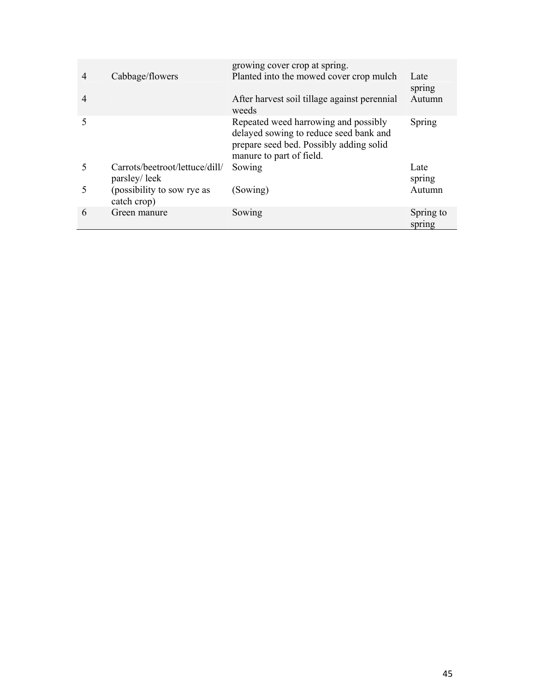|                |                                                | growing cover crop at spring.                                                                                                                         |                     |
|----------------|------------------------------------------------|-------------------------------------------------------------------------------------------------------------------------------------------------------|---------------------|
| $\overline{4}$ | Cabbage/flowers                                | Planted into the mowed cover crop mulch                                                                                                               | Late<br>spring      |
| $\overline{4}$ |                                                | After harvest soil tillage against perennial<br>weeds                                                                                                 | Autumn              |
| -5             |                                                | Repeated weed harrowing and possibly<br>delayed sowing to reduce seed bank and<br>prepare seed bed. Possibly adding solid<br>manure to part of field. | Spring              |
|                | Carrots/beetroot/lettuce/dill/<br>parsley/leek | Sowing                                                                                                                                                | Late<br>spring      |
|                | (possibility to sow rye as<br>catch crop)      | (Sowing)                                                                                                                                              | Autumn              |
| 6              | Green manure                                   | Sowing                                                                                                                                                | Spring to<br>spring |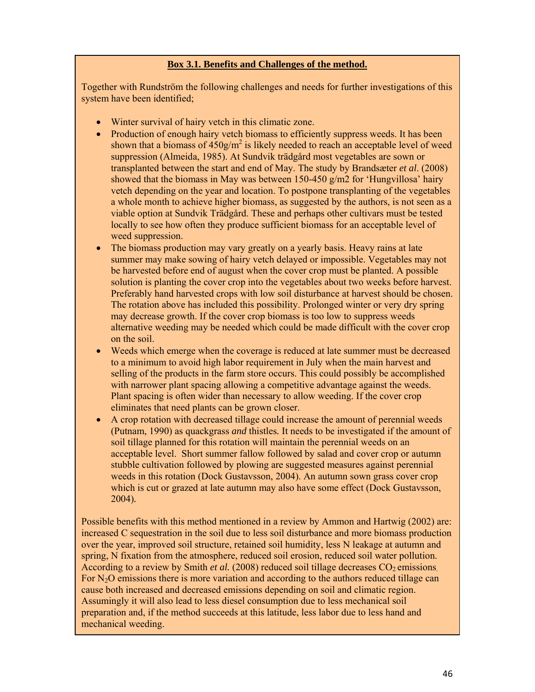## **Box 3.1. Benefits and Challenges of the method.**

Together with Rundström the following challenges and needs for further investigations of this system have been identified;

- Winter survival of hairy vetch in this climatic zone.
- Production of enough hairy vetch biomass to efficiently suppress weeds. It has been shown that a biomass of  $450g/m^2$  is likely needed to reach an acceptable level of weed suppression (Almeida, 1985). At Sundvik trädgård most vegetables are sown or transplanted between the start and end of May. The study by Brandsæter *et al*. (2008) showed that the biomass in May was between  $150-450$  g/m2 for 'Hungvillosa' hairy vetch depending on the year and location. To postpone transplanting of the vegetables a whole month to achieve higher biomass, as suggested by the authors, is not seen as a viable option at Sundvik Trädgård. These and perhaps other cultivars must be tested locally to see how often they produce sufficient biomass for an acceptable level of weed suppression.
- The biomass production may vary greatly on a yearly basis. Heavy rains at late summer may make sowing of hairy vetch delayed or impossible. Vegetables may not be harvested before end of august when the cover crop must be planted. A possible solution is planting the cover crop into the vegetables about two weeks before harvest. Preferably hand harvested crops with low soil disturbance at harvest should be chosen. The rotation above has included this possibility. Prolonged winter or very dry spring may decrease growth. If the cover crop biomass is too low to suppress weeds alternative weeding may be needed which could be made difficult with the cover crop on the soil.
- Weeds which emerge when the coverage is reduced at late summer must be decreased to a minimum to avoid high labor requirement in July when the main harvest and selling of the products in the farm store occurs. This could possibly be accomplished with narrower plant spacing allowing a competitive advantage against the weeds. Plant spacing is often wider than necessary to allow weeding. If the cover crop eliminates that need plants can be grown closer.
- A crop rotation with decreased tillage could increase the amount of perennial weeds (Putnam, 1990) as quackgrass *and* thistles*.* It needs to be investigated if the amount of soil tillage planned for this rotation will maintain the perennial weeds on an acceptable level. Short summer fallow followed by salad and cover crop or autumn stubble cultivation followed by plowing are suggested measures against perennial weeds in this rotation (Dock Gustavsson, 2004). An autumn sown grass cover crop which is cut or grazed at late autumn may also have some effect (Dock Gustavsson, 2004)*.*

Possible benefits with this method mentioned in a review by Ammon and Hartwig (2002) are: increased C sequestration in the soil due to less soil disturbance and more biomass production over the year, improved soil structure, retained soil humidity, less N leakage at autumn and spring, N fixation from the atmosphere, reduced soil erosion, reduced soil water pollution. According to a review by Smith *et al.* (2008) reduced soil tillage decreases CO<sub>2</sub> emissions. For  $N_2O$  emissions there is more variation and according to the authors reduced tillage can cause both increased and decreased emissions depending on soil and climatic region. Assumingly it will also lead to less diesel consumption due to less mechanical soil preparation and, if the method succeeds at this latitude, less labor due to less hand and mechanical weeding.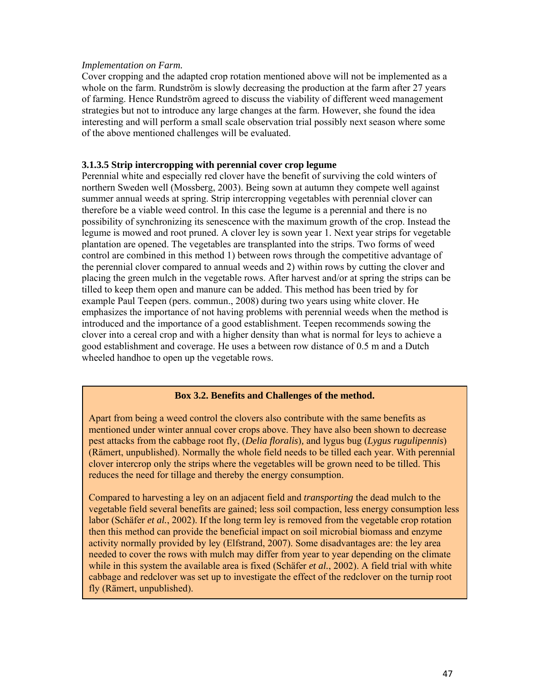#### *Implementation on Farm.*

Cover cropping and the adapted crop rotation mentioned above will not be implemented as a whole on the farm. Rundström is slowly decreasing the production at the farm after 27 years of farming. Hence Rundström agreed to discuss the viability of different weed management strategies but not to introduce any large changes at the farm. However, she found the idea interesting and will perform a small scale observation trial possibly next season where some of the above mentioned challenges will be evaluated.

#### **3.1.3.5 Strip intercropping with perennial cover crop legume**

Perennial white and especially red clover have the benefit of surviving the cold winters of northern Sweden well (Mossberg, 2003). Being sown at autumn they compete well against summer annual weeds at spring. Strip intercropping vegetables with perennial clover can therefore be a viable weed control. In this case the legume is a perennial and there is no possibility of synchronizing its senescence with the maximum growth of the crop. Instead the legume is mowed and root pruned. A clover ley is sown year 1. Next year strips for vegetable plantation are opened. The vegetables are transplanted into the strips. Two forms of weed control are combined in this method 1) between rows through the competitive advantage of the perennial clover compared to annual weeds and 2) within rows by cutting the clover and placing the green mulch in the vegetable rows. After harvest and/or at spring the strips can be tilled to keep them open and manure can be added. This method has been tried by for example Paul Teepen (pers. commun., 2008) during two years using white clover. He emphasizes the importance of not having problems with perennial weeds when the method is introduced and the importance of a good establishment. Teepen recommends sowing the clover into a cereal crop and with a higher density than what is normal for leys to achieve a good establishment and coverage. He uses a between row distance of 0.5 m and a Dutch wheeled handhoe to open up the vegetable rows.

#### **Box 3.2. Benefits and Challenges of the method.**

Apart from being a weed control the clovers also contribute with the same benefits as mentioned under winter annual cover crops above. They have also been shown to decrease pest attacks from the cabbage root fly, (*Delia floralis*)*,* and lygus bug (*Lygus rugulipennis*) (Rämert, unpublished). Normally the whole field needs to be tilled each year. With perennial clover intercrop only the strips where the vegetables will be grown need to be tilled. This reduces the need for tillage and thereby the energy consumption.

Compared to harvesting a ley on an adjacent field and *transporting* the dead mulch to the vegetable field several benefits are gained; less soil compaction, less energy consumption less labor (Schäfer *et al.*, 2002). If the long term ley is removed from the vegetable crop rotation then this method can provide the beneficial impact on soil microbial biomass and enzyme activity normally provided by ley (Elfstrand, 2007). Some disadvantages are: the ley area needed to cover the rows with mulch may differ from year to year depending on the climate while in this system the available area is fixed (Schäfer *et al.*, 2002). A field trial with white cabbage and redclover was set up to investigate the effect of the redclover on the turnip root fly (Rämert, unpublished).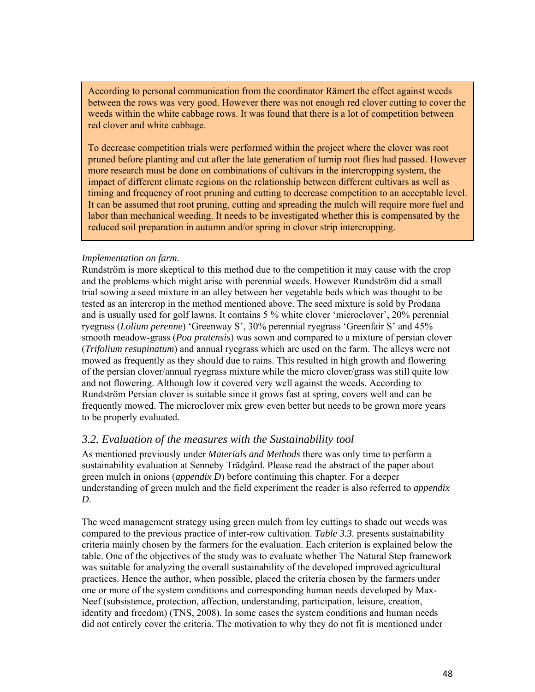According to personal communication from the coordinator Rämert the effect against weeds between the rows was very good. However there was not enough red clover cutting to cover the weeds within the white cabbage rows. It was found that there is a lot of competition between red clover and white cabbage.

To decrease competition trials were performed within the project where the clover was root pruned before planting and cut after the late generation of turnip root flies had passed. However more research must be done on combinations of cultivars in the intercropping system, the impact of different climate regions on the relationship between different cultivars as well as timing and frequency of root pruning and cutting to decrease competition to an acceptable level. It can be assumed that root pruning, cutting and spreading the mulch will require more fuel and labor than mechanical weeding. It needs to be investigated whether this is compensated by the reduced soil preparation in autumn and/or spring in clover strip intercropping.

## *Implementation on farm.*

Rundström is more skeptical to this method due to the competition it may cause with the crop and the problems which might arise with perennial weeds. However Rundström did a small trial sowing a seed mixture in an alley between her vegetable beds which was thought to be tested as an intercrop in the method mentioned above. The seed mixture is sold by Prodana and is usually used for golf lawns. It contains 5 % white clover 'microclover', 20% perennial ryegrass (*Lolium perenne*) 'Greenway S', 30% perennial ryegrass 'Greenfair S' and 45% smooth meadow-grass (*Poa pratensis*) was sown and compared to a mixture of persian clover (*Trifolium resupinatum*) and annual ryegrass which are used on the farm. The alleys were not mowed as frequently as they should due to rains. This resulted in high growth and flowering of the persian clover/annual ryegrass mixture while the micro clover/grass was still quite low and not flowering. Although low it covered very well against the weeds. According to Rundström Persian clover is suitable since it grows fast at spring, covers well and can be frequently mowed. The microclover mix grew even better but needs to be grown more years to be properly evaluated.

## *3.2. Evaluation of the measures with the Sustainability tool*

As mentioned previously under *Materials and Methods* there was only time to perform a sustainability evaluation at Senneby Trädgård. Please read the abstract of the paper about green mulch in onions (*appendix D*) before continuing this chapter. For a deeper understanding of green mulch and the field experiment the reader is also referred to *appendix D*.

The weed management strategy using green mulch from ley cuttings to shade out weeds was compared to the previous practice of inter-row cultivation. *Table 3.3.* presents sustainability criteria mainly chosen by the farmers for the evaluation. Each criterion is explained below the table. One of the objectives of the study was to evaluate whether The Natural Step framework was suitable for analyzing the overall sustainability of the developed improved agricultural practices. Hence the author, when possible, placed the criteria chosen by the farmers under one or more of the system conditions and corresponding human needs developed by Max-Neef (subsistence, protection, affection, understanding, participation, leisure, creation, identity and freedom) (TNS, 2008). In some cases the system conditions and human needs did not entirely cover the criteria. The motivation to why they do not fit is mentioned under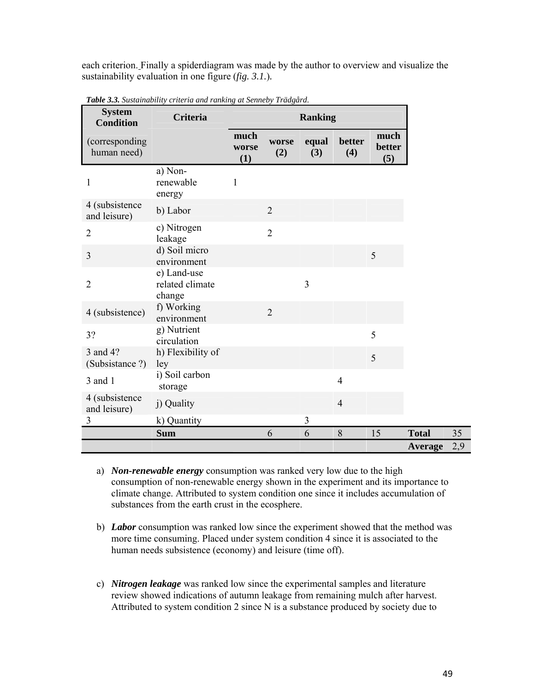each criterion. Finally a spiderdiagram was made by the author to overview and visualize the sustainability evaluation in one figure (*fig. 3.1.*)*.*

| <b>System</b><br><b>Condition</b> | <b>Criteria</b>                          |                      |                | <b>Ranking</b> |                |                       |              |         |
|-----------------------------------|------------------------------------------|----------------------|----------------|----------------|----------------|-----------------------|--------------|---------|
| (corresponding<br>human need)     |                                          | much<br>worse<br>(1) | worse<br>(2)   | equal<br>(3)   | better<br>(4)  | much<br>better<br>(5) |              |         |
|                                   | a) Non-<br>renewable<br>energy           | 1                    |                |                |                |                       |              |         |
| 4 (subsistence<br>and leisure)    | b) Labor                                 |                      | $\overline{2}$ |                |                |                       |              |         |
|                                   | c) Nitrogen<br>leakage                   |                      | $\overline{2}$ |                |                |                       |              |         |
|                                   | d) Soil micro<br>environment             |                      |                |                |                | 5                     |              |         |
|                                   | e) Land-use<br>related climate<br>change |                      |                | 3              |                |                       |              |         |
| 4 (subsistence)                   | f) Working<br>environment                |                      | $\overline{2}$ |                |                |                       |              |         |
|                                   | g) Nutrient<br>circulation               |                      |                |                |                | 5                     |              |         |
| 3 and 4?<br>(Subsistance ?)       | h) Flexibility of<br>ley                 |                      |                |                |                | 5                     |              |         |
| 3 and 1                           | i) Soil carbon<br>storage                |                      |                |                | $\overline{4}$ |                       |              |         |
| 4 (subsistence<br>and leisure)    | j) Quality                               |                      |                |                | $\overline{4}$ |                       |              |         |
|                                   | k) Quantity                              |                      |                | 3              |                |                       |              |         |
|                                   | <b>Sum</b>                               |                      | 6              | 6              | 8              | 15                    | <b>Total</b> |         |
|                                   |                                          |                      |                |                |                |                       |              | Average |

*Table 3.3. Sustainability criteria and ranking at Senneby Trädgård.* 

- a) *Non-renewable energy* consumption was ranked very low due to the high consumption of non-renewable energy shown in the experiment and its importance to climate change. Attributed to system condition one since it includes accumulation of substances from the earth crust in the ecosphere.
- b) *Labor* consumption was ranked low since the experiment showed that the method was more time consuming. Placed under system condition 4 since it is associated to the human needs subsistence (economy) and leisure (time off).
- c) *Nitrogen leakage* was ranked low since the experimental samples and literature review showed indications of autumn leakage from remaining mulch after harvest. Attributed to system condition 2 since N is a substance produced by society due to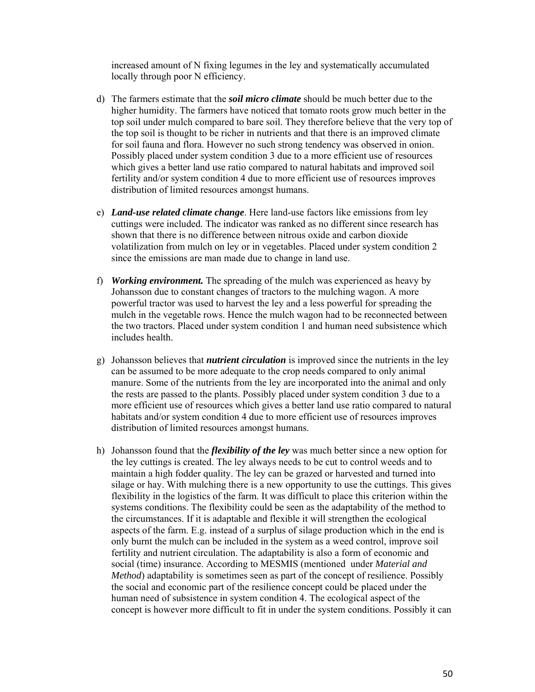increased amount of N fixing legumes in the ley and systematically accumulated locally through poor N efficiency.

- d) The farmers estimate that the *soil micro climate* should be much better due to the higher humidity. The farmers have noticed that tomato roots grow much better in the top soil under mulch compared to bare soil. They therefore believe that the very top of the top soil is thought to be richer in nutrients and that there is an improved climate for soil fauna and flora. However no such strong tendency was observed in onion. Possibly placed under system condition 3 due to a more efficient use of resources which gives a better land use ratio compared to natural habitats and improved soil fertility and/or system condition 4 due to more efficient use of resources improves distribution of limited resources amongst humans.
- e) *Land-use related climate change*. Here land-use factors like emissions from ley cuttings were included. The indicator was ranked as no different since research has shown that there is no difference between nitrous oxide and carbon dioxide volatilization from mulch on ley or in vegetables. Placed under system condition 2 since the emissions are man made due to change in land use.
- f) *Working environment.* The spreading of the mulch was experienced as heavy by Johansson due to constant changes of tractors to the mulching wagon. A more powerful tractor was used to harvest the ley and a less powerful for spreading the mulch in the vegetable rows. Hence the mulch wagon had to be reconnected between the two tractors. Placed under system condition 1 and human need subsistence which includes health.
- g) Johansson believes that *nutrient circulation* is improved since the nutrients in the ley can be assumed to be more adequate to the crop needs compared to only animal manure. Some of the nutrients from the ley are incorporated into the animal and only the rests are passed to the plants. Possibly placed under system condition 3 due to a more efficient use of resources which gives a better land use ratio compared to natural habitats and/or system condition 4 due to more efficient use of resources improves distribution of limited resources amongst humans.
- h) Johansson found that the *flexibility of the ley* was much better since a new option for the ley cuttings is created. The ley always needs to be cut to control weeds and to maintain a high fodder quality. The ley can be grazed or harvested and turned into silage or hay. With mulching there is a new opportunity to use the cuttings. This gives flexibility in the logistics of the farm. It was difficult to place this criterion within the systems conditions. The flexibility could be seen as the adaptability of the method to the circumstances. If it is adaptable and flexible it will strengthen the ecological aspects of the farm. E.g. instead of a surplus of silage production which in the end is only burnt the mulch can be included in the system as a weed control, improve soil fertility and nutrient circulation. The adaptability is also a form of economic and social (time) insurance. According to MESMIS (mentioned under *Material and Method*) adaptability is sometimes seen as part of the concept of resilience. Possibly the social and economic part of the resilience concept could be placed under the human need of subsistence in system condition 4. The ecological aspect of the concept is however more difficult to fit in under the system conditions. Possibly it can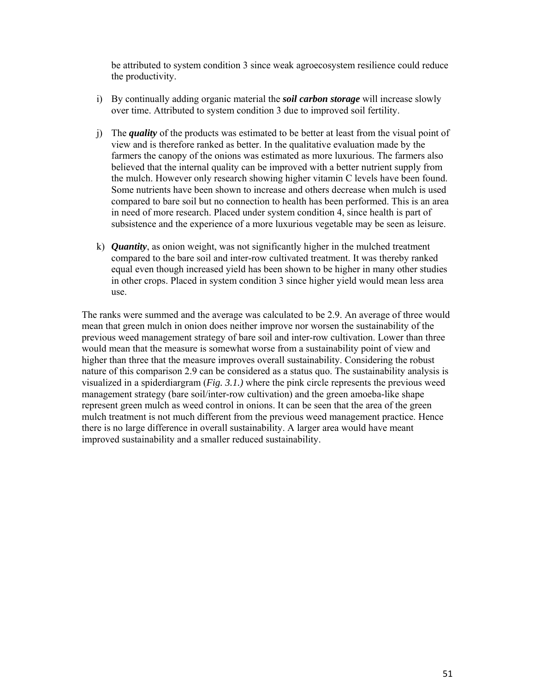be attributed to system condition 3 since weak agroecosystem resilience could reduce the productivity.

- i) By continually adding organic material the *soil carbon storage* will increase slowly over time. Attributed to system condition 3 due to improved soil fertility.
- j) The *quality* of the products was estimated to be better at least from the visual point of view and is therefore ranked as better. In the qualitative evaluation made by the farmers the canopy of the onions was estimated as more luxurious. The farmers also believed that the internal quality can be improved with a better nutrient supply from the mulch. However only research showing higher vitamin C levels have been found. Some nutrients have been shown to increase and others decrease when mulch is used compared to bare soil but no connection to health has been performed. This is an area in need of more research. Placed under system condition 4, since health is part of subsistence and the experience of a more luxurious vegetable may be seen as leisure.
- k) *Quantity*, as onion weight, was not significantly higher in the mulched treatment compared to the bare soil and inter-row cultivated treatment. It was thereby ranked equal even though increased yield has been shown to be higher in many other studies in other crops. Placed in system condition 3 since higher yield would mean less area use.

The ranks were summed and the average was calculated to be 2.9. An average of three would mean that green mulch in onion does neither improve nor worsen the sustainability of the previous weed management strategy of bare soil and inter-row cultivation. Lower than three would mean that the measure is somewhat worse from a sustainability point of view and higher than three that the measure improves overall sustainability. Considering the robust nature of this comparison 2.9 can be considered as a status quo. The sustainability analysis is visualized in a spiderdiargram (*Fig. 3.1.)* where the pink circle represents the previous weed management strategy (bare soil/inter-row cultivation) and the green amoeba-like shape represent green mulch as weed control in onions. It can be seen that the area of the green mulch treatment is not much different from the previous weed management practice. Hence there is no large difference in overall sustainability. A larger area would have meant improved sustainability and a smaller reduced sustainability.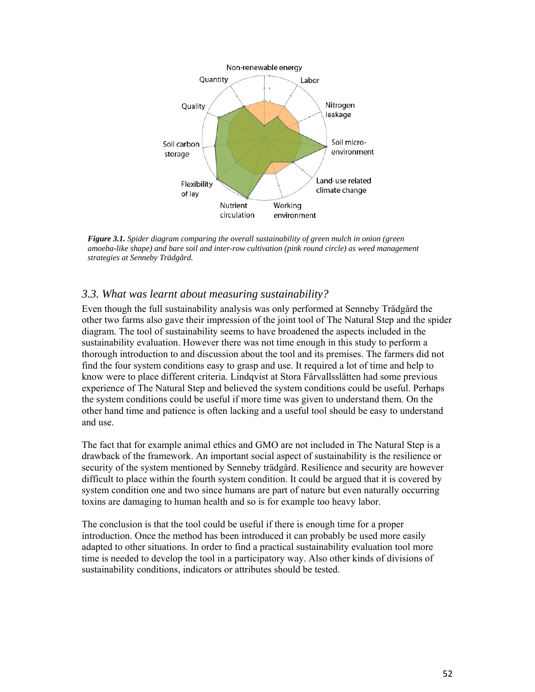

*Figure 3.1. Spider diagram comparing the overall sustainability of green mulch in onion (green amoeba-like shape) and bare soil and inter-row cultivation (pink round circle) as weed management strategies at Senneby Trädgård.* 

# *3.3. What was learnt about measuring sustainability?*

Even though the full sustainability analysis was only performed at Senneby Trädgård the other two farms also gave their impression of the joint tool of The Natural Step and the spider diagram. The tool of sustainability seems to have broadened the aspects included in the sustainability evaluation. However there was not time enough in this study to perform a thorough introduction to and discussion about the tool and its premises. The farmers did not find the four system conditions easy to grasp and use. It required a lot of time and help to know were to place different criteria. Lindqvist at Stora Fårvallsslätten had some previous experience of The Natural Step and believed the system conditions could be useful. Perhaps the system conditions could be useful if more time was given to understand them. On the other hand time and patience is often lacking and a useful tool should be easy to understand and use.

The fact that for example animal ethics and GMO are not included in The Natural Step is a drawback of the framework. An important social aspect of sustainability is the resilience or security of the system mentioned by Senneby trädgård. Resilience and security are however difficult to place within the fourth system condition. It could be argued that it is covered by system condition one and two since humans are part of nature but even naturally occurring toxins are damaging to human health and so is for example too heavy labor.

The conclusion is that the tool could be useful if there is enough time for a proper introduction. Once the method has been introduced it can probably be used more easily adapted to other situations. In order to find a practical sustainability evaluation tool more time is needed to develop the tool in a participatory way. Also other kinds of divisions of sustainability conditions, indicators or attributes should be tested.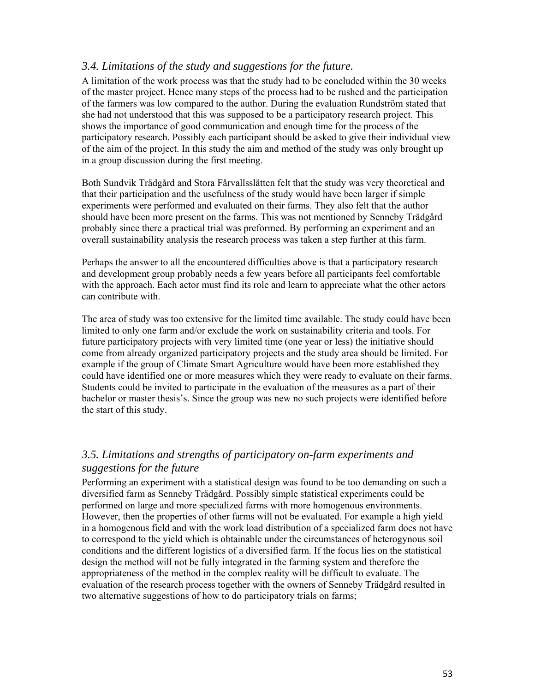## *3.4. Limitations of the study and suggestions for the future.*

A limitation of the work process was that the study had to be concluded within the 30 weeks of the master project. Hence many steps of the process had to be rushed and the participation of the farmers was low compared to the author. During the evaluation Rundström stated that she had not understood that this was supposed to be a participatory research project. This shows the importance of good communication and enough time for the process of the participatory research. Possibly each participant should be asked to give their individual view of the aim of the project. In this study the aim and method of the study was only brought up in a group discussion during the first meeting.

Both Sundvik Trädgård and Stora Fårvallsslätten felt that the study was very theoretical and that their participation and the usefulness of the study would have been larger if simple experiments were performed and evaluated on their farms. They also felt that the author should have been more present on the farms. This was not mentioned by Senneby Trädgård probably since there a practical trial was preformed. By performing an experiment and an overall sustainability analysis the research process was taken a step further at this farm.

Perhaps the answer to all the encountered difficulties above is that a participatory research and development group probably needs a few years before all participants feel comfortable with the approach. Each actor must find its role and learn to appreciate what the other actors can contribute with.

The area of study was too extensive for the limited time available. The study could have been limited to only one farm and/or exclude the work on sustainability criteria and tools. For future participatory projects with very limited time (one year or less) the initiative should come from already organized participatory projects and the study area should be limited. For example if the group of Climate Smart Agriculture would have been more established they could have identified one or more measures which they were ready to evaluate on their farms. Students could be invited to participate in the evaluation of the measures as a part of their bachelor or master thesis's. Since the group was new no such projects were identified before the start of this study.

# *3.5. Limitations and strengths of participatory on-farm experiments and suggestions for the future*

Performing an experiment with a statistical design was found to be too demanding on such a diversified farm as Senneby Trädgård. Possibly simple statistical experiments could be performed on large and more specialized farms with more homogenous environments. However, then the properties of other farms will not be evaluated. For example a high yield in a homogenous field and with the work load distribution of a specialized farm does not have to correspond to the yield which is obtainable under the circumstances of heterogynous soil conditions and the different logistics of a diversified farm. If the focus lies on the statistical design the method will not be fully integrated in the farming system and therefore the appropriateness of the method in the complex reality will be difficult to evaluate. The evaluation of the research process together with the owners of Senneby Trädgård resulted in two alternative suggestions of how to do participatory trials on farms;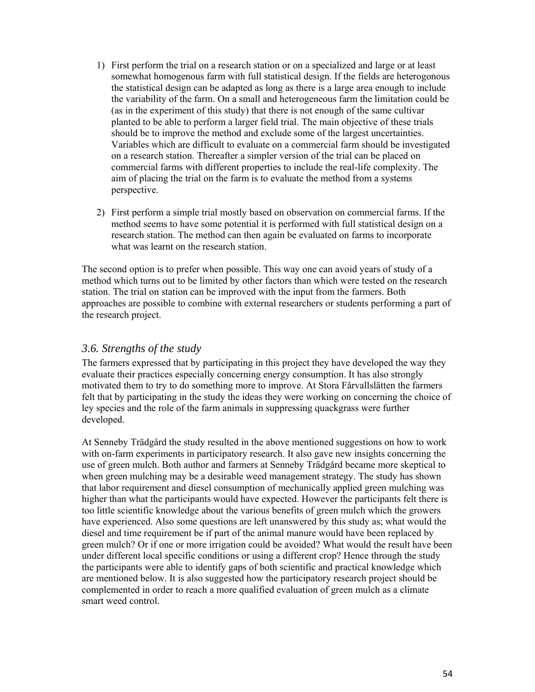- 1) First perform the trial on a research station or on a specialized and large or at least somewhat homogenous farm with full statistical design. If the fields are heterogonous the statistical design can be adapted as long as there is a large area enough to include the variability of the farm. On a small and heterogeneous farm the limitation could be (as in the experiment of this study) that there is not enough of the same cultivar planted to be able to perform a larger field trial. The main objective of these trials should be to improve the method and exclude some of the largest uncertainties. Variables which are difficult to evaluate on a commercial farm should be investigated on a research station. Thereafter a simpler version of the trial can be placed on commercial farms with different properties to include the real-life complexity. The aim of placing the trial on the farm is to evaluate the method from a systems perspective.
- 2) First perform a simple trial mostly based on observation on commercial farms. If the method seems to have some potential it is performed with full statistical design on a research station. The method can then again be evaluated on farms to incorporate what was learnt on the research station.

The second option is to prefer when possible. This way one can avoid years of study of a method which turns out to be limited by other factors than which were tested on the research station. The trial on station can be improved with the input from the farmers. Both approaches are possible to combine with external researchers or students performing a part of the research project.

## *3.6. Strengths of the study*

The farmers expressed that by participating in this project they have developed the way they evaluate their practices especially concerning energy consumption. It has also strongly motivated them to try to do something more to improve. At Stora Fårvallslätten the farmers felt that by participating in the study the ideas they were working on concerning the choice of ley species and the role of the farm animals in suppressing quackgrass were further developed.

At Senneby Trädgård the study resulted in the above mentioned suggestions on how to work with on-farm experiments in participatory research. It also gave new insights concerning the use of green mulch. Both author and farmers at Senneby Trädgård became more skeptical to when green mulching may be a desirable weed management strategy. The study has shown that labor requirement and diesel consumption of mechanically applied green mulching was higher than what the participants would have expected. However the participants felt there is too little scientific knowledge about the various benefits of green mulch which the growers have experienced. Also some questions are left unanswered by this study as; what would the diesel and time requirement be if part of the animal manure would have been replaced by green mulch? Or if one or more irrigation could be avoided? What would the result have been under different local specific conditions or using a different crop? Hence through the study the participants were able to identify gaps of both scientific and practical knowledge which are mentioned below. It is also suggested how the participatory research project should be complemented in order to reach a more qualified evaluation of green mulch as a climate smart weed control.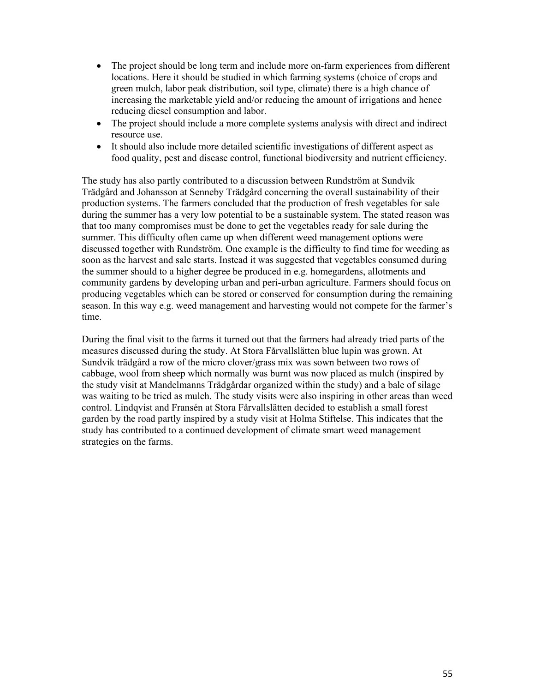- The project should be long term and include more on-farm experiences from different locations. Here it should be studied in which farming systems (choice of crops and green mulch, labor peak distribution, soil type, climate) there is a high chance of increasing the marketable yield and/or reducing the amount of irrigations and hence reducing diesel consumption and labor.
- The project should include a more complete systems analysis with direct and indirect resource use.
- It should also include more detailed scientific investigations of different aspect as food quality, pest and disease control, functional biodiversity and nutrient efficiency.

The study has also partly contributed to a discussion between Rundström at Sundvik Trädgård and Johansson at Senneby Trädgård concerning the overall sustainability of their production systems. The farmers concluded that the production of fresh vegetables for sale during the summer has a very low potential to be a sustainable system. The stated reason was that too many compromises must be done to get the vegetables ready for sale during the summer. This difficulty often came up when different weed management options were discussed together with Rundström. One example is the difficulty to find time for weeding as soon as the harvest and sale starts. Instead it was suggested that vegetables consumed during the summer should to a higher degree be produced in e.g. homegardens, allotments and community gardens by developing urban and peri-urban agriculture. Farmers should focus on producing vegetables which can be stored or conserved for consumption during the remaining season. In this way e.g. weed management and harvesting would not compete for the farmer's time.

During the final visit to the farms it turned out that the farmers had already tried parts of the measures discussed during the study. At Stora Fårvallslätten blue lupin was grown. At Sundvik trädgård a row of the micro clover/grass mix was sown between two rows of cabbage, wool from sheep which normally was burnt was now placed as mulch (inspired by the study visit at Mandelmanns Trädgårdar organized within the study) and a bale of silage was waiting to be tried as mulch. The study visits were also inspiring in other areas than weed control. Lindqvist and Fransén at Stora Fårvallslätten decided to establish a small forest garden by the road partly inspired by a study visit at Holma Stiftelse. This indicates that the study has contributed to a continued development of climate smart weed management strategies on the farms.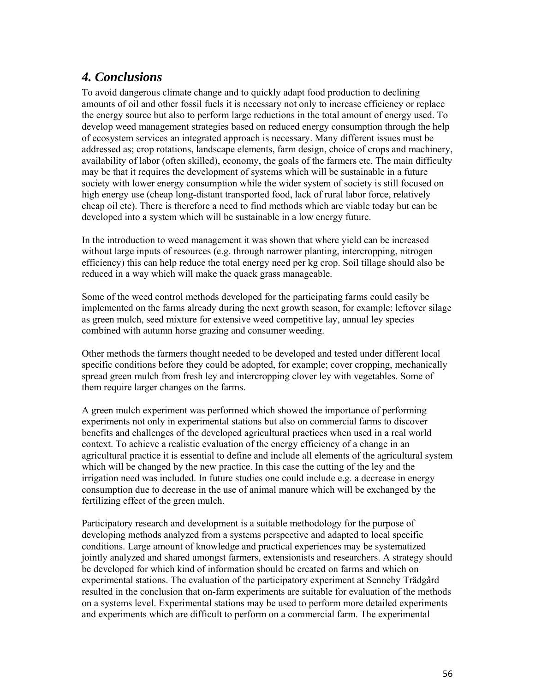# *4. Conclusions*

To avoid dangerous climate change and to quickly adapt food production to declining amounts of oil and other fossil fuels it is necessary not only to increase efficiency or replace the energy source but also to perform large reductions in the total amount of energy used. To develop weed management strategies based on reduced energy consumption through the help of ecosystem services an integrated approach is necessary. Many different issues must be addressed as; crop rotations, landscape elements, farm design, choice of crops and machinery, availability of labor (often skilled), economy, the goals of the farmers etc. The main difficulty may be that it requires the development of systems which will be sustainable in a future society with lower energy consumption while the wider system of society is still focused on high energy use (cheap long-distant transported food, lack of rural labor force, relatively cheap oil etc). There is therefore a need to find methods which are viable today but can be developed into a system which will be sustainable in a low energy future.

In the introduction to weed management it was shown that where yield can be increased without large inputs of resources (e.g. through narrower planting, intercropping, nitrogen efficiency) this can help reduce the total energy need per kg crop. Soil tillage should also be reduced in a way which will make the quack grass manageable.

Some of the weed control methods developed for the participating farms could easily be implemented on the farms already during the next growth season, for example: leftover silage as green mulch, seed mixture for extensive weed competitive lay, annual ley species combined with autumn horse grazing and consumer weeding.

Other methods the farmers thought needed to be developed and tested under different local specific conditions before they could be adopted, for example; cover cropping, mechanically spread green mulch from fresh ley and intercropping clover ley with vegetables. Some of them require larger changes on the farms.

A green mulch experiment was performed which showed the importance of performing experiments not only in experimental stations but also on commercial farms to discover benefits and challenges of the developed agricultural practices when used in a real world context. To achieve a realistic evaluation of the energy efficiency of a change in an agricultural practice it is essential to define and include all elements of the agricultural system which will be changed by the new practice. In this case the cutting of the ley and the irrigation need was included. In future studies one could include e.g. a decrease in energy consumption due to decrease in the use of animal manure which will be exchanged by the fertilizing effect of the green mulch.

Participatory research and development is a suitable methodology for the purpose of developing methods analyzed from a systems perspective and adapted to local specific conditions. Large amount of knowledge and practical experiences may be systematized jointly analyzed and shared amongst farmers, extensionists and researchers. A strategy should be developed for which kind of information should be created on farms and which on experimental stations. The evaluation of the participatory experiment at Senneby Trädgård resulted in the conclusion that on-farm experiments are suitable for evaluation of the methods on a systems level. Experimental stations may be used to perform more detailed experiments and experiments which are difficult to perform on a commercial farm. The experimental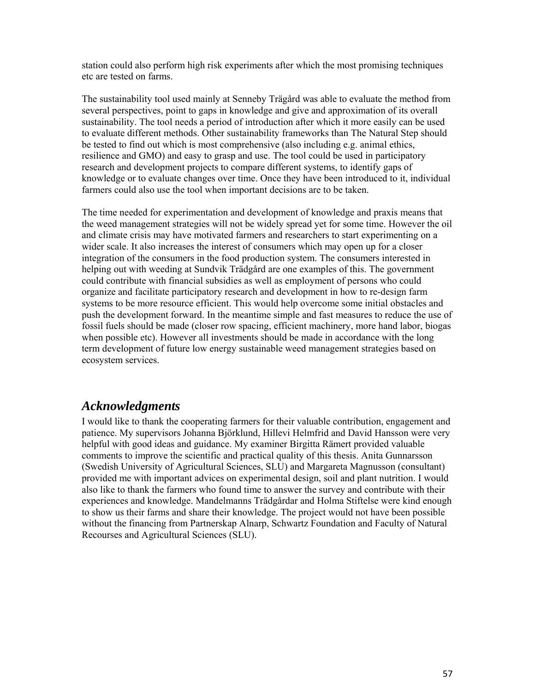station could also perform high risk experiments after which the most promising techniques etc are tested on farms.

The sustainability tool used mainly at Senneby Trägård was able to evaluate the method from several perspectives, point to gaps in knowledge and give and approximation of its overall sustainability. The tool needs a period of introduction after which it more easily can be used to evaluate different methods. Other sustainability frameworks than The Natural Step should be tested to find out which is most comprehensive (also including e.g. animal ethics, resilience and GMO) and easy to grasp and use. The tool could be used in participatory research and development projects to compare different systems, to identify gaps of knowledge or to evaluate changes over time. Once they have been introduced to it, individual farmers could also use the tool when important decisions are to be taken.

The time needed for experimentation and development of knowledge and praxis means that the weed management strategies will not be widely spread yet for some time. However the oil and climate crisis may have motivated farmers and researchers to start experimenting on a wider scale. It also increases the interest of consumers which may open up for a closer integration of the consumers in the food production system. The consumers interested in helping out with weeding at Sundvik Trädgård are one examples of this. The government could contribute with financial subsidies as well as employment of persons who could organize and facilitate participatory research and development in how to re-design farm systems to be more resource efficient. This would help overcome some initial obstacles and push the development forward. In the meantime simple and fast measures to reduce the use of fossil fuels should be made (closer row spacing, efficient machinery, more hand labor, biogas when possible etc). However all investments should be made in accordance with the long term development of future low energy sustainable weed management strategies based on ecosystem services.

# *Acknowledgments*

I would like to thank the cooperating farmers for their valuable contribution, engagement and patience. My supervisors Johanna Björklund, Hillevi Helmfrid and David Hansson were very helpful with good ideas and guidance. My examiner Birgitta Rämert provided valuable comments to improve the scientific and practical quality of this thesis. Anita Gunnarsson (Swedish University of Agricultural Sciences, SLU) and Margareta Magnusson (consultant) provided me with important advices on experimental design, soil and plant nutrition. I would also like to thank the farmers who found time to answer the survey and contribute with their experiences and knowledge. Mandelmanns Trädgårdar and Holma Stiftelse were kind enough to show us their farms and share their knowledge. The project would not have been possible without the financing from Partnerskap Alnarp, Schwartz Foundation and Faculty of Natural Recourses and Agricultural Sciences (SLU).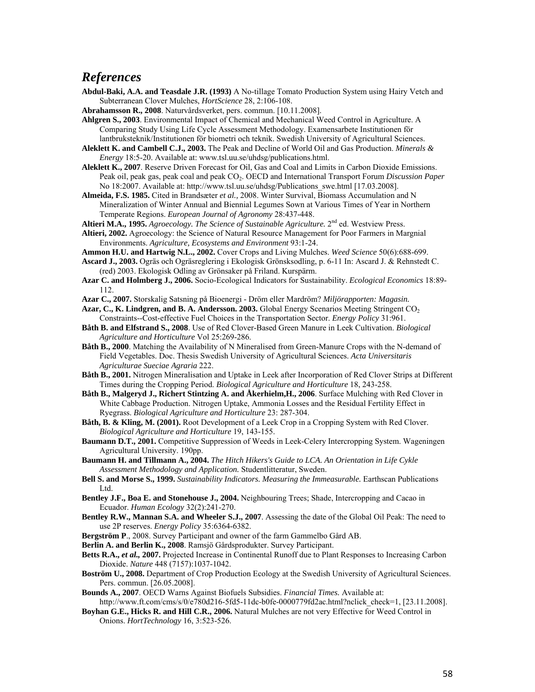## *References*

- **Abdul-Baki, A.A. and Teasdale J.R. (1993)** A No-tillage Tomato Production System using Hairy Vetch and Subterranean Clover Mulches, *HortScience* 28, 2:106-108.
- **Abrahamsson R., 2008**. Naturvårdsverket, pers. commun. [10.11.2008].

**Ahlgren S., 2003**. Environmental Impact of Chemical and Mechanical Weed Control in Agriculture. A Comparing Study Using Life Cycle Assessment Methodology. Examensarbete Institutionen för lantbruksteknik/Institutionen för biometri och teknik. Swedish University of Agricultural Sciences.

**Aleklett K. and Cambell C.J., 2003.** The Peak and Decline of World Oil and Gas Production. *Minerals & Energy* 18:5-20. Available at: www.tsl.uu.se/uhdsg/publications.html.

**Aleklett K., 2007**. Reserve Driven Forecast for Oil, Gas and Coal and Limits in Carbon Dioxide Emissions. Peak oil, peak gas, peak coal and peak CO2. OECD and International Transport Forum *Discussion Paper* No 18:2007. Available at: http://www.tsl.uu.se/uhdsg/Publications\_swe.html [17.03.2008].

**Almeida, F.S. 1985.** Cited in Brandsæter *et al.,* 2008. Winter Survival, Biomass Accumulation and N Mineralization of Winter Annual and Biennial Legumes Sown at Various Times of Year in Northern Temperate Regions. *European Journal of Agronomy* 28:437-448.

Altieri M.A., 1995. *Agroecology. The Science of Sustainable Agriculture.* 2<sup>nd</sup> ed. Westview Press.

**Altieri, 2002.** Agroecology: the Science of Natural Resource Management for Poor Farmers in Margnial Environments. *Agriculture, Ecosystems and Environment* 93:1-24.

**Ammon H.U. and Hartwig N.L., 2002.** Cover Crops and Living Mulches. *Weed Science* 50(6):688-699.

**Ascard J., 2003.** Ogräs och Ogräsreglering i Ekologisk Grönsksodling, p. 6-11 In: Ascard J. & Rehnstedt C. (red) 2003. Ekologisk Odling av Grönsaker på Friland. Kurspärm.

**Azar C. and Holmberg J., 2006.** Socio-Ecological Indicators for Sustainability. *Ecological Economics* 18:89- 112.

**Azar C., 2007.** Storskalig Satsning på Bioenergi - Dröm eller Mardröm? *Miljörapporten: Magasin.*

- Azar, C., K. Lindgren, and B. A. Andersson. 2003. Global Energy Scenarios Meeting Stringent CO<sub>2</sub> Constraints--Cost-effective Fuel Choices in the Transportation Sector. *Energy Policy* 31:961.
- **Båth B. and Elfstrand S., 2008**. Use of Red Clover-Based Green Manure in Leek Cultivation. *Biological Agriculture and Horticulture* Vol 25:269-286.
- **Båth B., 2000**. Matching the Availability of N Mineralised from Green-Manure Crops with the N-demand of Field Vegetables. Doc. Thesis Swedish University of Agricultural Sciences. *Acta Universitaris Agriculturae Sueciae Agraria* 222.
- **Båth B., 2001.** Nitrogen Mineralisation and Uptake in Leek after Incorporation of Red Clover Strips at Different Times during the Cropping Period. *Biological Agriculture and Horticulture* 18, 243-258.
- **Båth B., Malgeryd J., Richert Stintzing A. and Åkerhielm,H., 2006**. Surface Mulching with Red Clover in White Cabbage Production. Nitrogen Uptake, Ammonia Losses and the Residual Fertility Effect in Ryegrass. *Biological Agriculture and Horticulture* 23: 287-304.
- **Båth, B. & Kling, M. (2001).** Root Development of a Leek Crop in a Cropping System with Red Clover. *Biological Agriculture and Horticulture* 19, 143-155.
- **Baumann D.T., 2001.** Competitive Suppression of Weeds in Leek-Celery Intercropping System. Wageningen Agricultural University. 190pp.
- **Baumann H. and Tillmann A., 2004.** *The Hitch Hikers's Guide to LCA. An Orientation in Life Cykle Assessment Methodology and Application.* Studentlitteratur, Sweden.
- **Bell S. and Morse S., 1999.** *Sustainability Indicators. Measuring the Immeasurable.* Earthscan Publications Ltd.
- **Bentley J.F., Boa E. and Stonehouse J., 2004.** Neighbouring Trees; Shade, Intercropping and Cacao in Ecuador. *Human Ecology* 32(2):241-270.
- Bentley R.W., Mannan S.A. and Wheeler S.J., 2007. Assessing the date of the Global Oil Peak: The need to use 2P reserves. *Energy Policy* 35:6364-6382.
- **Bergström P**., 2008. Survey Participant and owner of the farm Gammelbo Gård AB.

**Berlin A. and Berlin K., 2008**. Ramsjö Gårdsprodukter. Survey Participant.

**Betts R.A.,** *et al.,* **2007.** Projected Increase in Continental Runoff due to Plant Responses to Increasing Carbon Dioxide. *Nature* 448 (7157):1037-1042.

- **Boström U., 2008.** Department of Crop Production Ecology at the Swedish University of Agricultural Sciences. Pers. commun. [26.05.2008].
- **Bounds A., 2007**. OECD Warns Against Biofuels Subsidies. *Financial Times.* Available at: http://www.ft.com/cms/s/0/e780d216-5fd5-11dc-b0fe-0000779fd2ac.html?nclick\_check=1, [23.11.2008].
- **Boyhan G.E., Hicks R. and Hill C.R., 2006.** Natural Mulches are not very Effective for Weed Control in Onions. *HortTechnology* 16, 3:523-526.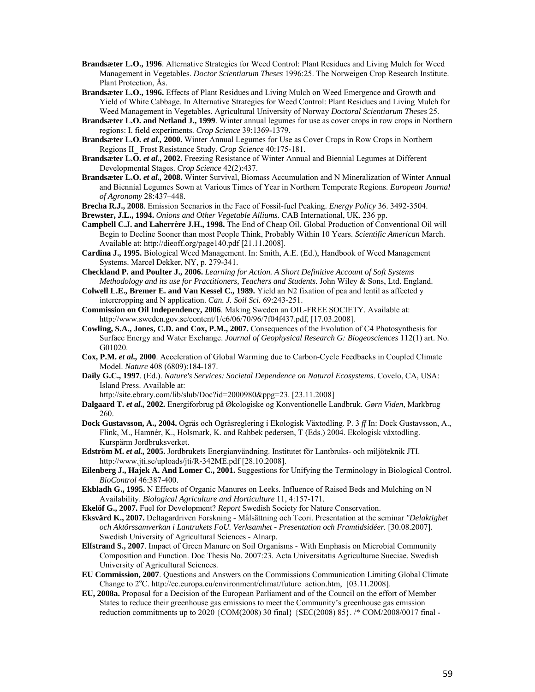- **Brandsæter L.O., 1996**. Alternative Strategies for Weed Control: Plant Residues and Living Mulch for Weed Management in Vegetables. *Doctor Scientiarum Theses* 1996:25. The Norweigen Crop Research Institute. Plant Protection, Ås.
- **Brandsæter L.O., 1996.** Effects of Plant Residues and Living Mulch on Weed Emergence and Growth and Yield of White Cabbage. In Alternative Strategies for Weed Control: Plant Residues and Living Mulch for Weed Management in Vegetables. Agricultural University of Norway *Doctoral Scientiarum Theses* 25.
- **Brandsæter L.O. and Netland J., 1999**. Winter annual legumes for use as cover crops in row crops in Northern regions: I. field experiments. *Crop Science* 39:1369-1379.
- **Brandsæter L.O.** *et al.,* **2000.** Winter Annual Legumes for Use as Cover Crops in Row Crops in Northern Regions II\_ Frost Resistance Study. *Crop Science* 40:175-181.
- **Brandsæter L.O.** *et al.***, 2002.** Freezing Resistance of Winter Annual and Biennial Legumes at Different Developmental Stages. *Crop Science* 42(2):437.
- **Brandsæter L.O.** *et al.,* **2008.** Winter Survival, Biomass Accumulation and N Mineralization of Winter Annual and Biennial Legumes Sown at Various Times of Year in Northern Temperate Regions. *European Journal of Agronomy* 28:437–448.
- **Brecha R.J., 2008**. Emission Scenarios in the Face of Fossil-fuel Peaking. *Energy Policy* 36. 3492-3504.
- **Brewster, J.L., 1994.** *Onions and Other Vegetable Alliums.* CAB International, UK. 236 pp.
- **Campbell C.J. and Laherrère J.H., 1998.** The End of Cheap Oil. Global Production of Conventional Oil will Begin to Decline Sooner than most People Think, Probably Within 10 Years. *Scientific American* March. Available at: http://dieoff.org/page140.pdf [21.11.2008].
- **Cardina J., 1995.** Biological Weed Management. In: Smith, A.E. (Ed.), Handbook of Weed Management Systems. Marcel Dekker, NY, p. 279-341.
- **Checkland P. and Poulter J., 2006.** *Learning for Action. A Short Definitive Account of Soft Systems Methodology and its use for Practitioners, Teachers and Students.* John Wiley & Sons, Ltd. England.
- **Colwell L.E., Bremer E. and Van Kessel C., 1989.** Yield an N2 fixation of pea and lentil as affected y intercropping and N application. *Can. J. Soil Sci.* 69:243-251.
- **Commission on Oil Independency, 2006**. Making Sweden an OIL-FREE SOCIETY. Available at: http://www.sweden.gov.se/content/1/c6/06/70/96/7f04f437.pdf, [17.03.2008].
- **Cowling, S.A., Jones, C.D. and Cox, P.M., 2007.** Consequences of the Evolution of C4 Photosynthesis for Surface Energy and Water Exchange. *Journal of Geophysical Research G: Biogeosciences* 112(1) art. No. G01020.
- **Cox, P.M.** *et al.,* **2000**. Acceleration of Global Warming due to Carbon-Cycle Feedbacks in Coupled Climate Model. *Nature* 408 (6809):184-187.
- **Daily G.C., 1997**. (Ed.). *Nature's Services: Societal Dependence on Natural Ecosystems*. Covelo, CA, USA: Island Press. Available at:
	- http://site.ebrary.com/lib/slub/Doc?id=2000980&ppg=23. [23.11.2008]
- **Dalgaard T.** *et al.,* **2002.** Energiforbrug på Økologiske og Konventionelle Landbruk. *Gørn Viden*, Markbrug 260.
- **Dock Gustavsson, A., 2004.** Ogräs och Ogräsreglering i Ekologisk Växtodling. P. 3 *ff* In: Dock Gustavsson, A., Flink, M., Hamnér, K., Holsmark, K. and Rahbek pedersen, T (Eds.) 2004. Ekologisk växtodling. Kurspärm Jordbruksverket.
- **Edström M.** *et al.,* **2005.** Jordbrukets Energianvändning. Institutet för Lantbruks- och miljöteknik JTI. http://www.jti.se/uploads/jti/R-342ME.pdf [28.10.2008].
- **Eilenberg J., Hajek A. And Lomer C., 2001.** Suggestions for Unifying the Terminology in Biological Control. *BioControl* 46:387-400.
- **Ekbladh G., 1995.** N Effects of Organic Manures on Leeks. Influence of Raised Beds and Mulching on N Availability. *Biological Agriculture and Horticulture* 11, 4:157-171.
- **Ekelöf G., 2007.** Fuel for Development? *Report* Swedish Society for Nature Conservation.
- **Eksvärd K., 2007.** Deltagardriven Forskning Målsättning och Teori. Presentation at the seminar *"Delaktighet och Aktörssamverkan i Lantrukets FoU. Verksamhet - Presentation och Framtidsidéer.* [30.08.2007]. Swedish University of Agricultural Sciences - Alnarp.
- **Elfstrand S., 2007**. Impact of Green Manure on Soil Organisms With Emphasis on Microbial Community Composition and Function. Doc Thesis No. 2007:23. Acta Universitatis Agriculturae Sueciae. Swedish University of Agricultural Sciences.
- **EU Commission, 2007**. Questions and Answers on the Commissions Communication Limiting Global Climate Change to <sup>2</sup>°C. http://ec.europa.eu/environment/climat/future\_action.htm, [03.11.2008].
- **EU, 2008a.** Proposal for a Decision of the European Parliament and of the Council on the effort of Member States to reduce their greenhouse gas emissions to meet the Community's greenhouse gas emission reduction commitments up to 2020 {COM(2008) 30 final} {SEC(2008) 85}. /\* COM/2008/0017 final -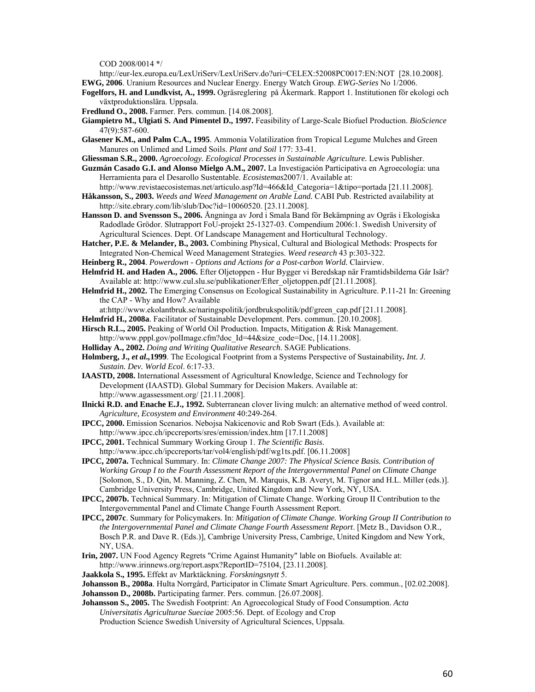COD 2008/0014 \*/

http://eur-lex.europa.eu/LexUriServ/LexUriServ.do?uri=CELEX:52008PC0017:EN:NOT [28.10.2008]. **EWG, 2006**. Uranium Resources and Nuclear Energy. Energy Watch Group. *EWG-Series* No 1/2006.

- **Fogelfors, H. and Lundkvist, A., 1999.** Ogräsreglering på Åkermark. Rapport 1. Institutionen för ekologi och växtproduktionslära. Uppsala.
- **Fredlund O., 2008.** Farmer. Pers. commun. [14.08.2008].
- **Giampietro M., Ulgiati S. And Pimentel D., 1997.** Feasibility of Large-Scale Biofuel Production. *BioScience*  47(9):587-600.
- **Glasener K.M., and Palm C.A., 1995**. Ammonia Volatilization from Tropical Legume Mulches and Green Manures on Unlimed and Limed Soils. *Plant and Soil* 177: 33-41.
- **Gliessman S.R., 2000.** *Agroecology. Ecological Processes in Sustainable Agriculture.* Lewis Publisher.
- **Guzmán Casado G.I. and Alonso Mielgo A.M., 2007.** La Investigación Participativa en Agroecología: una Herramienta para el Desarollo Sustentable. *Ecosistemas*2007/1. Available at:
- http://www.revistaecosistemas.net/articulo.asp?Id=466&Id\_Categoria=1&tipo=portada [21.11.2008].

**Håkansson, S., 2003.** *Weeds and Weed Management on Arable Land.* CABI Pub. Restricted availability at http://site.ebrary.com/lib/slub/Doc?id=10060520. [23.11.2008].

- **Hansson D. and Svensson S., 2006.** Ångninga av Jord i Smala Band för Bekämpning av Ogräs i Ekologiska Radodlade Grödor. Slutrapport FoU-projekt 25-1327-03. Compendium 2006:1. Swedish University of Agricultural Sciences. Dept. Of Landscape Management and Horticultural Technology.
- **Hatcher, P.E. & Melander, B., 2003.** Combining Physical, Cultural and Biological Methods: Prospects for Integrated Non-Chemical Weed Management Strategies. *Weed research* 43 p:303-322.
- **Heinberg R., 2004**. *Powerdown Options and Actions for a Post-carbon World.* Clairview.
- **Helmfrid H. and Haden A., 2006.** Efter Oljetoppen Hur Bygger vi Beredskap när Framtidsbilderna Går Isär? Available at: http://www.cul.slu.se/publikationer/Efter\_oljetoppen.pdf [21.11.2008].
- **Helmfrid H., 2002.** The Emerging Consensus on Ecological Sustainability in Agriculture. P.11-21 In: Greening the CAP - Why and How? Available

at:http://www.ekolantbruk.se/naringspolitik/jordbrukspolitik/pdf/green\_cap.pdf [21.11.2008].

**Helmfrid H., 2008a**. Facilitator of Sustainable Development. Pers. commun. [20.10.2008].

- **Hirsch R.L., 2005.** Peaking of World Oil Production. Impacts, Mitigation & Risk Management. http://www.pppl.gov/polImage.cfm?doc\_Id=44&size\_code=Doc, [14.11.2008].
- **Holliday A., 2002.** *Doing and Writing Qualitative Research*. SAGE Publications.
- **Holmberg, J.,** *et al.,***1999**. The Ecological Footprint from a Systems Perspective of Sustainability*. Int. J. Sustain. Dev. World Ecol*. 6:17-33.
- **IAASTD, 2008.** International Assessment of Agricultural Knowledge, Science and Technology for Development (IAASTD). Global Summary for Decision Makers. Available at: http://www.agassessment.org/ [21.11.2008].
- **Ilnicki R.D. and Enache E.J., 1992.** Subterranean clover living mulch: an alternative method of weed control. *Agriculture, Ecosystem and Environment* 40:249-264.
- **IPCC, 2000.** Emission Scenarios. Nebojsa Nakicenovic and Rob Swart (Eds.). Available at:
- http://www.ipcc.ch/ipccreports/sres/emission/index.htm [17.11.2008]
- **IPCC, 2001.** Technical Summary Working Group 1. *The Scientific Basis*. http://www.ipcc.ch/ipccreports/tar/vol4/english/pdf/wg1ts.pdf. [06.11.2008]
- **IPCC, 2007a.** Technical Summary. In: *Climate Change 2007: The Physical Science Basis. Contribution of Working Group I to the Fourth Assessment Report of the Intergovernmental Panel on Climate Change* [Solomon, S., D. Qin, M. Manning, Z. Chen, M. Marquis, K.B. Averyt, M. Tignor and H.L. Miller (eds.)]. Cambridge University Press, Cambridge, United Kingdom and New York, NY, USA.
- **IPCC, 2007b.** Technical Summary. In: Mitigation of Climate Change. Working Group II Contribution to the Intergovernmental Panel and Climate Change Fourth Assessment Report.
- **IPCC, 2007c**. Summary for Policymakers. In: *Mitigation of Climate Change. Working Group II Contribution to the Intergovernmental Panel and Climate Change Fourth Assessment Report*. [Metz B., Davidson O.R., Bosch P.R. and Dave R. (Eds.)], Cambrige University Press, Cambrige, United Kingdom and New York, NY, USA.
- **Irin, 2007.** UN Food Agency Regrets "Crime Against Humanity" lable on Biofuels. Available at: http://www.irinnews.org/report.aspx?ReportID=75104, [23.11.2008].
- **Jaakkola S., 1995.** Effekt av Marktäckning. *Forskningsnytt* 5.

**Johansson B., 2008a**. Hulta Norrgård, Participator in Climate Smart Agriculture. Pers. commun., [02.02.2008].

- **Johansson D., 2008b.** Participating farmer. Pers. commun. [26.07.2008].
- **Johansson S., 2005.** The Swedish Footprint: An Agroecological Study of Food Consumption. *Acta Universitatis Agriculturae Sueciae* 2005:56. Dept. of Ecology and Crop Production Science Swedish University of Agricultural Sciences, Uppsala.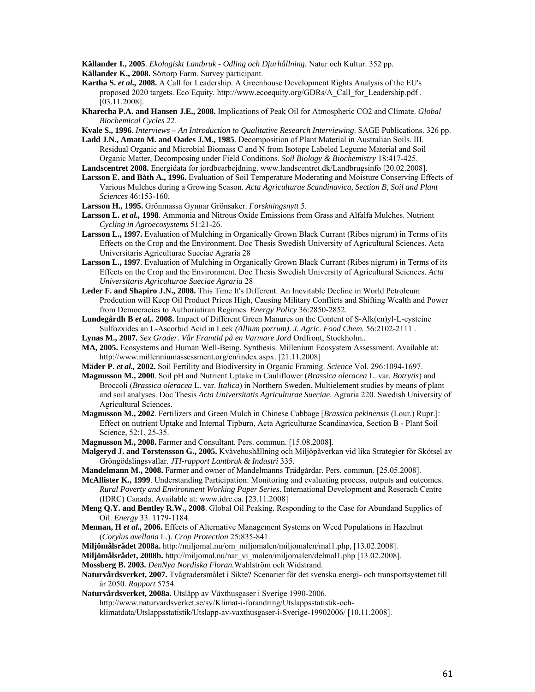**Källander I., 2005**. *Ekologiskt Lantbruk - Odling och Djurhållning.* Natur och Kultur. 352 pp.

**Källander K., 2008.** Sörtorp Farm. Survey participant.

- **Kartha S.** *et al.,* **2008.** A Call for Leadership. A Greenhouse Development Rights Analysis of the EU's proposed 2020 targets. Eco Equity*.* http://www.ecoequity.org/GDRs/A\_Call\_for\_Leadership.pdf . [03.11.2008].
- **Kharecha P.A. and Hansen J.E., 2008.** Implications of Peak Oil for Atmospheric CO2 and Climate. *Global Biochemical Cycles* 22.

**Kvale S., 1996**. *Interviews – An Introduction to Qualitative Research Interviewing*. SAGE Publications. 326 pp.

**Ladd J.N., Amato M. and Oades J.M., 1985**. Decomposition of Plant Material in Australian Soils. III. Residual Organic and Microbial Biomass C and N from Isotope Labeled Legume Material and Soil Organic Matter, Decomposing under Field Conditions. *Soil Biology & Biochemistry* 18:417-425.

**Landscentret 2008.** Energidata for jordbearbejdning. www.landscentret.dk/Landbrugsinfo [20.02.2008].

- **Larsson E. and Båth A., 1996.** Evaluation of Soil Temperature Moderating and Moisture Conserving Effects of Various Mulches during a Growing Season. *Acta Agriculturae Scandinavica, Section B, Soil and Plant Sciences* 46:153-160.
- **Larsson H., 1995.** Grönmassa Gynnar Grönsaker. *Forskningsnytt* 5.
- **Larsson L.** *et al.,* **1998**. Ammonia and Nitrous Oxide Emissions from Grass and Alfalfa Mulches. Nutrient *Cycling in Agroecosystems* 51:21-26.
- **Larsson L., 1997.** Evaluation of Mulching in Organically Grown Black Currant (Ribes nigrum) in Terms of its Effects on the Crop and the Environment. Doc Thesis Swedish University of Agricultural Sciences. Acta Universitaris Agriculturae Sueciae Agraria 28
- **Larsson L., 1997**. Evaluation of Mulching in Organically Grown Black Currant (Ribes nigrum) in Terms of its Effects on the Crop and the Environment. Doc Thesis Swedish University of Agricultural Sciences. *Acta Universitaris Agriculturae Sueciae Agraria* 28
- **Leder F. and Shapiro J.N., 2008.** This Time It's Different. An Inevitable Decline in World Petroleum Prodcution will Keep Oil Product Prices High, Causing Military Conflicts and Shifting Wealth and Power from Democracies to Authoriatiran Regimes. *Energy Policy* 36:2850-2852.
- **Lundegårdh B** *et al,.* **2008.** Impact of Different Green Manures on the Content of S-Alk(en)yl-L-cysteine Sulfozxides an L-Ascorbid Acid in Leek *(Allium porrum). J. Agric. Food Chem.* 56:2102-2111 *.*
- **Lynas M., 2007.** *Sex Grader. Vår Framtid på en Varmare Jord* Ordfront, Stockholm.*.*
- **MA, 2005.** Ecosystems and Human Well-Being. Synthesis. Millenium Ecosystem Assessment. Available at: http://www.millenniumassessment.org/en/index.aspx. [21.11.2008]
- **Mäder P.** *et al.,* **2002.** Soil Fertility and Biodiversity in Organic Framing. *Science* Vol. 296:1094-1697.
- **Magnusson M., 2000**. Soil pH and Nutrient Uptake in Cauliflower (*Brassica oleracea* L. var. *Botrytis*) and Broccoli (*Brassica oleracea* L. var. *Italica*) in Northern Sweden. Multielement studies by means of plant and soil analyses. Doc Thesis *Acta Universitatis Agriculturae Sueciae*. Agraria 220. Swedish University of Agricultural Sciences.
- **Magnusson M., 2002**. Fertilizers and Green Mulch in Chinese Cabbage [*Brassica pekinensis* (Lour.) Rupr.]: Effect on nutrient Uptake and Internal Tipburn, Acta Agriculturae Scandinavica, Section B - Plant Soil Science, 52:1, 25-35.
- **Magnusson M., 2008.** Farmer and Consultant. Pers. commun. [15.08.2008].
- **Malgeryd J. and Torstensson G., 2005.** Kvävehushållning och Miljöpåverkan vid lika Strategier för Skötsel av Gröngödslingsvallar. *JTI-rapport Lantbruk & Industri* 335.
- **Mandelmann M., 2008.** Farmer and owner of Mandelmanns Trädgårdar. Pers. commun. [25.05.2008].

**McAllister K., 1999**. Understanding Participation: Monitoring and evaluating process, outputs and outcomes. *Rural Poverty and Environment Working Paper Series*. International Development and Reserach Centre (IDRC) Canada. Available at: www.idrc.ca. [23.11.2008]

- **Meng Q.Y. and Bentley R.W., 2008**. Global Oil Peaking. Responding to the Case for Abundand Supplies of Oil. *Energy* 33. 1179-1184.
- **Mennan, H** *et al.,* **2006.** Effects of Alternative Management Systems on Weed Populations in Hazelnut (*Corylus avellana* L.). *Crop Protection* 25:835-841.
- **Miljömålsrådet 2008a.** http://miljomal.nu/om\_miljomalen/miljomalen/mal1.php, [13.02.2008].
- **Miljömålsrådet, 2008b.** http://miljomal.nu/nar\_vi\_malen/miljomalen/delmal1.php [13.02.2008].
- **Mossberg B. 2003.** *DenNya Nordiska Floran.*Wahlström och Widstrand.
- **Naturvårdsverket, 2007.** Tvågradersmålet i Sikte? Scenarier för det svenska energi- och transportsystemet till år 2050. *Rapport* 5754.

**Naturvårdsverket, 2008a.** Utsläpp av Växthusgaser i Sverige 1990-2006.

http://www.naturvardsverket.se/sv/Klimat-i-forandring/Utslappsstatistik-och-

klimatdata/Utslappsstatistik/Utslapp-av-vaxthusgaser-i-Sverige-19902006/ [10.11.2008].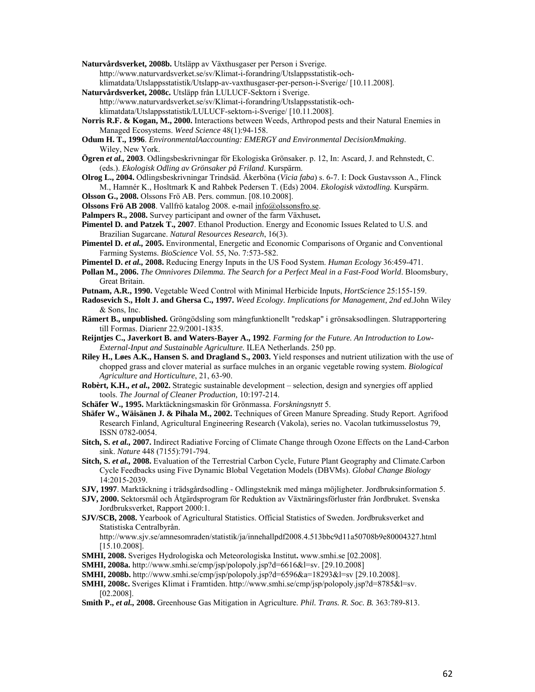**Naturvårdsverket, 2008b.** Utsläpp av Växthusgaser per Person i Sverige. http://www.naturvardsverket.se/sv/Klimat-i-forandring/Utslappsstatistik-ochklimatdata/Utslappsstatistik/Utslapp-av-vaxthusgaser-per-person-i-Sverige/ [10.11.2008].

- **Naturvårdsverket, 2008c.** Utsläpp från LULUCF-Sektorn i Sverige. http://www.naturvardsverket.se/sv/Klimat-i-forandring/Utslappsstatistik-ochklimatdata/Utslappsstatistik/LULUCF-sektorn-i-Sverige/ [10.11.2008].
- **Norris R.F. & Kogan, M., 2000.** Interactions between Weeds, Arthropod pests and their Natural Enemies in Managed Ecosystems. *Weed Science* 48(1):94-158.
- **Odum H. T., 1996**. *EnvironmentalAaccounting: EMERGY and Environmental DecisionMmaking*. Wiley, New York.
- **Ögren** *et al.,* **2003**. Odlingsbeskrivningar för Ekologiska Grönsaker. p. 12, In: Ascard, J. and Rehnstedt, C. (eds.). *Ekologisk Odling av Grönsaker på Friland*. Kurspärm.
- **Olrog L., 2004.** Odlingsbeskrivningar Trindsäd. Åkerböna (*Vicia faba*) s. 6-7. I: Dock Gustavsson A., Flinck M., Hamnér K., Hosltmark K and Rahbek Pedersen T. (Eds) 2004. *Ekologisk växtodling.* Kurspärm.
- **Olsson G., 2008.** Olssons Frö AB. Pers. commun. [08.10.2008].
- **Olssons Frö AB 2008**. Vallfrö katalog 2008. e-mail info@olssonsfro.se.
- **Palmpers R., 2008.** Survey participant and owner of the farm Växhuset**.**
- **Pimentel D. and Patzek T., 2007**. Ethanol Production. Energy and Economic Issues Related to U.S. and Brazilian Sugarcane. *Natural Resources Research*, 16(3).
- **Pimentel D.** *et al.,* **2005.** Environmental, Energetic and Economic Comparisons of Organic and Conventional Farming Systems. *BioScience* Vol. 55, No. 7:573-582.
- **Pimentel D.** *et al.,* **2008.** Reducing Energy Inputs in the US Food System. *Human Ecology* 36:459-471.
- **Pollan M., 2006.** *The Omnivores Dilemma. The Search for a Perfect Meal in a Fast-Food World*. Bloomsbury, Great Britain.
- **Putnam, A.R., 1990.** Vegetable Weed Control with Minimal Herbicide Inputs, *HortScience* 25:155-159.
- **Radosevich S., Holt J. and Ghersa C., 1997.** *Weed Ecology. Implications for Management, 2nd ed.*John Wiley & Sons, Inc.
- **Rämert B., unpublished.** Gröngödsling som mångfunktionellt "redskap" i grönsaksodlingen. Slutrapportering till Formas. Diarienr 22.9/2001-1835.
- **Reijntjes C., Javerkort B. and Waters-Bayer A., 1992**. *Farming for the Future. An Introduction to Low-External-Input and Sustainable Agriculture.* ILEA Netherlands. 250 pp.
- **Riley H., Løes A.K., Hansen S. and Dragland S., 2003.** Yield responses and nutrient utilization with the use of chopped grass and clover material as surface mulches in an organic vegetable rowing system. *Biological Agriculture and Horticulture*, 21, 63-90.
- **Robèrt, K.H.,** *et al.,* **2002.** Strategic sustainable development selection, design and synergies off applied tools. *The Journal of Cleaner Production,* 10:197-214.
- **Schäfer W., 1995.** Marktäckningsmaskin för Grönmassa. *Forskningsnytt* 5.
- **Shäfer W., Wäisänen J. & Pihala M., 2002.** Techniques of Green Manure Spreading. Study Report. Agrifood Research Finland, Agricultural Engineering Research (Vakola), series no. Vacolan tutkimusselostus 79, ISSN 0782-0054.
- **Sitch, S.** *et al.,* **2007.** Indirect Radiative Forcing of Climate Change through Ozone Effects on the Land-Carbon sink. *Nature* 448 (7155):791-794.
- **Sitch, S.** *et al.***, 2008.** Evaluation of the Terrestrial Carbon Cycle, Future Plant Geography and Climate.Carbon Cycle Feedbacks using Five Dynamic Blobal Vegetation Models (DBVMs). *Global Change Biology* 14:2015-2039.
- **SJV, 1997**. Marktäckning i trädsgårdsodling Odlingsteknik med många möjligheter. Jordbruksinformation 5.
- **SJV, 2000.** Sektorsmål och Åtgärdsprogram för Reduktion av Växtnäringsförluster från Jordbruket. Svenska Jordbruksverket, Rapport 2000:1.
- **SJV/SCB, 2008.** Yearbook of Agricultural Statistics. Official Statistics of Sweden. Jordbruksverket and Statistiska Centralbyrån.

http://www.sjv.se/amnesomraden/statistik/ja/innehallpdf2008.4.513bbc9d11a50708b9e80004327.html [15.10.2008].

- **SMHI, 2008.** Sveriges Hydrologiska och Meteorologiska Institut**.** www.smhi.se [02.2008].
- **SMHI, 2008a.** http://www.smhi.se/cmp/jsp/polopoly.jsp?d=6616&l=sv. [29.10.2008]
- **SMHI, 2008b.** http://www.smhi.se/cmp/jsp/polopoly.jsp?d=6596&a=18293&l=sv [29.10.2008].
- **SMHI, 2008c.** Sveriges Klimat i Framtiden. http://www.smhi.se/cmp/jsp/polopoly.jsp?d=8785&l=sv. [02.2008].
- **Smith P.,** *et al.,* **2008.** Greenhouse Gas Mitigation in Agriculture. *Phil. Trans. R. Soc. B.* 363:789-813.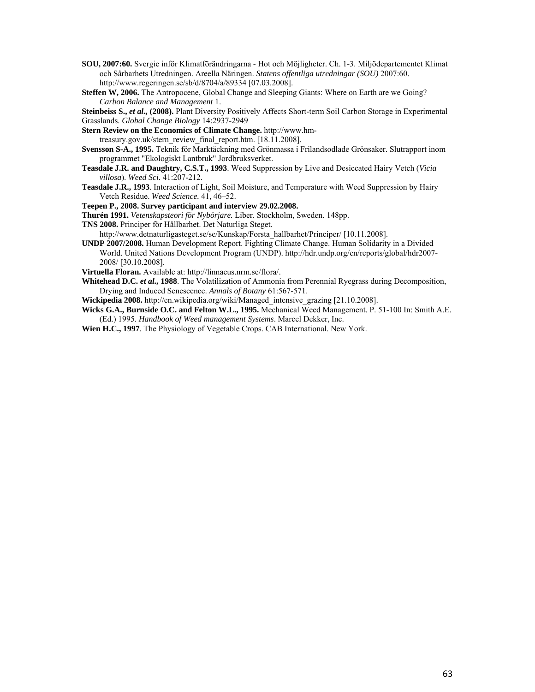- **SOU, 2007:60.** Svergie inför Klimatförändringarna Hot och Möjligheter. Ch. 1-3. Miljödepartementet Klimat och Sårbarhets Utredningen. Areella Näringen. *Statens offentliga utredningar (SOU)* 2007:60. http://www.regeringen.se/sb/d/8704/a/89334 [07.03.2008].
- **Steffen W, 2006.** The Antropocene, Global Change and Sleeping Giants: Where on Earth are we Going? *Carbon Balance and Management* 1.

**Steinbeiss S.,** *et al.,* **(2008).** Plant Diversity Positively Affects Short-term Soil Carbon Storage in Experimental Grasslands. *Global Change Biology* 14:2937-2949

- **Stern Review on the Economics of Climate Change.** http://www.hmtreasury.gov.uk/stern\_review\_final\_report.htm. [18.11.2008].
- **Svensson S-A., 1995.** Teknik för Marktäckning med Grönmassa i Frilandsodlade Grönsaker. Slutrapport inom programmet "Ekologiskt Lantbruk" Jordbruksverket.
- **Teasdale J.R. and Daughtry, C.S.T., 1993**. Weed Suppression by Live and Desiccated Hairy Vetch (*Vicia villosa*). *Weed Sci.* 41:207-212.
- **Teasdale J.R., 1993**. Interaction of Light, Soil Moisture, and Temperature with Weed Suppression by Hairy Vetch Residue. *Weed Science.* 41, 46–52.

**Teepen P., 2008. Survey participant and interview 29.02.2008.** 

- **Thurén 1991.** *Vetenskapsteori för Nybörjare.* Liber. Stockholm, Sweden. 148pp.
- **TNS 2008.** Principer för Hållbarhet. Det Naturliga Steget.

http://www.detnaturligasteget.se/se/Kunskap/Forsta\_hallbarhet/Principer/ [10.11.2008].

- **UNDP 2007/2008.** Human Development Report. Fighting Climate Change. Human Solidarity in a Divided World. United Nations Development Program (UNDP). http://hdr.undp.org/en/reports/global/hdr2007- 2008/ [30.10.2008].
- **Virtuella Floran.** Available at: http://linnaeus.nrm.se/flora/.
- **Whitehead D.C.** *et al.,* **1988**. The Volatilization of Ammonia from Perennial Ryegrass during Decomposition, Drying and Induced Senescence. *Annals of Botany* 61:567-571.
- **Wickipedia 2008.** http://en.wikipedia.org/wiki/Managed\_intensive\_grazing [21.10.2008].
- **Wicks G.A., Burnside O.C. and Felton W.L., 1995.** Mechanical Weed Management. P. 51-100 In: Smith A.E. (Ed.) 1995. *Handbook of Weed management Systems*. Marcel Dekker, Inc.
- **Wien H.C., 1997**. The Physiology of Vegetable Crops. CAB International. New York.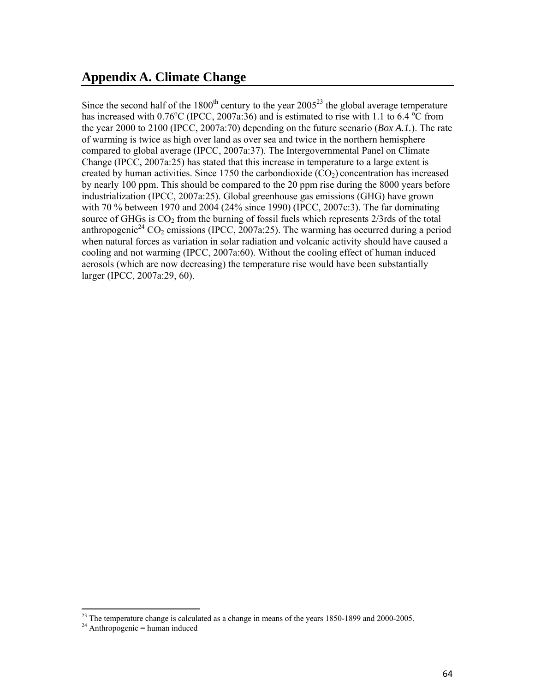# **Appendix A. Climate Change**

Since the second half of the  $1800<sup>th</sup>$  century to the year  $2005<sup>23</sup>$  the global average temperature has increased with 0.76<sup>o</sup>C (IPCC, 2007a:36) and is estimated to rise with 1.1 to 6.4 <sup>o</sup>C from the year 2000 to 2100 (IPCC, 2007a:70) depending on the future scenario (*Box A.1.*). The rate of warming is twice as high over land as over sea and twice in the northern hemisphere compared to global average (IPCC, 2007a:37). The Intergovernmental Panel on Climate Change (IPCC, 2007a:25) has stated that this increase in temperature to a large extent is created by human activities. Since 1750 the carbondioxide  $(CO<sub>2</sub>)$  concentration has increased by nearly 100 ppm. This should be compared to the 20 ppm rise during the 8000 years before industrialization (IPCC, 2007a:25). Global greenhouse gas emissions (GHG) have grown with 70 % between 1970 and 2004 (24% since 1990) (IPCC, 2007c:3). The far dominating source of GHGs is  $CO<sub>2</sub>$  from the burning of fossil fuels which represents 2/3rds of the total anthropogenic<sup>24</sup> CO<sub>2</sub> emissions (IPCC, 2007a:25). The warming has occurred during a period when natural forces as variation in solar radiation and volcanic activity should have caused a cooling and not warming (IPCC, 2007a:60). Without the cooling effect of human induced aerosols (which are now decreasing) the temperature rise would have been substantially larger (IPCC, 2007a:29, 60).

 $^{23}$  The temperature change is calculated as a change in means of the years 1850-1899 and 2000-2005.

 $^{24}$  Anthropogenic = human induced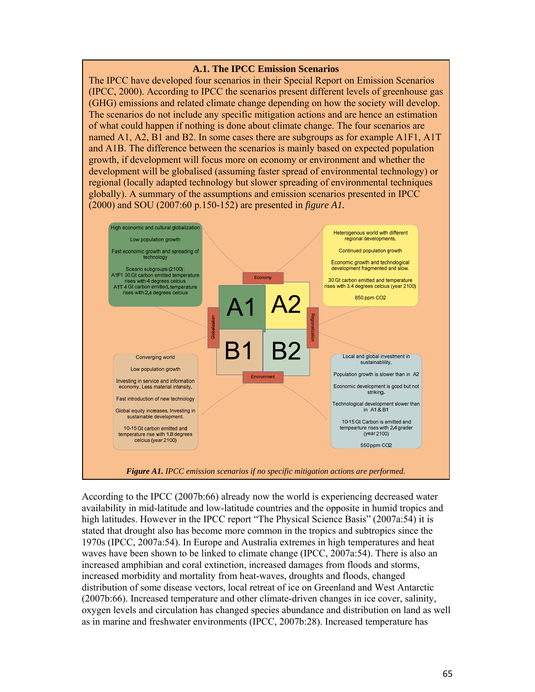#### **A.1. The IPCC Emission Scenarios**

The IPCC have developed four scenarios in their Special Report on Emission Scenarios (IPCC, 2000). According to IPCC the scenarios present different levels of greenhouse gas (GHG) emissions and related climate change depending on how the society will develop. The scenarios do not include any specific mitigation actions and are hence an estimation of what could happen if nothing is done about climate change. The four scenarios are named A1, A2, B1 and B2. In some cases there are subgroups as for example A1F1, A1T and A1B. The difference between the scenarios is mainly based on expected population growth, if development will focus more on economy or environment and whether the development will be globalised (assuming faster spread of environmental technology) or regional (locally adapted technology but slower spreading of environmental techniques globally). A summary of the assumptions and emission scenarios presented in IPCC (2000) and SOU (2007:60 p.150-152) are presented in *figure A1.* 



*Figure A1. IPCC emission scenarios if no specific mitigation actions are performed.* 

According to the IPCC (2007b:66) already now the world is experiencing decreased water availability in mid-latitude and low-latitude countries and the opposite in humid tropics and high latitudes. However in the IPCC report "The Physical Science Basis" (2007a:54) it is stated that drought also has become more common in the tropics and subtropics since the 1970s (IPCC, 2007a:54). In Europe and Australia extremes in high temperatures and heat waves have been shown to be linked to climate change (IPCC, 2007a:54). There is also an increased amphibian and coral extinction, increased damages from floods and storms, increased morbidity and mortality from heat-waves, droughts and floods, changed distribution of some disease vectors, local retreat of ice on Greenland and West Antarctic (2007b:66). Increased temperature and other climate-driven changes in ice cover, salinity, oxygen levels and circulation has changed species abundance and distribution on land as well as in marine and freshwater environments (IPCC, 2007b:28). Increased temperature has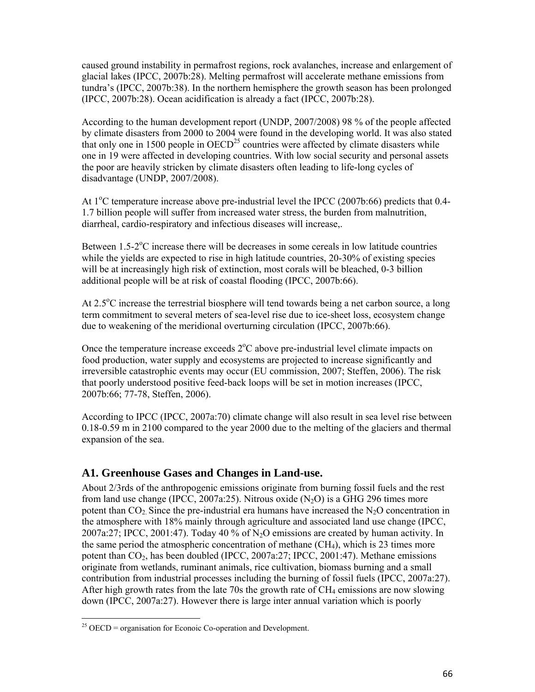caused ground instability in permafrost regions, rock avalanches, increase and enlargement of glacial lakes (IPCC, 2007b:28). Melting permafrost will accelerate methane emissions from tundra's (IPCC, 2007b:38). In the northern hemisphere the growth season has been prolonged (IPCC, 2007b:28). Ocean acidification is already a fact (IPCC, 2007b:28).

According to the human development report (UNDP, 2007/2008) 98 % of the people affected by climate disasters from 2000 to 2004 were found in the developing world. It was also stated that only one in 1500 people in  $OECD^{25}$  countries were affected by climate disasters while one in 19 were affected in developing countries. With low social security and personal assets the poor are heavily stricken by climate disasters often leading to life-long cycles of disadvantage (UNDP, 2007/2008).

At  $1^{\circ}$ C temperature increase above pre-industrial level the IPCC (2007b:66) predicts that 0.4-1.7 billion people will suffer from increased water stress, the burden from malnutrition, diarrheal, cardio-respiratory and infectious diseases will increase,.

Between 1.5-2°C increase there will be decreases in some cereals in low latitude countries while the yields are expected to rise in high latitude countries, 20-30% of existing species will be at increasingly high risk of extinction, most corals will be bleached, 0-3 billion additional people will be at risk of coastal flooding (IPCC, 2007b:66).

At  $2.5^{\circ}$ C increase the terrestrial biosphere will tend towards being a net carbon source, a long term commitment to several meters of sea-level rise due to ice-sheet loss, ecosystem change due to weakening of the meridional overturning circulation (IPCC, 2007b:66).

Once the temperature increase exceeds  $2^{\circ}$ C above pre-industrial level climate impacts on food production, water supply and ecosystems are projected to increase significantly and irreversible catastrophic events may occur (EU commission, 2007; Steffen, 2006). The risk that poorly understood positive feed-back loops will be set in motion increases (IPCC, 2007b:66; 77-78, Steffen, 2006).

According to IPCC (IPCC, 2007a:70) climate change will also result in sea level rise between 0.18-0.59 m in 2100 compared to the year 2000 due to the melting of the glaciers and thermal expansion of the sea.

## **A1. Greenhouse Gases and Changes in Land-use.**

About 2/3rds of the anthropogenic emissions originate from burning fossil fuels and the rest from land use change (IPCC, 2007a:25). Nitrous oxide  $(N_2O)$  is a GHG 296 times more potent than  $CO<sub>2</sub>$  Since the pre-industrial era humans have increased the N<sub>2</sub>O concentration in the atmosphere with 18% mainly through agriculture and associated land use change (IPCC, 2007a:27; IPCC, 2001:47). Today 40 % of N2O emissions are created by human activity. In the same period the atmospheric concentration of methane (CH4), which is 23 times more potent than  $CO<sub>2</sub>$ , has been doubled (IPCC, 2007a:27; IPCC, 2001:47). Methane emissions originate from wetlands, ruminant animals, rice cultivation, biomass burning and a small contribution from industrial processes including the burning of fossil fuels (IPCC, 2007a:27). After high growth rates from the late 70s the growth rate of  $CH_4$  emissions are now slowing down (IPCC, 2007a:27). However there is large inter annual variation which is poorly

 $^{25}$  OECD = organisation for Econoic Co-operation and Development.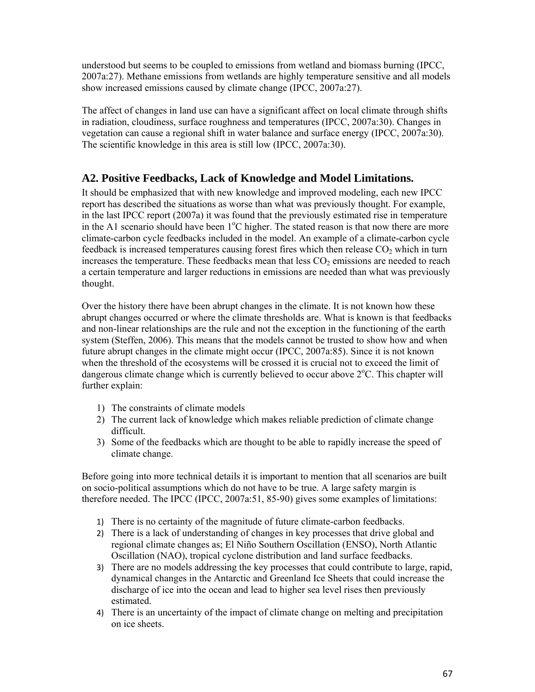understood but seems to be coupled to emissions from wetland and biomass burning (IPCC, 2007a:27). Methane emissions from wetlands are highly temperature sensitive and all models show increased emissions caused by climate change (IPCC, 2007a:27).

The affect of changes in land use can have a significant affect on local climate through shifts in radiation, cloudiness, surface roughness and temperatures (IPCC, 2007a:30). Changes in vegetation can cause a regional shift in water balance and surface energy (IPCC, 2007a:30). The scientific knowledge in this area is still low (IPCC, 2007a:30).

# **A2. Positive Feedbacks, Lack of Knowledge and Model Limitations.**

It should be emphasized that with new knowledge and improved modeling, each new IPCC report has described the situations as worse than what was previously thought. For example, in the last IPCC report (2007a) it was found that the previously estimated rise in temperature in the A1 scenario should have been  $1^{\circ}$ C higher. The stated reason is that now there are more climate-carbon cycle feedbacks included in the model. An example of a climate-carbon cycle feedback is increased temperatures causing forest fires which then release  $CO<sub>2</sub>$  which in turn increases the temperature. These feedbacks mean that less  $CO<sub>2</sub>$  emissions are needed to reach a certain temperature and larger reductions in emissions are needed than what was previously thought.

Over the history there have been abrupt changes in the climate. It is not known how these abrupt changes occurred or where the climate thresholds are. What is known is that feedbacks and non-linear relationships are the rule and not the exception in the functioning of the earth system (Steffen, 2006). This means that the models cannot be trusted to show how and when future abrupt changes in the climate might occur (IPCC, 2007a:85). Since it is not known when the threshold of the ecosystems will be crossed it is crucial not to exceed the limit of dangerous climate change which is currently believed to occur above  $2^{\circ}$ C. This chapter will further explain:

- 1) The constraints of climate models
- 2) The current lack of knowledge which makes reliable prediction of climate change difficult.
- 3) Some of the feedbacks which are thought to be able to rapidly increase the speed of climate change.

Before going into more technical details it is important to mention that all scenarios are built on socio-political assumptions which do not have to be true. A large safety margin is therefore needed. The IPCC (IPCC, 2007a:51, 85-90) gives some examples of limitations:

- 1) There is no certainty of the magnitude of future climate-carbon feedbacks.
- 2) There is a lack of understanding of changes in key processes that drive global and regional climate changes as; El Niño Southern Oscillation (ENSO), North Atlantic Oscillation (NAO), tropical cyclone distribution and land surface feedbacks.
- 3) There are no models addressing the key processes that could contribute to large, rapid, dynamical changes in the Antarctic and Greenland Ice Sheets that could increase the discharge of ice into the ocean and lead to higher sea level rises then previously estimated.
- 4) There is an uncertainty of the impact of climate change on melting and precipitation on ice sheets.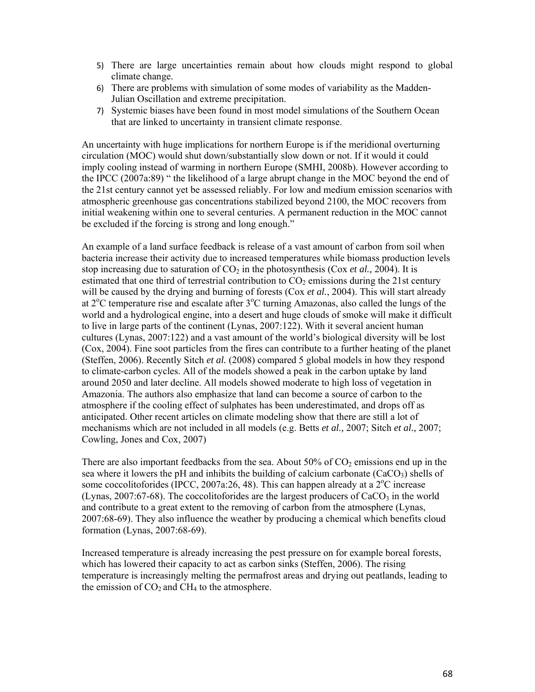- 5) There are large uncertainties remain about how clouds might respond to global climate change.
- 6) There are problems with simulation of some modes of variability as the Madden-Julian Oscillation and extreme precipitation.
- 7) Systemic biases have been found in most model simulations of the Southern Ocean that are linked to uncertainty in transient climate response.

An uncertainty with huge implications for northern Europe is if the meridional overturning circulation (MOC) would shut down/substantially slow down or not. If it would it could imply cooling instead of warming in northern Europe (SMHI, 2008b). However according to the IPCC (2007a:89) " the likelihood of a large abrupt change in the MOC beyond the end of the 21st century cannot yet be assessed reliably. For low and medium emission scenarios with atmospheric greenhouse gas concentrations stabilized beyond 2100, the MOC recovers from initial weakening within one to several centuries. A permanent reduction in the MOC cannot be excluded if the forcing is strong and long enough."

An example of a land surface feedback is release of a vast amount of carbon from soil when bacteria increase their activity due to increased temperatures while biomass production levels stop increasing due to saturation of  $CO<sub>2</sub>$  in the photosynthesis (Cox *et al.*, 2004). It is estimated that one third of terrestrial contribution to  $CO<sub>2</sub>$  emissions during the 21st century will be caused by the drying and burning of forests (Cox *et al.*, 2004). This will start already at 2<sup>o</sup>C temperature rise and escalate after 3<sup>o</sup>C turning Amazonas, also called the lungs of the world and a hydrological engine, into a desert and huge clouds of smoke will make it difficult to live in large parts of the continent (Lynas, 2007:122). With it several ancient human cultures (Lynas, 2007:122) and a vast amount of the world's biological diversity will be lost (Cox, 2004). Fine soot particles from the fires can contribute to a further heating of the planet (Steffen, 2006). Recently Sitch *et al.* (2008) compared 5 global models in how they respond to climate-carbon cycles. All of the models showed a peak in the carbon uptake by land around 2050 and later decline. All models showed moderate to high loss of vegetation in Amazonia. The authors also emphasize that land can become a source of carbon to the atmosphere if the cooling effect of sulphates has been underestimated, and drops off as anticipated. Other recent articles on climate modeling show that there are still a lot of mechanisms which are not included in all models (e.g. Betts *et al.,* 2007; Sitch *et al.,* 2007; Cowling, Jones and Cox, 2007)

There are also important feedbacks from the sea. About  $50\%$  of  $CO<sub>2</sub>$  emissions end up in the sea where it lowers the pH and inhibits the building of calcium carbonate  $(CaCO<sub>3</sub>)$  shells of some coccolitoforides (IPCC, 2007a:26, 48). This can happen already at a  $2^{\circ}$ C increase (Lynas, 2007:67-68). The coccolitoforides are the largest producers of  $CaCO<sub>3</sub>$  in the world and contribute to a great extent to the removing of carbon from the atmosphere (Lynas, 2007:68-69). They also influence the weather by producing a chemical which benefits cloud formation (Lynas, 2007:68-69).

Increased temperature is already increasing the pest pressure on for example boreal forests, which has lowered their capacity to act as carbon sinks (Steffen, 2006). The rising temperature is increasingly melting the permafrost areas and drying out peatlands, leading to the emission of  $CO<sub>2</sub>$  and  $CH<sub>4</sub>$  to the atmosphere.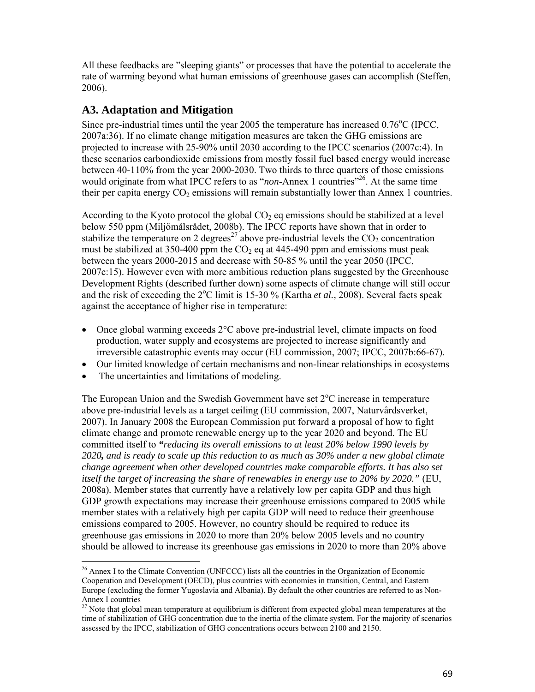All these feedbacks are "sleeping giants" or processes that have the potential to accelerate the rate of warming beyond what human emissions of greenhouse gases can accomplish (Steffen, 2006).

## **A3. Adaptation and Mitigation**

Since pre-industrial times until the year 2005 the temperature has increased  $0.76^{\circ}$ C (IPCC, 2007a:36). If no climate change mitigation measures are taken the GHG emissions are projected to increase with 25-90% until 2030 according to the IPCC scenarios (2007c:4). In these scenarios carbondioxide emissions from mostly fossil fuel based energy would increase between 40-110% from the year 2000-2030. Two thirds to three quarters of those emissions would originate from what IPCC refers to as "*non*-Annex 1 countries"<sup>26</sup>. At the same time their per capita energy  $CO<sub>2</sub>$  emissions will remain substantially lower than Annex 1 countries.

According to the Kyoto protocol the global  $CO<sub>2</sub>$  eq emissions should be stabilized at a level below 550 ppm (Miljömålsrådet, 2008b). The IPCC reports have shown that in order to stabilize the temperature on 2 degrees<sup>27</sup> above pre-industrial levels the  $CO<sub>2</sub>$  concentration must be stabilized at 350-400 ppm the  $CO<sub>2</sub>$  eq at 445-490 ppm and emissions must peak between the years 2000-2015 and decrease with 50-85 % until the year 2050 (IPCC, 2007c:15). However even with more ambitious reduction plans suggested by the Greenhouse Development Rights (described further down) some aspects of climate change will still occur and the risk of exceeding the 2<sup>o</sup>C limit is 15-30 % (Kartha *et al.*, 2008). Several facts speak against the acceptance of higher rise in temperature:

- Once global warming exceeds 2<sup>o</sup>C above pre-industrial level, climate impacts on food production, water supply and ecosystems are projected to increase significantly and irreversible catastrophic events may occur (EU commission, 2007; IPCC, 2007b:66-67).
- Our limited knowledge of certain mechanisms and non-linear relationships in ecosystems
- The uncertainties and limitations of modeling.

The European Union and the Swedish Government have set  $2^{\circ}$ C increase in temperature above pre-industrial levels as a target ceiling (EU commission, 2007, Naturvårdsverket, 2007). In January 2008 the European Commission put forward a proposal of how to fight climate change and promote renewable energy up to the year 2020 and beyond. The EU committed itself to *"reducing its overall emissions to at least 20% below 1990 levels by 2020, and is ready to scale up this reduction to as much as 30% under a new global climate change agreement when other developed countries make comparable efforts. It has also set itself the target of increasing the share of renewables in energy use to 20% by 2020."* (EU, 2008a)*.* Member states that currently have a relatively low per capita GDP and thus high GDP growth expectations may increase their greenhouse emissions compared to 2005 while member states with a relatively high per capita GDP will need to reduce their greenhouse emissions compared to 2005. However, no country should be required to reduce its greenhouse gas emissions in 2020 to more than 20% below 2005 levels and no country should be allowed to increase its greenhouse gas emissions in 2020 to more than 20% above

<sup>&</sup>lt;sup>26</sup> Annex I to the Climate Convention (UNFCCC) lists all the countries in the Organization of Economic Cooperation and Development (OECD), plus countries with economies in transition, Central, and Eastern Europe (excluding the former Yugoslavia and Albania). By default the other countries are referred to as Non-Annex I countries

<sup>&</sup>lt;sup>27</sup> Note that global mean temperature at equilibrium is different from expected global mean temperatures at the time of stabilization of GHG concentration due to the inertia of the climate system. For the majority of scenarios assessed by the IPCC, stabilization of GHG concentrations occurs between 2100 and 2150.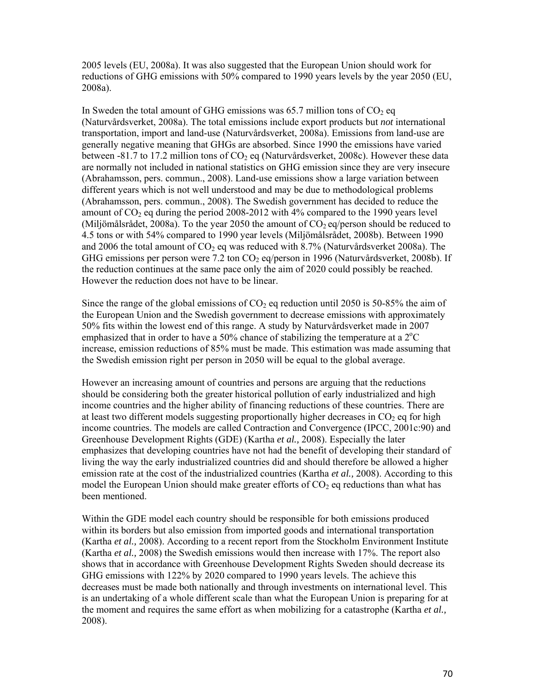2005 levels (EU, 2008a). It was also suggested that the European Union should work for reductions of GHG emissions with 50% compared to 1990 years levels by the year 2050 (EU, 2008a).

In Sweden the total amount of GHG emissions was 65.7 million tons of  $CO<sub>2</sub>$  eq (Naturvårdsverket, 2008a). The total emissions include export products but *not* international transportation, import and land-use (Naturvårdsverket, 2008a). Emissions from land-use are generally negative meaning that GHGs are absorbed. Since 1990 the emissions have varied between -81.7 to 17.2 million tons of  $CO<sub>2</sub>$  eq (Naturvårdsverket, 2008c). However these data are normally not included in national statistics on GHG emission since they are very insecure (Abrahamsson, pers. commun., 2008). Land-use emissions show a large variation between different years which is not well understood and may be due to methodological problems (Abrahamsson, pers. commun., 2008). The Swedish government has decided to reduce the amount of  $CO<sub>2</sub>$  eq during the period 2008-2012 with 4% compared to the 1990 years level (Miljömålsrådet, 2008a). To the year 2050 the amount of  $CO<sub>2</sub>$  eq/person should be reduced to 4.5 tons or with 54% compared to 1990 year levels (Miljömålsrådet, 2008b). Between 1990 and 2006 the total amount of  $CO<sub>2</sub>$  eq was reduced with 8.7% (Naturvårdsverket 2008a). The GHG emissions per person were 7.2 ton  $CO<sub>2</sub>$  eq/person in 1996 (Naturvårdsverket, 2008b). If the reduction continues at the same pace only the aim of 2020 could possibly be reached. However the reduction does not have to be linear.

Since the range of the global emissions of  $CO<sub>2</sub>$  eq reduction until 2050 is 50-85% the aim of the European Union and the Swedish government to decrease emissions with approximately 50% fits within the lowest end of this range. A study by Naturvårdsverket made in 2007 emphasized that in order to have a 50% chance of stabilizing the temperature at a  $2^{\circ}$ C increase, emission reductions of 85% must be made. This estimation was made assuming that the Swedish emission right per person in 2050 will be equal to the global average.

However an increasing amount of countries and persons are arguing that the reductions should be considering both the greater historical pollution of early industrialized and high income countries and the higher ability of financing reductions of these countries. There are at least two different models suggesting proportionally higher decreases in  $CO<sub>2</sub>$  eq for high income countries. The models are called Contraction and Convergence (IPCC, 2001c:90) and Greenhouse Development Rights (GDE) (Kartha *et al.,* 2008). Especially the later emphasizes that developing countries have not had the benefit of developing their standard of living the way the early industrialized countries did and should therefore be allowed a higher emission rate at the cost of the industrialized countries (Kartha *et al.,* 2008). According to this model the European Union should make greater efforts of  $CO<sub>2</sub>$  eq reductions than what has been mentioned.

Within the GDE model each country should be responsible for both emissions produced within its borders but also emission from imported goods and international transportation (Kartha *et al.,* 2008). According to a recent report from the Stockholm Environment Institute (Kartha *et al.,* 2008) the Swedish emissions would then increase with 17%. The report also shows that in accordance with Greenhouse Development Rights Sweden should decrease its GHG emissions with 122% by 2020 compared to 1990 years levels. The achieve this decreases must be made both nationally and through investments on international level. This is an undertaking of a whole different scale than what the European Union is preparing for at the moment and requires the same effort as when mobilizing for a catastrophe (Kartha *et al.,* 2008).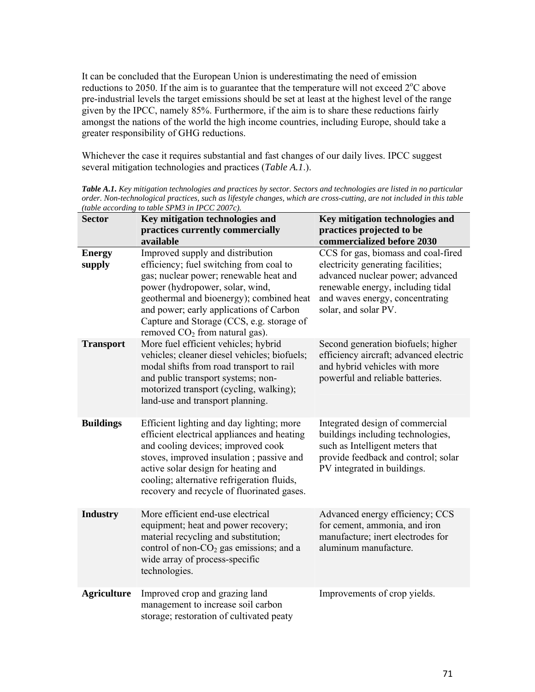It can be concluded that the European Union is underestimating the need of emission reductions to 2050. If the aim is to guarantee that the temperature will not exceed  $2^{\circ}$ C above pre-industrial levels the target emissions should be set at least at the highest level of the range given by the IPCC, namely 85%. Furthermore, if the aim is to share these reductions fairly amongst the nations of the world the high income countries, including Europe, should take a greater responsibility of GHG reductions.

Whichever the case it requires substantial and fast changes of our daily lives. IPCC suggest several mitigation technologies and practices (*Table A.1*.).

| (table according to table SPM3 in IPCC 200/c). |                                              |                                        |  |  |  |  |  |
|------------------------------------------------|----------------------------------------------|----------------------------------------|--|--|--|--|--|
| <b>Sector</b>                                  | Key mitigation technologies and              | Key mitigation technologies and        |  |  |  |  |  |
|                                                | practices currently commercially             | practices projected to be              |  |  |  |  |  |
|                                                | available                                    | commercialized before 2030             |  |  |  |  |  |
| <b>Energy</b>                                  | Improved supply and distribution             | CCS for gas, biomass and coal-fired    |  |  |  |  |  |
| supply                                         | efficiency; fuel switching from coal to      | electricity generating facilities;     |  |  |  |  |  |
|                                                | gas; nuclear power; renewable heat and       | advanced nuclear power; advanced       |  |  |  |  |  |
|                                                | power (hydropower, solar, wind,              | renewable energy, including tidal      |  |  |  |  |  |
|                                                | geothermal and bioenergy); combined heat     | and waves energy, concentrating        |  |  |  |  |  |
|                                                | and power; early applications of Carbon      | solar, and solar PV.                   |  |  |  |  |  |
|                                                | Capture and Storage (CCS, e.g. storage of    |                                        |  |  |  |  |  |
|                                                | removed $CO2$ from natural gas).             |                                        |  |  |  |  |  |
| <b>Transport</b>                               | More fuel efficient vehicles; hybrid         | Second generation biofuels; higher     |  |  |  |  |  |
|                                                | vehicles; cleaner diesel vehicles; biofuels; | efficiency aircraft; advanced electric |  |  |  |  |  |
|                                                | modal shifts from road transport to rail     | and hybrid vehicles with more          |  |  |  |  |  |
|                                                | and public transport systems; non-           | powerful and reliable batteries.       |  |  |  |  |  |
|                                                | motorized transport (cycling, walking);      |                                        |  |  |  |  |  |
|                                                | land-use and transport planning.             |                                        |  |  |  |  |  |
|                                                |                                              |                                        |  |  |  |  |  |
| <b>Buildings</b>                               | Efficient lighting and day lighting; more    | Integrated design of commercial        |  |  |  |  |  |
|                                                | efficient electrical appliances and heating  | buildings including technologies,      |  |  |  |  |  |
|                                                | and cooling devices; improved cook           | such as Intelligent meters that        |  |  |  |  |  |
|                                                | stoves, improved insulation ; passive and    | provide feedback and control; solar    |  |  |  |  |  |
|                                                | active solar design for heating and          | PV integrated in buildings.            |  |  |  |  |  |
|                                                | cooling; alternative refrigeration fluids,   |                                        |  |  |  |  |  |
|                                                | recovery and recycle of fluorinated gases.   |                                        |  |  |  |  |  |
|                                                |                                              |                                        |  |  |  |  |  |
| <b>Industry</b>                                | More efficient end-use electrical            | Advanced energy efficiency; CCS        |  |  |  |  |  |
|                                                | equipment; heat and power recovery;          | for cement, ammonia, and iron          |  |  |  |  |  |
|                                                | material recycling and substitution;         | manufacture; inert electrodes for      |  |  |  |  |  |
|                                                | control of non- $CO2$ gas emissions; and a   | aluminum manufacture.                  |  |  |  |  |  |
|                                                | wide array of process-specific               |                                        |  |  |  |  |  |
|                                                | technologies.                                |                                        |  |  |  |  |  |
|                                                |                                              |                                        |  |  |  |  |  |
| <b>Agriculture</b>                             | Improved crop and grazing land               | Improvements of crop yields.           |  |  |  |  |  |
|                                                | management to increase soil carbon           |                                        |  |  |  |  |  |
|                                                | storage; restoration of cultivated peaty     |                                        |  |  |  |  |  |

*Table A.1. Key mitigation technologies and practices by sector. Sectors and technologies are listed in no particular order. Non-technological practices, such as lifestyle changes, which are cross-cutting, are not included in this table (table according to table SPM3 in IPCC 2007c).*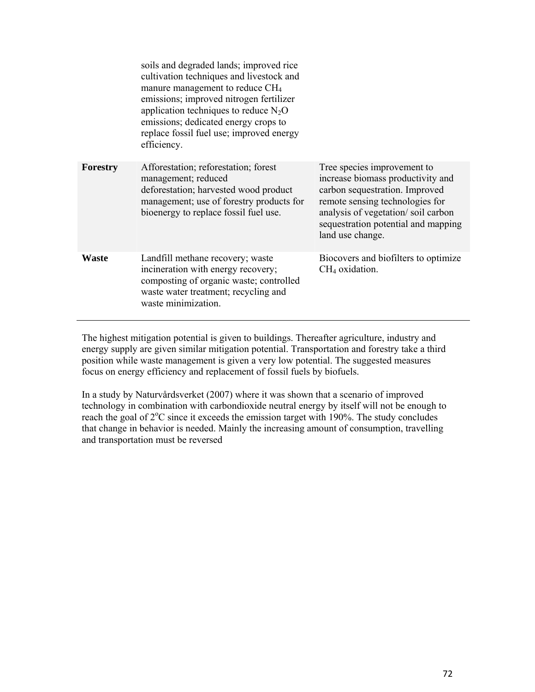|              | soils and degraded lands; improved rice<br>cultivation techniques and livestock and<br>manure management to reduce CH <sub>4</sub><br>emissions; improved nitrogen fertilizer<br>application techniques to reduce $N_2O$<br>emissions; dedicated energy crops to<br>replace fossil fuel use; improved energy<br>efficiency. |                                                                                                                                                                                                                                        |
|--------------|-----------------------------------------------------------------------------------------------------------------------------------------------------------------------------------------------------------------------------------------------------------------------------------------------------------------------------|----------------------------------------------------------------------------------------------------------------------------------------------------------------------------------------------------------------------------------------|
| Forestry     | Afforestation; reforestation; forest<br>management; reduced<br>deforestation; harvested wood product<br>management; use of forestry products for<br>bioenergy to replace fossil fuel use.                                                                                                                                   | Tree species improvement to<br>increase biomass productivity and<br>carbon sequestration. Improved<br>remote sensing technologies for<br>analysis of vegetation/soil carbon<br>sequestration potential and mapping<br>land use change. |
| <b>Waste</b> | Landfill methane recovery; waste<br>incineration with energy recovery;<br>composting of organic waste; controlled<br>waste water treatment; recycling and<br>waste minimization.                                                                                                                                            | Biocovers and biofilters to optimize<br>$CH4$ oxidation.                                                                                                                                                                               |

The highest mitigation potential is given to buildings. Thereafter agriculture, industry and energy supply are given similar mitigation potential. Transportation and forestry take a third position while waste management is given a very low potential. The suggested measures focus on energy efficiency and replacement of fossil fuels by biofuels.

In a study by Naturvårdsverket (2007) where it was shown that a scenario of improved technology in combination with carbondioxide neutral energy by itself will not be enough to reach the goal of  $2^{\circ}$ C since it exceeds the emission target with 190%. The study concludes that change in behavior is needed. Mainly the increasing amount of consumption, travelling and transportation must be reversed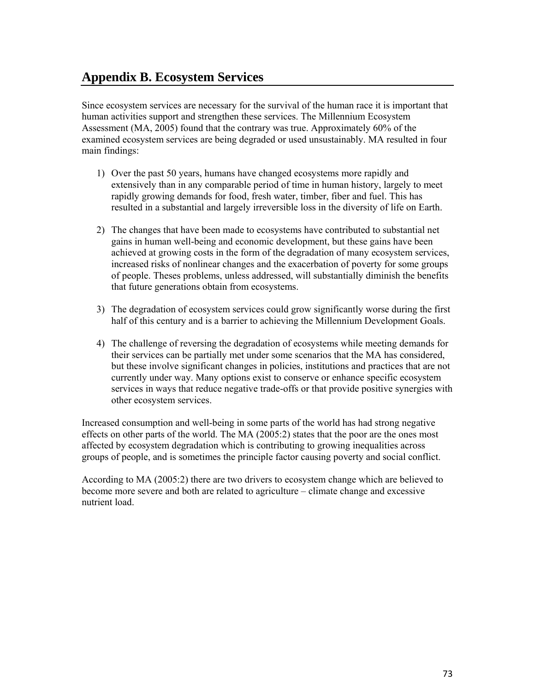## **Appendix B. Ecosystem Services**

Since ecosystem services are necessary for the survival of the human race it is important that human activities support and strengthen these services. The Millennium Ecosystem Assessment (MA, 2005) found that the contrary was true. Approximately 60% of the examined ecosystem services are being degraded or used unsustainably. MA resulted in four main findings:

- 1) Over the past 50 years, humans have changed ecosystems more rapidly and extensively than in any comparable period of time in human history, largely to meet rapidly growing demands for food, fresh water, timber, fiber and fuel. This has resulted in a substantial and largely irreversible loss in the diversity of life on Earth.
- 2) The changes that have been made to ecosystems have contributed to substantial net gains in human well-being and economic development, but these gains have been achieved at growing costs in the form of the degradation of many ecosystem services, increased risks of nonlinear changes and the exacerbation of poverty for some groups of people. Theses problems, unless addressed, will substantially diminish the benefits that future generations obtain from ecosystems.
- 3) The degradation of ecosystem services could grow significantly worse during the first half of this century and is a barrier to achieving the Millennium Development Goals.
- 4) The challenge of reversing the degradation of ecosystems while meeting demands for their services can be partially met under some scenarios that the MA has considered, but these involve significant changes in policies, institutions and practices that are not currently under way. Many options exist to conserve or enhance specific ecosystem services in ways that reduce negative trade-offs or that provide positive synergies with other ecosystem services.

Increased consumption and well-being in some parts of the world has had strong negative effects on other parts of the world. The MA (2005:2) states that the poor are the ones most affected by ecosystem degradation which is contributing to growing inequalities across groups of people, and is sometimes the principle factor causing poverty and social conflict.

According to MA (2005:2) there are two drivers to ecosystem change which are believed to become more severe and both are related to agriculture – climate change and excessive nutrient load.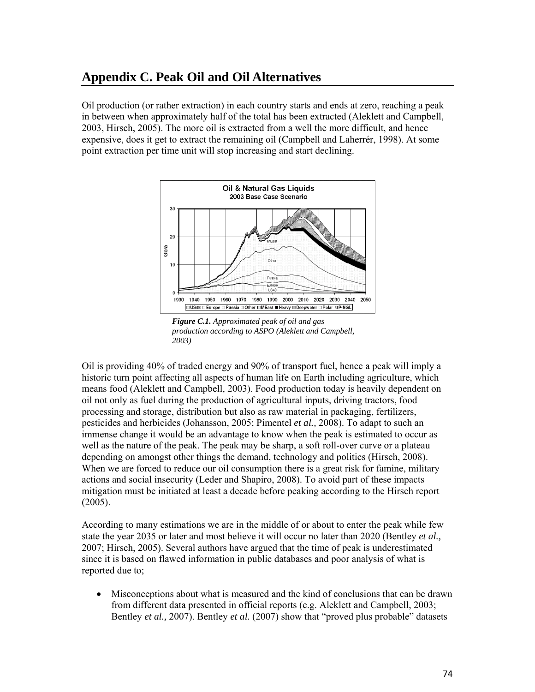## **Appendix C. Peak Oil and Oil Alternatives**

Oil production (or rather extraction) in each country starts and ends at zero, reaching a peak in between when approximately half of the total has been extracted (Aleklett and Campbell, 2003, Hirsch, 2005). The more oil is extracted from a well the more difficult, and hence expensive, does it get to extract the remaining oil (Campbell and Laherrér, 1998). At some point extraction per time unit will stop increasing and start declining.



*Figure C.1. Approximated peak of oil and gas production according to ASPO (Aleklett and Campbell, 2003)* 

Oil is providing 40% of traded energy and 90% of transport fuel, hence a peak will imply a historic turn point affecting all aspects of human life on Earth including agriculture, which means food (Aleklett and Campbell, 2003). Food production today is heavily dependent on oil not only as fuel during the production of agricultural inputs, driving tractors, food processing and storage, distribution but also as raw material in packaging, fertilizers, pesticides and herbicides (Johansson, 2005; Pimentel *et al.,* 2008). To adapt to such an immense change it would be an advantage to know when the peak is estimated to occur as well as the nature of the peak. The peak may be sharp, a soft roll-over curve or a plateau depending on amongst other things the demand, technology and politics (Hirsch, 2008). When we are forced to reduce our oil consumption there is a great risk for famine, military actions and social insecurity (Leder and Shapiro, 2008). To avoid part of these impacts mitigation must be initiated at least a decade before peaking according to the Hirsch report (2005).

According to many estimations we are in the middle of or about to enter the peak while few state the year 2035 or later and most believe it will occur no later than 2020 (Bentley *et al.,* 2007; Hirsch, 2005). Several authors have argued that the time of peak is underestimated since it is based on flawed information in public databases and poor analysis of what is reported due to;

• Misconceptions about what is measured and the kind of conclusions that can be drawn from different data presented in official reports (e.g. Aleklett and Campbell, 2003; Bentley *et al.,* 2007). Bentley *et al.* (2007) show that "proved plus probable" datasets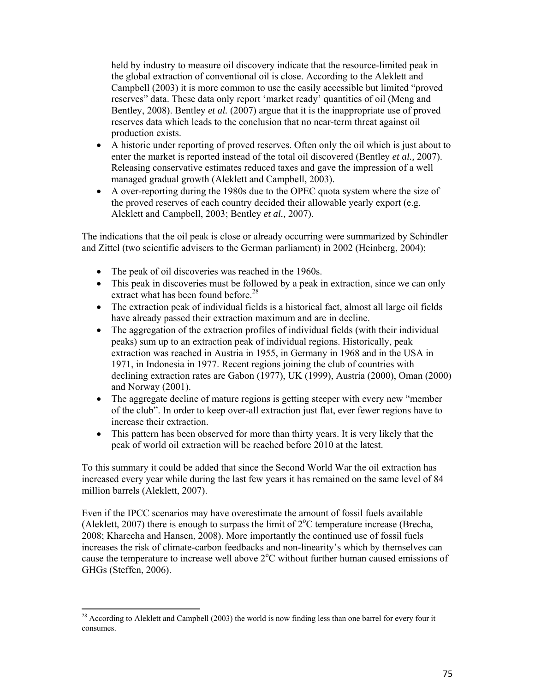held by industry to measure oil discovery indicate that the resource-limited peak in the global extraction of conventional oil is close. According to the Aleklett and Campbell (2003) it is more common to use the easily accessible but limited "proved reserves" data. These data only report 'market ready' quantities of oil (Meng and Bentley, 2008). Bentley *et al.* (2007) argue that it is the inappropriate use of proved reserves data which leads to the conclusion that no near-term threat against oil production exists.

- A historic under reporting of proved reserves. Often only the oil which is just about to enter the market is reported instead of the total oil discovered (Bentley *et al.,* 2007). Releasing conservative estimates reduced taxes and gave the impression of a well managed gradual growth (Aleklett and Campbell, 2003).
- A over-reporting during the 1980s due to the OPEC quota system where the size of the proved reserves of each country decided their allowable yearly export (e.g. Aleklett and Campbell, 2003; Bentley *et al.,* 2007).

The indications that the oil peak is close or already occurring were summarized by Schindler and Zittel (two scientific advisers to the German parliament) in 2002 (Heinberg, 2004);

- The peak of oil discoveries was reached in the 1960s.
- This peak in discoveries must be followed by a peak in extraction, since we can only extract what has been found before.<sup>28</sup>
- The extraction peak of individual fields is a historical fact, almost all large oil fields have already passed their extraction maximum and are in decline.
- The aggregation of the extraction profiles of individual fields (with their individual peaks) sum up to an extraction peak of individual regions. Historically, peak extraction was reached in Austria in 1955, in Germany in 1968 and in the USA in 1971, in Indonesia in 1977. Recent regions joining the club of countries with declining extraction rates are Gabon (1977), UK (1999), Austria (2000), Oman (2000) and Norway (2001).
- The aggregate decline of mature regions is getting steeper with every new "member of the club". In order to keep over-all extraction just flat, ever fewer regions have to increase their extraction.
- This pattern has been observed for more than thirty years. It is very likely that the peak of world oil extraction will be reached before 2010 at the latest.

To this summary it could be added that since the Second World War the oil extraction has increased every year while during the last few years it has remained on the same level of 84 million barrels (Aleklett, 2007).

Even if the IPCC scenarios may have overestimate the amount of fossil fuels available (Aleklett, 2007) there is enough to surpass the limit of  $2^{\circ}$ C temperature increase (Brecha, 2008; Kharecha and Hansen, 2008). More importantly the continued use of fossil fuels increases the risk of climate-carbon feedbacks and non-linearity's which by themselves can cause the temperature to increase well above 2°C without further human caused emissions of GHGs (Steffen, 2006).

 <sup>28</sup> According to Aleklett and Campbell (2003) the world is now finding less than one barrel for every four it consumes.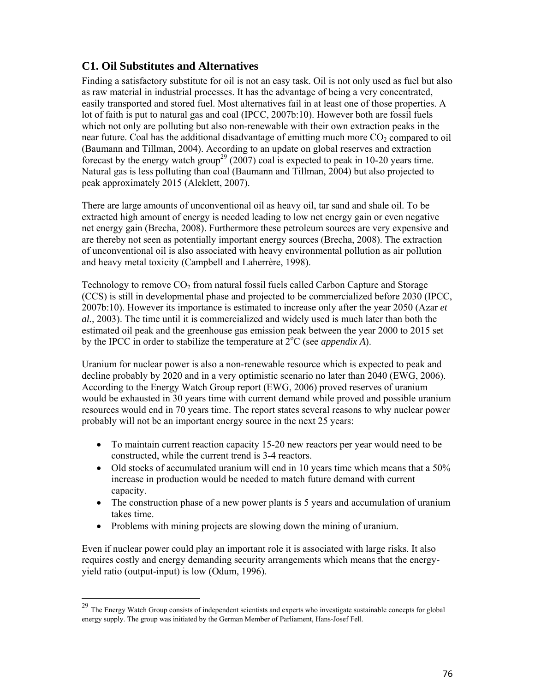## **C1. Oil Substitutes and Alternatives**

Finding a satisfactory substitute for oil is not an easy task. Oil is not only used as fuel but also as raw material in industrial processes. It has the advantage of being a very concentrated, easily transported and stored fuel. Most alternatives fail in at least one of those properties. A lot of faith is put to natural gas and coal (IPCC, 2007b:10). However both are fossil fuels which not only are polluting but also non-renewable with their own extraction peaks in the near future. Coal has the additional disadvantage of emitting much more  $CO<sub>2</sub>$  compared to oil (Baumann and Tillman, 2004). According to an update on global reserves and extraction forecast by the energy watch group<sup>29</sup> (2007) coal is expected to peak in 10-20 years time. Natural gas is less polluting than coal (Baumann and Tillman, 2004) but also projected to peak approximately 2015 (Aleklett, 2007).

There are large amounts of unconventional oil as heavy oil, tar sand and shale oil. To be extracted high amount of energy is needed leading to low net energy gain or even negative net energy gain (Brecha, 2008). Furthermore these petroleum sources are very expensive and are thereby not seen as potentially important energy sources (Brecha, 2008). The extraction of unconventional oil is also associated with heavy environmental pollution as air pollution and heavy metal toxicity (Campbell and Laherrère, 1998).

Technology to remove  $CO<sub>2</sub>$  from natural fossil fuels called Carbon Capture and Storage (CCS) is still in developmental phase and projected to be commercialized before 2030 (IPCC, 2007b:10). However its importance is estimated to increase only after the year 2050 (Azar *et al.,* 2003). The time until it is commercialized and widely used is much later than both the estimated oil peak and the greenhouse gas emission peak between the year 2000 to 2015 set by the IPCC in order to stabilize the temperature at  $2^{\circ}$ C (see *appendix A*).

Uranium for nuclear power is also a non-renewable resource which is expected to peak and decline probably by 2020 and in a very optimistic scenario no later than 2040 (EWG, 2006). According to the Energy Watch Group report (EWG, 2006) proved reserves of uranium would be exhausted in 30 years time with current demand while proved and possible uranium resources would end in 70 years time. The report states several reasons to why nuclear power probably will not be an important energy source in the next 25 years:

- To maintain current reaction capacity 15-20 new reactors per year would need to be constructed, while the current trend is 3-4 reactors.
- Old stocks of accumulated uranium will end in 10 years time which means that a 50% increase in production would be needed to match future demand with current capacity.
- The construction phase of a new power plants is 5 years and accumulation of uranium takes time.
- Problems with mining projects are slowing down the mining of uranium.

Even if nuclear power could play an important role it is associated with large risks. It also requires costly and energy demanding security arrangements which means that the energyyield ratio (output-input) is low (Odum, 1996).

<sup>&</sup>lt;sup>29</sup> The Energy Watch Group consists of independent scientists and experts who investigate sustainable concepts for global energy supply. The group was initiated by the German Member of Parliament, Hans-Josef Fell.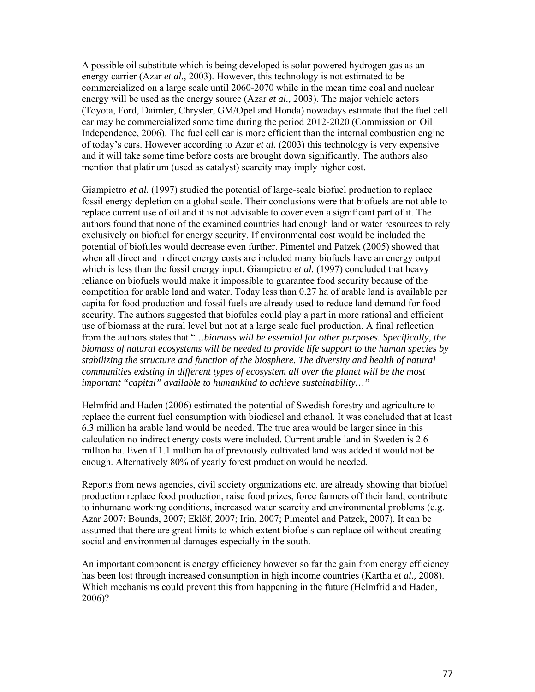A possible oil substitute which is being developed is solar powered hydrogen gas as an energy carrier (Azar *et al.,* 2003). However, this technology is not estimated to be commercialized on a large scale until 2060-2070 while in the mean time coal and nuclear energy will be used as the energy source (Azar *et al.,* 2003). The major vehicle actors (Toyota, Ford, Daimler, Chrysler, GM/Opel and Honda) nowadays estimate that the fuel cell car may be commercialized some time during the period 2012-2020 (Commission on Oil Independence, 2006). The fuel cell car is more efficient than the internal combustion engine of today's cars. However according to Azar *et al.* (2003) this technology is very expensive and it will take some time before costs are brought down significantly. The authors also mention that platinum (used as catalyst) scarcity may imply higher cost.

Giampietro *et al.* (1997) studied the potential of large-scale biofuel production to replace fossil energy depletion on a global scale. Their conclusions were that biofuels are not able to replace current use of oil and it is not advisable to cover even a significant part of it. The authors found that none of the examined countries had enough land or water resources to rely exclusively on biofuel for energy security. If environmental cost would be included the potential of biofules would decrease even further. Pimentel and Patzek (2005) showed that when all direct and indirect energy costs are included many biofuels have an energy output which is less than the fossil energy input. Giampietro *et al.* (1997) concluded that heavy reliance on biofuels would make it impossible to guarantee food security because of the competition for arable land and water. Today less than 0.27 ha of arable land is available per capita for food production and fossil fuels are already used to reduce land demand for food security. The authors suggested that biofules could play a part in more rational and efficient use of biomass at the rural level but not at a large scale fuel production. A final reflection from the authors states that "*...biomass will be essential for other purposes. Specifically, the biomass of natural ecosystems will be needed to provide life support to the human species by stabilizing the structure and function of the biosphere. The diversity and health of natural communities existing in different types of ecosystem all over the planet will be the most important "capital" available to humankind to achieve sustainability…"*

Helmfrid and Haden (2006) estimated the potential of Swedish forestry and agriculture to replace the current fuel consumption with biodiesel and ethanol. It was concluded that at least 6.3 million ha arable land would be needed. The true area would be larger since in this calculation no indirect energy costs were included. Current arable land in Sweden is 2.6 million ha. Even if 1.1 million ha of previously cultivated land was added it would not be enough. Alternatively 80% of yearly forest production would be needed.

Reports from news agencies, civil society organizations etc. are already showing that biofuel production replace food production, raise food prizes, force farmers off their land, contribute to inhumane working conditions, increased water scarcity and environmental problems (e.g. Azar 2007; Bounds, 2007; Eklöf, 2007; Irin, 2007; Pimentel and Patzek, 2007). It can be assumed that there are great limits to which extent biofuels can replace oil without creating social and environmental damages especially in the south.

An important component is energy efficiency however so far the gain from energy efficiency has been lost through increased consumption in high income countries (Kartha *et al.,* 2008). Which mechanisms could prevent this from happening in the future (Helmfrid and Haden, 2006)?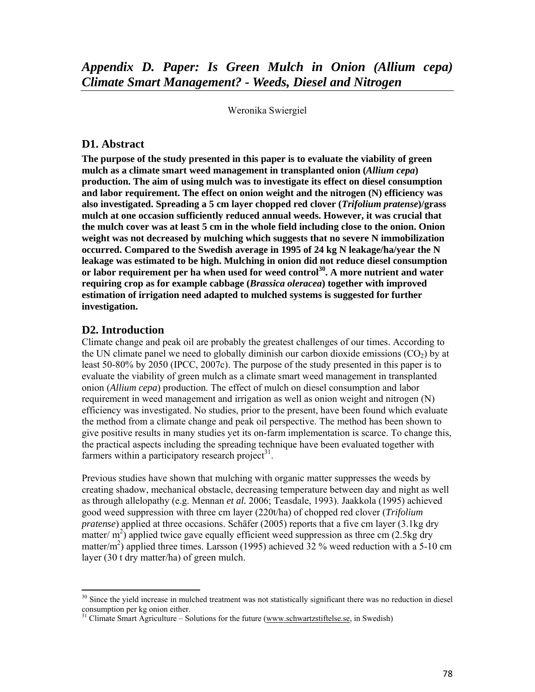Weronika Swiergiel

#### **D1. Abstract**

**The purpose of the study presented in this paper is to evaluate the viability of green mulch as a climate smart weed management in transplanted onion (***Allium cepa***) production. The aim of using mulch was to investigate its effect on diesel consumption and labor requirement. The effect on onion weight and the nitrogen (N) efficiency was also investigated. Spreading a 5 cm layer chopped red clover (***Trifolium pratense***)/grass mulch at one occasion sufficiently reduced annual weeds. However, it was crucial that the mulch cover was at least 5 cm in the whole field including close to the onion. Onion weight was not decreased by mulching which suggests that no severe N immobilization occurred. Compared to the Swedish average in 1995 of 24 kg N leakage/ha/year the N leakage was estimated to be high. Mulching in onion did not reduce diesel consumption or labor requirement per ha when used for weed control30. A more nutrient and water requiring crop as for example cabbage (***Brassica oleracea***) together with improved estimation of irrigation need adapted to mulched systems is suggested for further investigation.** 

### **D2. Introduction**

Climate change and peak oil are probably the greatest challenges of our times. According to the UN climate panel we need to globally diminish our carbon dioxide emissions  $(CO<sub>2</sub>)$  by at least 50-80% by 2050 (IPCC, 2007c). The purpose of the study presented in this paper is to evaluate the viability of green mulch as a climate smart weed management in transplanted onion (*Allium cepa*) production. The effect of mulch on diesel consumption and labor requirement in weed management and irrigation as well as onion weight and nitrogen (N) efficiency was investigated. No studies, prior to the present, have been found which evaluate the method from a climate change and peak oil perspective. The method has been shown to give positive results in many studies yet its on-farm implementation is scarce. To change this, the practical aspects including the spreading technique have been evaluated together with farmers within a participatory research project<sup>31</sup>.

Previous studies have shown that mulching with organic matter suppresses the weeds by creating shadow, mechanical obstacle, decreasing temperature between day and night as well as through allelopathy (e.g. Mennan *et al.* 2006; Teasdale, 1993). Jaakkola (1995) achieved good weed suppression with three cm layer (220t/ha) of chopped red clover (*Trifolium pratense*) applied at three occasions. Schäfer (2005) reports that a five cm layer (3.1kg dry matter/ $m^2$ ) applied twice gave equally efficient weed suppression as three cm (2.5kg dry matter/m<sup>2</sup>) applied three times. Larsson (1995) achieved  $32\%$  weed reduction with a 5-10 cm layer (30 t dry matter/ha) of green mulch.

 $30$  Since the yield increase in mulched treatment was not statistically significant there was no reduction in diesel consumption per kg onion either.

 $31$  Climate Smart Agriculture – Solutions for the future (www.schwartzstiftelse.se, in Swedish)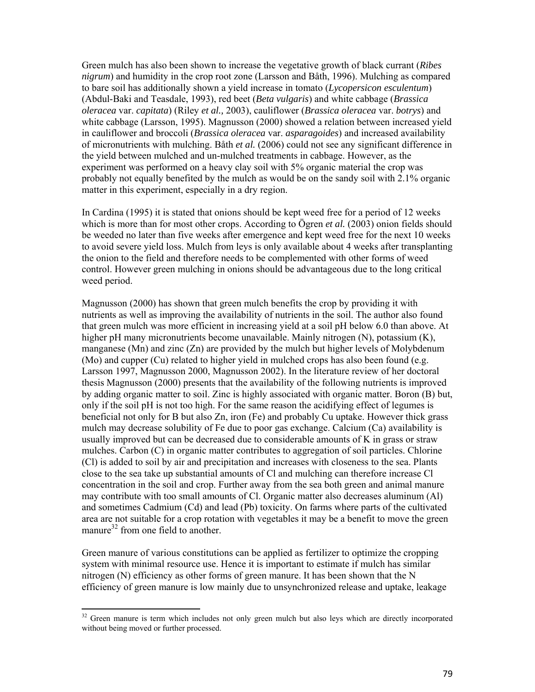Green mulch has also been shown to increase the vegetative growth of black currant (*Ribes nigrum*) and humidity in the crop root zone (Larsson and Båth, 1996). Mulching as compared to bare soil has additionally shown a yield increase in tomato (*Lycopersicon esculentum*) (Abdul-Baki and Teasdale, 1993), red beet (*Beta vulgaris*) and white cabbage (*Brassica oleracea* var. *capitata*) (Riley *et al.,* 2003), cauliflower (*Brassica oleracea* var. *botrys*) and white cabbage (Larsson, 1995). Magnusson (2000) showed a relation between increased yield in cauliflower and broccoli (*Brassica oleracea* var. *asparagoides*) and increased availability of micronutrients with mulching. Båth *et al.* (2006) could not see any significant difference in the yield between mulched and un-mulched treatments in cabbage. However, as the experiment was performed on a heavy clay soil with 5% organic material the crop was probably not equally benefited by the mulch as would be on the sandy soil with 2.1% organic matter in this experiment, especially in a dry region.

In Cardina (1995) it is stated that onions should be kept weed free for a period of 12 weeks which is more than for most other crops. According to Ögren *et al.* (2003) onion fields should be weeded no later than five weeks after emergence and kept weed free for the next 10 weeks to avoid severe yield loss. Mulch from leys is only available about 4 weeks after transplanting the onion to the field and therefore needs to be complemented with other forms of weed control. However green mulching in onions should be advantageous due to the long critical weed period.

Magnusson (2000) has shown that green mulch benefits the crop by providing it with nutrients as well as improving the availability of nutrients in the soil. The author also found that green mulch was more efficient in increasing yield at a soil pH below 6.0 than above. At higher pH many micronutrients become unavailable. Mainly nitrogen (N), potassium (K), manganese (Mn) and zinc (Zn) are provided by the mulch but higher levels of Molybdenum (Mo) and cupper (Cu) related to higher yield in mulched crops has also been found (e.g. Larsson 1997, Magnusson 2000, Magnusson 2002). In the literature review of her doctoral thesis Magnusson (2000) presents that the availability of the following nutrients is improved by adding organic matter to soil. Zinc is highly associated with organic matter. Boron (B) but, only if the soil pH is not too high. For the same reason the acidifying effect of legumes is beneficial not only for B but also Zn, iron (Fe) and probably Cu uptake. However thick grass mulch may decrease solubility of Fe due to poor gas exchange. Calcium (Ca) availability is usually improved but can be decreased due to considerable amounts of K in grass or straw mulches. Carbon (C) in organic matter contributes to aggregation of soil particles. Chlorine (Cl) is added to soil by air and precipitation and increases with closeness to the sea. Plants close to the sea take up substantial amounts of Cl and mulching can therefore increase Cl concentration in the soil and crop. Further away from the sea both green and animal manure may contribute with too small amounts of Cl. Organic matter also decreases aluminum (Al) and sometimes Cadmium (Cd) and lead (Pb) toxicity. On farms where parts of the cultivated area are not suitable for a crop rotation with vegetables it may be a benefit to move the green manure<sup>32</sup> from one field to another.

Green manure of various constitutions can be applied as fertilizer to optimize the cropping system with minimal resource use. Hence it is important to estimate if mulch has similar nitrogen (N) efficiency as other forms of green manure. It has been shown that the N efficiency of green manure is low mainly due to unsynchronized release and uptake, leakage

<sup>&</sup>lt;sup>32</sup> Green manure is term which includes not only green mulch but also leys which are directly incorporated without being moved or further processed.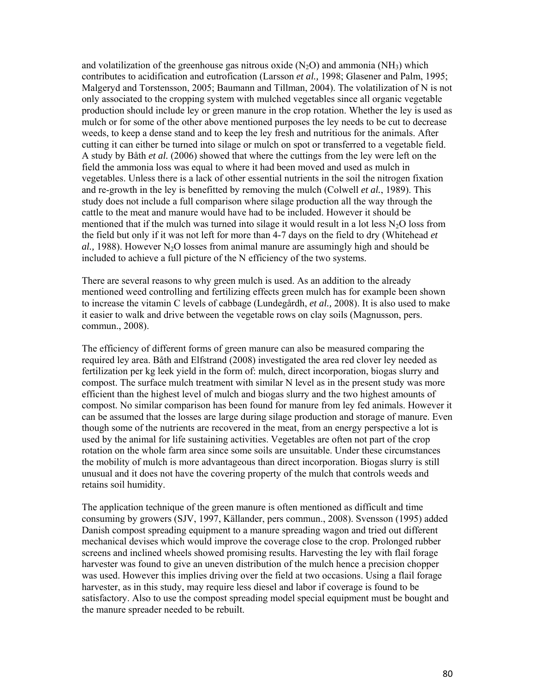and volatilization of the greenhouse gas nitrous oxide  $(N_2O)$  and ammonia  $(NH_3)$  which contributes to acidification and eutrofication (Larsson *et al.,* 1998; Glasener and Palm, 1995; Malgeryd and Torstensson, 2005; Baumann and Tillman, 2004). The volatilization of N is not only associated to the cropping system with mulched vegetables since all organic vegetable production should include ley or green manure in the crop rotation. Whether the ley is used as mulch or for some of the other above mentioned purposes the ley needs to be cut to decrease weeds, to keep a dense stand and to keep the ley fresh and nutritious for the animals. After cutting it can either be turned into silage or mulch on spot or transferred to a vegetable field. A study by Båth *et al.* (2006) showed that where the cuttings from the ley were left on the field the ammonia loss was equal to where it had been moved and used as mulch in vegetables. Unless there is a lack of other essential nutrients in the soil the nitrogen fixation and re-growth in the ley is benefitted by removing the mulch (Colwell *et al.*, 1989). This study does not include a full comparison where silage production all the way through the cattle to the meat and manure would have had to be included. However it should be mentioned that if the mulch was turned into silage it would result in a lot less  $N<sub>2</sub>O$  loss from the field but only if it was not left for more than 4-7 days on the field to dry (Whitehead *et*   $al$ , 1988). However  $N_2O$  losses from animal manure are assumingly high and should be included to achieve a full picture of the N efficiency of the two systems.

There are several reasons to why green mulch is used. As an addition to the already mentioned weed controlling and fertilizing effects green mulch has for example been shown to increase the vitamin C levels of cabbage (Lundegårdh, *et al.,* 2008). It is also used to make it easier to walk and drive between the vegetable rows on clay soils (Magnusson, pers. commun., 2008).

The efficiency of different forms of green manure can also be measured comparing the required ley area. Båth and Elfstrand (2008) investigated the area red clover ley needed as fertilization per kg leek yield in the form of: mulch, direct incorporation, biogas slurry and compost. The surface mulch treatment with similar N level as in the present study was more efficient than the highest level of mulch and biogas slurry and the two highest amounts of compost. No similar comparison has been found for manure from ley fed animals. However it can be assumed that the losses are large during silage production and storage of manure. Even though some of the nutrients are recovered in the meat, from an energy perspective a lot is used by the animal for life sustaining activities. Vegetables are often not part of the crop rotation on the whole farm area since some soils are unsuitable. Under these circumstances the mobility of mulch is more advantageous than direct incorporation. Biogas slurry is still unusual and it does not have the covering property of the mulch that controls weeds and retains soil humidity.

The application technique of the green manure is often mentioned as difficult and time consuming by growers (SJV, 1997, Källander, pers commun., 2008). Svensson (1995) added Danish compost spreading equipment to a manure spreading wagon and tried out different mechanical devises which would improve the coverage close to the crop. Prolonged rubber screens and inclined wheels showed promising results. Harvesting the ley with flail forage harvester was found to give an uneven distribution of the mulch hence a precision chopper was used. However this implies driving over the field at two occasions. Using a flail forage harvester, as in this study, may require less diesel and labor if coverage is found to be satisfactory. Also to use the compost spreading model special equipment must be bought and the manure spreader needed to be rebuilt.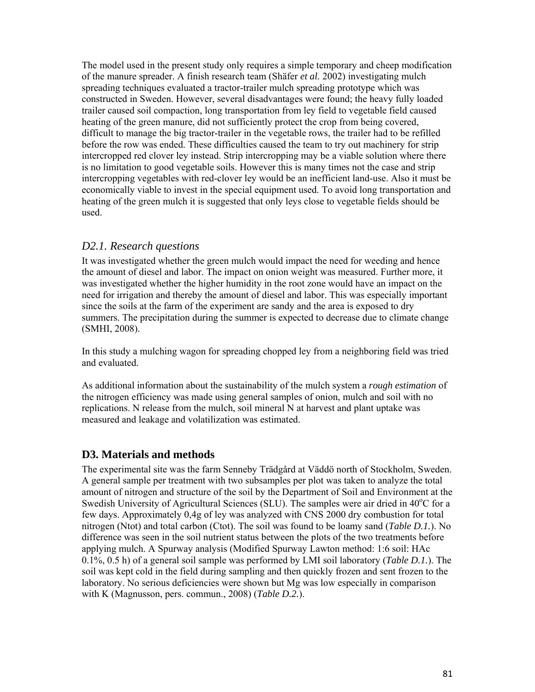The model used in the present study only requires a simple temporary and cheep modification of the manure spreader. A finish research team (Shäfer *et al.* 2002) investigating mulch spreading techniques evaluated a tractor-trailer mulch spreading prototype which was constructed in Sweden. However, several disadvantages were found; the heavy fully loaded trailer caused soil compaction, long transportation from ley field to vegetable field caused heating of the green manure, did not sufficiently protect the crop from being covered, difficult to manage the big tractor-trailer in the vegetable rows, the trailer had to be refilled before the row was ended. These difficulties caused the team to try out machinery for strip intercropped red clover ley instead. Strip intercropping may be a viable solution where there is no limitation to good vegetable soils. However this is many times not the case and strip intercropping vegetables with red-clover ley would be an inefficient land-use. Also it must be economically viable to invest in the special equipment used. To avoid long transportation and heating of the green mulch it is suggested that only leys close to vegetable fields should be used.

#### *D2.1. Research questions*

It was investigated whether the green mulch would impact the need for weeding and hence the amount of diesel and labor. The impact on onion weight was measured. Further more, it was investigated whether the higher humidity in the root zone would have an impact on the need for irrigation and thereby the amount of diesel and labor. This was especially important since the soils at the farm of the experiment are sandy and the area is exposed to dry summers. The precipitation during the summer is expected to decrease due to climate change (SMHI, 2008).

In this study a mulching wagon for spreading chopped ley from a neighboring field was tried and evaluated.

As additional information about the sustainability of the mulch system a *rough estimation* of the nitrogen efficiency was made using general samples of onion, mulch and soil with no replications. N release from the mulch, soil mineral N at harvest and plant uptake was measured and leakage and volatilization was estimated.

#### **D3. Materials and methods**

The experimental site was the farm Senneby Trädgård at Väddö north of Stockholm, Sweden. A general sample per treatment with two subsamples per plot was taken to analyze the total amount of nitrogen and structure of the soil by the Department of Soil and Environment at the Swedish University of Agricultural Sciences (SLU). The samples were air dried in 40°C for a few days. Approximately 0,4g of ley was analyzed with CNS 2000 dry combustion for total nitrogen (Ntot) and total carbon (Ctot). The soil was found to be loamy sand (*Table D.1.*). No difference was seen in the soil nutrient status between the plots of the two treatments before applying mulch. A Spurway analysis (Modified Spurway Lawton method: 1:6 soil: HAc 0.1%, 0.5 h) of a general soil sample was performed by LMI soil laboratory (*Table D.1.*). The soil was kept cold in the field during sampling and then quickly frozen and sent frozen to the laboratory. No serious deficiencies were shown but Mg was low especially in comparison with K (Magnusson, pers. commun., 2008) (*Table D.2.*).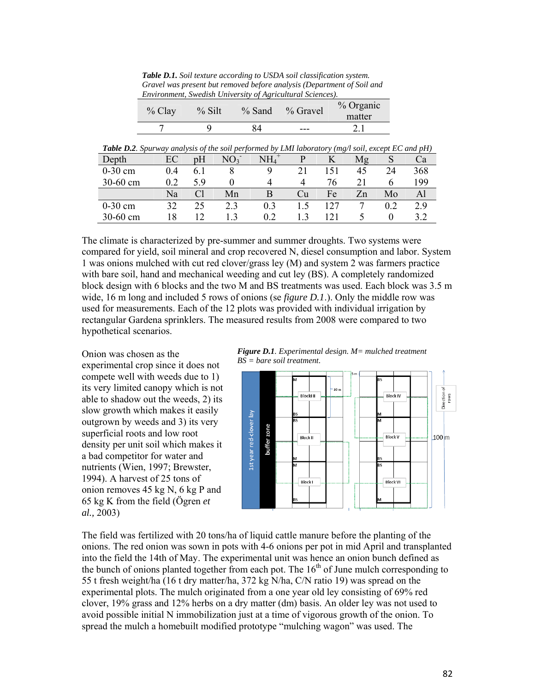|           | $%$ Clay | % Silt |                 | % Sand          | % Gravel                                                                                                 |     | % Organic<br>matter |    |           |
|-----------|----------|--------|-----------------|-----------------|----------------------------------------------------------------------------------------------------------|-----|---------------------|----|-----------|
|           |          |        |                 | 84              |                                                                                                          |     | 2.1                 |    |           |
|           |          |        |                 |                 | <b>Table D.2.</b> Spurway analysis of the soil performed by LMI laboratory (mg/l soil, except EC and pH) |     |                     |    |           |
| Depth     | EC       | pΗ     | NO <sub>3</sub> | NH <sub>4</sub> |                                                                                                          | K   | Mg                  | S  | <b>Ca</b> |
| $0-30$ cm | 0.4      | 6.1    | 8               |                 | 21                                                                                                       | 151 | 45                  | 24 | 368       |
| 30-60 cm  | 0.2      | 5.9    |                 |                 | 4                                                                                                        | 76  | 21                  | 6  | 199       |
|           | Na       | C1     | Mn              | B               | Cu                                                                                                       | Fe  | Zn                  | Mo | Al        |
| 0-30 cm   | 32       | 25     | 23              | 0 <sup>3</sup>  |                                                                                                          | 127 |                     | 02 | 29        |

30-60 cm 18 12 1.3 0.2 1.3 121 5 0 3.2

*Table D.1. Soil texture according to USDA soil classification system. Gravel was present but removed before analysis (Department of Soil and Environment, Swedish University of Agricultural Sciences).*

The climate is characterized by pre-summer and summer droughts. Two systems were compared for yield, soil mineral and crop recovered N, diesel consumption and labor. System 1 was onions mulched with cut red clover/grass ley (M) and system 2 was farmers practice with bare soil, hand and mechanical weeding and cut ley (BS). A completely randomized block design with 6 blocks and the two M and BS treatments was used. Each block was 3.5 m wide, 16 m long and included 5 rows of onions (se *figure D.1*.). Only the middle row was used for measurements. Each of the 12 plots was provided with individual irrigation by rectangular Gardena sprinklers. The measured results from 2008 were compared to two hypothetical scenarios.

Onion was chosen as the experimental crop since it does not compete well with weeds due to 1) its very limited canopy which is not able to shadow out the weeds, 2) its slow growth which makes it easily outgrown by weeds and 3) its very superficial roots and low root density per unit soil which makes it a bad competitor for water and nutrients (Wien, 1997; Brewster, 1994). A harvest of 25 tons of onion removes 45 kg N, 6 kg P and 65 kg K from the field (Ögren *et al.,* 2003)

*Figure D.1. Experimental design. M= mulched treatment BS = bare soil treatment.* 



The field was fertilized with 20 tons/ha of liquid cattle manure before the planting of the onions. The red onion was sown in pots with 4-6 onions per pot in mid April and transplanted into the field the 14th of May. The experimental unit was hence an onion bunch defined as the bunch of onions planted together from each pot. The  $16<sup>th</sup>$  of June mulch corresponding to 55 t fresh weight/ha (16 t dry matter/ha, 372 kg N/ha, C/N ratio 19) was spread on the experimental plots. The mulch originated from a one year old ley consisting of 69% red clover, 19% grass and 12% herbs on a dry matter (dm) basis. An older ley was not used to avoid possible initial N immobilization just at a time of vigorous growth of the onion. To spread the mulch a homebuilt modified prototype "mulching wagon" was used. The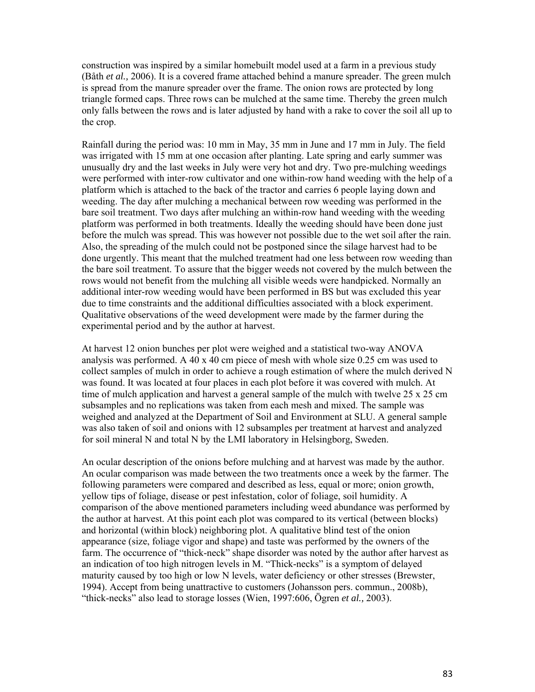construction was inspired by a similar homebuilt model used at a farm in a previous study (Båth *et al.,* 2006). It is a covered frame attached behind a manure spreader. The green mulch is spread from the manure spreader over the frame. The onion rows are protected by long triangle formed caps. Three rows can be mulched at the same time. Thereby the green mulch only falls between the rows and is later adjusted by hand with a rake to cover the soil all up to the crop.

Rainfall during the period was: 10 mm in May, 35 mm in June and 17 mm in July. The field was irrigated with 15 mm at one occasion after planting. Late spring and early summer was unusually dry and the last weeks in July were very hot and dry. Two pre-mulching weedings were performed with inter-row cultivator and one within-row hand weeding with the help of a platform which is attached to the back of the tractor and carries 6 people laying down and weeding. The day after mulching a mechanical between row weeding was performed in the bare soil treatment. Two days after mulching an within-row hand weeding with the weeding platform was performed in both treatments. Ideally the weeding should have been done just before the mulch was spread. This was however not possible due to the wet soil after the rain. Also, the spreading of the mulch could not be postponed since the silage harvest had to be done urgently. This meant that the mulched treatment had one less between row weeding than the bare soil treatment. To assure that the bigger weeds not covered by the mulch between the rows would not benefit from the mulching all visible weeds were handpicked. Normally an additional inter-row weeding would have been performed in BS but was excluded this year due to time constraints and the additional difficulties associated with a block experiment. Qualitative observations of the weed development were made by the farmer during the experimental period and by the author at harvest.

At harvest 12 onion bunches per plot were weighed and a statistical two-way ANOVA analysis was performed. A 40 x 40 cm piece of mesh with whole size 0.25 cm was used to collect samples of mulch in order to achieve a rough estimation of where the mulch derived N was found. It was located at four places in each plot before it was covered with mulch. At time of mulch application and harvest a general sample of the mulch with twelve 25 x 25 cm subsamples and no replications was taken from each mesh and mixed. The sample was weighed and analyzed at the Department of Soil and Environment at SLU. A general sample was also taken of soil and onions with 12 subsamples per treatment at harvest and analyzed for soil mineral N and total N by the LMI laboratory in Helsingborg, Sweden.

An ocular description of the onions before mulching and at harvest was made by the author. An ocular comparison was made between the two treatments once a week by the farmer. The following parameters were compared and described as less, equal or more; onion growth, yellow tips of foliage, disease or pest infestation, color of foliage, soil humidity. A comparison of the above mentioned parameters including weed abundance was performed by the author at harvest. At this point each plot was compared to its vertical (between blocks) and horizontal (within block) neighboring plot. A qualitative blind test of the onion appearance (size, foliage vigor and shape) and taste was performed by the owners of the farm. The occurrence of "thick-neck" shape disorder was noted by the author after harvest as an indication of too high nitrogen levels in M. "Thick-necks" is a symptom of delayed maturity caused by too high or low N levels, water deficiency or other stresses (Brewster, 1994). Accept from being unattractive to customers (Johansson pers. commun., 2008b), "thick-necks" also lead to storage losses (Wien, 1997:606, Ögren *et al.,* 2003).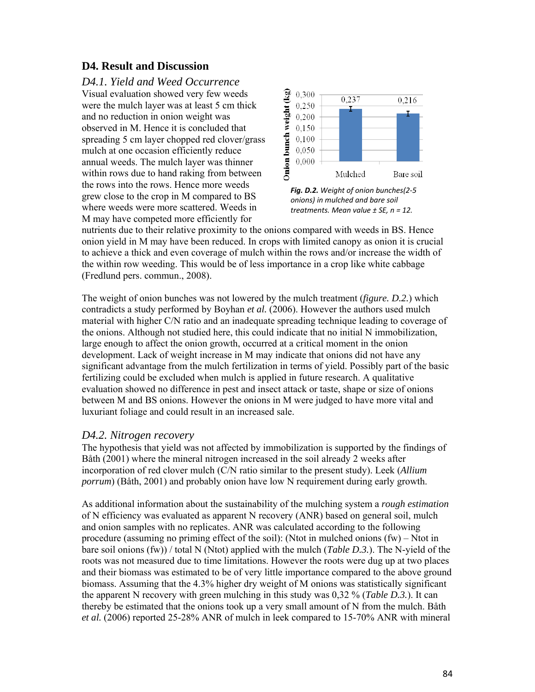## **D4. Result and Discussion**

*D4.1. Yield and Weed Occurrence*  Visual evaluation showed very few weeds were the mulch layer was at least 5 cm thick and no reduction in onion weight was observed in M. Hence it is concluded that spreading 5 cm layer chopped red clover/grass mulch at one occasion efficiently reduce annual weeds. The mulch layer was thinner within rows due to hand raking from between the rows into the rows. Hence more weeds grew close to the crop in M compared to BS where weeds were more scattered. Weeds in M may have competed more efficiently for



*Fig. D.2. Weight of onion bunches(2‐5 onions) in mulched and bare soil treatments. Mean value ± SE, n = 12.*

nutrients due to their relative proximity to the onions compared with weeds in BS. Hence onion yield in M may have been reduced. In crops with limited canopy as onion it is crucial to achieve a thick and even coverage of mulch within the rows and/or increase the width of the within row weeding. This would be of less importance in a crop like white cabbage (Fredlund pers. commun., 2008).

The weight of onion bunches was not lowered by the mulch treatment (*figure. D.2.*) which contradicts a study performed by Boyhan *et al.* (2006). However the authors used mulch material with higher C/N ratio and an inadequate spreading technique leading to coverage of the onions. Although not studied here, this could indicate that no initial N immobilization, large enough to affect the onion growth, occurred at a critical moment in the onion development. Lack of weight increase in M may indicate that onions did not have any significant advantage from the mulch fertilization in terms of yield. Possibly part of the basic fertilizing could be excluded when mulch is applied in future research. A qualitative evaluation showed no difference in pest and insect attack or taste, shape or size of onions between M and BS onions. However the onions in M were judged to have more vital and luxuriant foliage and could result in an increased sale.

#### *D4.2. Nitrogen recovery*

The hypothesis that yield was not affected by immobilization is supported by the findings of Båth (2001) where the mineral nitrogen increased in the soil already 2 weeks after incorporation of red clover mulch (C/N ratio similar to the present study). Leek (*Allium porrum*) (Båth, 2001) and probably onion have low N requirement during early growth.

As additional information about the sustainability of the mulching system a *rough estimation* of N efficiency was evaluated as apparent N recovery (ANR) based on general soil, mulch and onion samples with no replicates. ANR was calculated according to the following procedure (assuming no priming effect of the soil): (Ntot in mulched onions (fw) – Ntot in bare soil onions (fw)) / total N (Ntot) applied with the mulch (*Table D.3.*). The N-yield of the roots was not measured due to time limitations. However the roots were dug up at two places and their biomass was estimated to be of very little importance compared to the above ground biomass. Assuming that the 4.3% higher dry weight of M onions was statistically significant the apparent N recovery with green mulching in this study was 0,32 % (*Table D.3.*). It can thereby be estimated that the onions took up a very small amount of N from the mulch. Båth *et al.* (2006) reported 25-28% ANR of mulch in leek compared to 15-70% ANR with mineral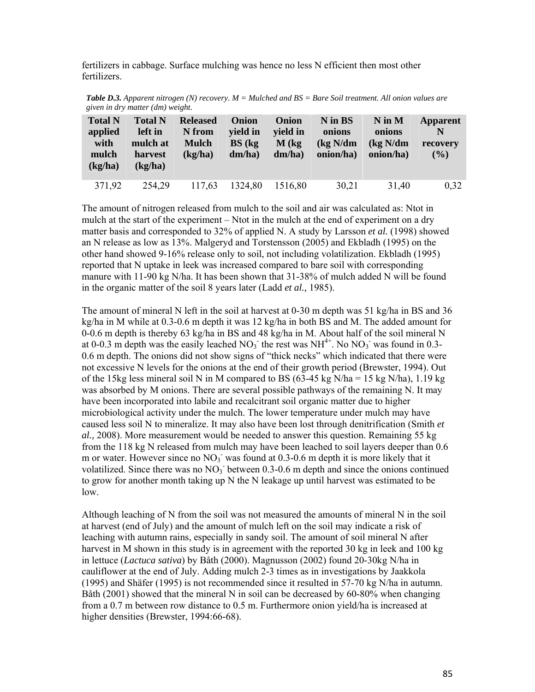fertilizers in cabbage. Surface mulching was hence no less N efficient then most other fertilizers.

*Table D.3. Apparent nitrogen (N) recovery. M = Mulched and BS = Bare Soil treatment. All onion values are given in dry matter (dm) weight.* 

| <b>Total N</b><br>applied<br>with<br>mulch<br>(kg/ha) | <b>Total N</b><br>left in<br>mulch at<br>harvest<br>(kg/ha) | <b>Released</b><br>N from<br><b>Mulch</b><br>(kg/ha) | <b>Onion</b><br>vield in<br>BS(kg)<br>dm/ha) | Onion<br>vield in<br>$M$ (kg<br>dm/ha) | N in BS<br>onions<br>$\log N/dm$<br>onion/ha) | $N$ in $M$<br>onions<br>(kg N/dm)<br>onion/ha) | <b>Apparent</b><br>N<br>recovery<br>$($ %) |
|-------------------------------------------------------|-------------------------------------------------------------|------------------------------------------------------|----------------------------------------------|----------------------------------------|-----------------------------------------------|------------------------------------------------|--------------------------------------------|
| 371,92                                                | 254.29                                                      | 117,63                                               | 1324,80                                      | 1516,80                                | 30,21                                         | 31,40                                          | 0,32                                       |

The amount of nitrogen released from mulch to the soil and air was calculated as: Ntot in mulch at the start of the experiment – Ntot in the mulch at the end of experiment on a dry matter basis and corresponded to 32% of applied N. A study by Larsson *et al.* (1998) showed an N release as low as 13%. Malgeryd and Torstensson (2005) and Ekbladh (1995) on the other hand showed 9-16% release only to soil, not including volatilization. Ekbladh (1995) reported that N uptake in leek was increased compared to bare soil with corresponding manure with 11-90 kg N/ha. It has been shown that 31-38% of mulch added N will be found in the organic matter of the soil 8 years later (Ladd *et al.,* 1985).

The amount of mineral N left in the soil at harvest at 0-30 m depth was 51 kg/ha in BS and 36 kg/ha in M while at 0.3-0.6 m depth it was 12 kg/ha in both BS and M. The added amount for 0-0.6 m depth is thereby 63 kg/ha in BS and 48 kg/ha in M. About half of the soil mineral N at 0-0.3 m depth was the easily leached  $NO<sub>3</sub>$ <sup>-</sup> the rest was  $NH<sup>4+</sup>$ . No  $NO<sub>3</sub>$ <sup>-</sup> was found in 0.3-0.6 m depth. The onions did not show signs of "thick necks" which indicated that there were not excessive N levels for the onions at the end of their growth period (Brewster, 1994). Out of the 15kg less mineral soil N in M compared to BS (63-45 kg N/ha = 15 kg N/ha), 1.19 kg was absorbed by M onions. There are several possible pathways of the remaining N. It may have been incorporated into labile and recalcitrant soil organic matter due to higher microbiological activity under the mulch. The lower temperature under mulch may have caused less soil N to mineralize. It may also have been lost through denitrification (Smith *et al.,* 2008). More measurement would be needed to answer this question. Remaining 55 kg from the 118 kg N released from mulch may have been leached to soil layers deeper than 0.6 m or water. However since no  $NO<sub>3</sub>$  was found at 0.3-0.6 m depth it is more likely that it volatilized. Since there was no  $NO<sub>3</sub>$  between 0.3-0.6 m depth and since the onions continued to grow for another month taking up N the N leakage up until harvest was estimated to be low.

Although leaching of N from the soil was not measured the amounts of mineral N in the soil at harvest (end of July) and the amount of mulch left on the soil may indicate a risk of leaching with autumn rains, especially in sandy soil. The amount of soil mineral N after harvest in M shown in this study is in agreement with the reported 30 kg in leek and 100 kg in lettuce (*Lactuca sativa*) by Båth (2000). Magnusson (2002) found 20-30kg N/ha in cauliflower at the end of July. Adding mulch 2-3 times as in investigations by Jaakkola (1995) and Shäfer (1995) is not recommended since it resulted in 57-70 kg N/ha in autumn. Båth (2001) showed that the mineral N in soil can be decreased by 60-80% when changing from a 0.7 m between row distance to 0.5 m. Furthermore onion yield/ha is increased at higher densities (Brewster, 1994:66-68).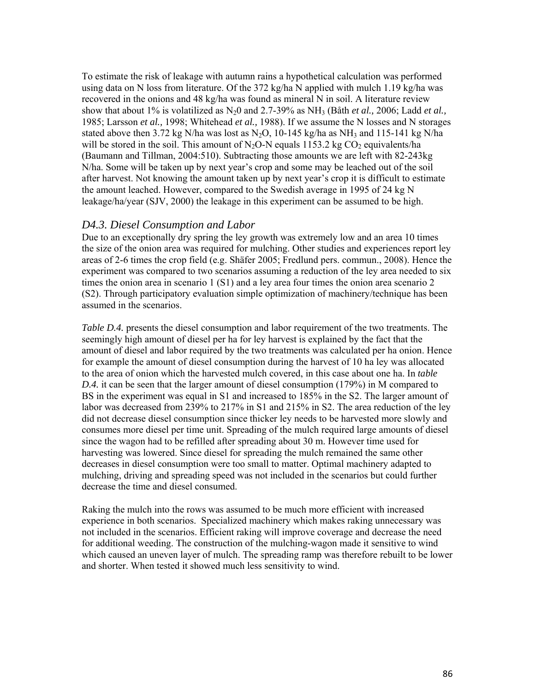To estimate the risk of leakage with autumn rains a hypothetical calculation was performed using data on N loss from literature. Of the 372 kg/ha N applied with mulch 1.19 kg/ha was recovered in the onions and 48 kg/ha was found as mineral N in soil. A literature review show that about 1% is volatilized as  $N_2$ 0 and 2.7-39% as  $NH_3$  (Båth *et al.,* 2006; Ladd *et al.,* 1985; Larsson *et al.,* 1998; Whitehead *et al.,* 1988). If we assume the N losses and N storages stated above then 3.72 kg N/ha was lost as N<sub>2</sub>O, 10-145 kg/ha as NH<sub>3</sub> and 115-141 kg N/ha will be stored in the soil. This amount of N<sub>2</sub>O-N equals 1153.2 kg  $CO_2$  equivalents/ha (Baumann and Tillman, 2004:510). Subtracting those amounts we are left with 82-243kg N/ha. Some will be taken up by next year's crop and some may be leached out of the soil after harvest. Not knowing the amount taken up by next year's crop it is difficult to estimate the amount leached. However, compared to the Swedish average in 1995 of 24 kg N leakage/ha/year (SJV, 2000) the leakage in this experiment can be assumed to be high.

#### *D4.3. Diesel Consumption and Labor*

Due to an exceptionally dry spring the ley growth was extremely low and an area 10 times the size of the onion area was required for mulching. Other studies and experiences report ley areas of 2-6 times the crop field (e.g. Shäfer 2005; Fredlund pers. commun., 2008). Hence the experiment was compared to two scenarios assuming a reduction of the ley area needed to six times the onion area in scenario 1 (S1) and a ley area four times the onion area scenario 2 (S2). Through participatory evaluation simple optimization of machinery/technique has been assumed in the scenarios.

*Table D.4.* presents the diesel consumption and labor requirement of the two treatments. The seemingly high amount of diesel per ha for ley harvest is explained by the fact that the amount of diesel and labor required by the two treatments was calculated per ha onion. Hence for example the amount of diesel consumption during the harvest of 10 ha ley was allocated to the area of onion which the harvested mulch covered, in this case about one ha. In *table D.4.* it can be seen that the larger amount of diesel consumption (179%) in M compared to BS in the experiment was equal in S1 and increased to 185% in the S2. The larger amount of labor was decreased from 239% to 217% in S1 and 215% in S2. The area reduction of the ley did not decrease diesel consumption since thicker ley needs to be harvested more slowly and consumes more diesel per time unit. Spreading of the mulch required large amounts of diesel since the wagon had to be refilled after spreading about 30 m. However time used for harvesting was lowered. Since diesel for spreading the mulch remained the same other decreases in diesel consumption were too small to matter. Optimal machinery adapted to mulching, driving and spreading speed was not included in the scenarios but could further decrease the time and diesel consumed.

Raking the mulch into the rows was assumed to be much more efficient with increased experience in both scenarios. Specialized machinery which makes raking unnecessary was not included in the scenarios. Efficient raking will improve coverage and decrease the need for additional weeding. The construction of the mulching-wagon made it sensitive to wind which caused an uneven layer of mulch. The spreading ramp was therefore rebuilt to be lower and shorter. When tested it showed much less sensitivity to wind.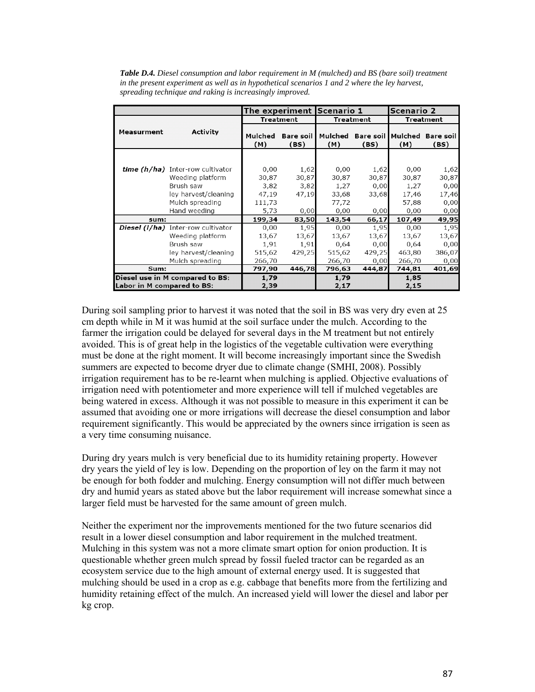|                                 | The experiment Scenario 1                            |                |                          |                | Scenario 2    |               |                                     |
|---------------------------------|------------------------------------------------------|----------------|--------------------------|----------------|---------------|---------------|-------------------------------------|
|                                 |                                                      | Treatment      |                          | Treatment      |               | Treatment     |                                     |
| Measurment                      | <b>Activity</b>                                      | Mulched<br>(M) | <b>Bare soil</b><br>(BS) | Mulched<br>(M) | (BS)          | (M)           | Bare soil Mulched Bare soil<br>(BS) |
|                                 |                                                      |                |                          |                |               |               |                                     |
|                                 | time (h/ha) Inter-row cultivator<br>Weeding platform | 0,00<br>30,87  | 1,62<br>30,87            | 0,00<br>30,87  | 1,62<br>30,87 | 0,00<br>30,87 | 1,62<br>30,87                       |
|                                 | Brush saw                                            | 3,82           | 3,82                     | 1,27           | 0,00          | 1,27          | 0,00                                |
|                                 | ley harvest/cleaning                                 | 47,19          | 47,19                    | 33,68          | 33,68         | 17,46         | 17,46                               |
|                                 | Mulch spreading                                      | 111,73         |                          | 77,72          |               | 57,88         | 0,00                                |
|                                 | Hand weeding                                         | 5,73           | 0,00                     | 0,00           | 0,00          | 0,00          | 0,00                                |
| sum:                            | 199,34                                               | 83,50          | 143,54                   | 66,17          | 107,49        | 49,95         |                                     |
|                                 | <b>Diesel (I/ha)</b> Inter-row cultivator            | 0,00           | 1,95                     | 0,00           | 1,95          | 0,00          | 1,95                                |
|                                 | Weeding platform                                     | 13,67          | 13,67                    | 13,67          | 13,67         | 13,67         | 13,67                               |
|                                 | Brush saw                                            | 1,91           | 1,91                     | 0,64           | 0,00          | 0,64          | 0,00                                |
|                                 | ley harvest/cleaning                                 | 515,62         | 429,25                   | 515,62         | 429,25        | 463,80        | 386,07                              |
|                                 | Mulch spreading                                      | 266,70         |                          | 266,70         | 0,00          | 266,70        | 0,00                                |
| Sum:                            | 797,90                                               | 446,78         | 796,63                   | 444,87         | 744,81        | 401,69        |                                     |
| Diesel use in M compared to BS: | 1,79                                                 |                | 1,79                     |                | 1,85          |               |                                     |
| Labor in M compared to BS:      | 2,39                                                 |                | 2,17                     |                | 2,15          |               |                                     |

*Table D.4. Diesel consumption and labor requirement in M (mulched) and BS (bare soil) treatment in the present experiment as well as in hypothetical scenarios 1 and 2 where the ley harvest, spreading technique and raking is increasingly improved.* 

During soil sampling prior to harvest it was noted that the soil in BS was very dry even at 25 cm depth while in M it was humid at the soil surface under the mulch. According to the farmer the irrigation could be delayed for several days in the M treatment but not entirely avoided. This is of great help in the logistics of the vegetable cultivation were everything must be done at the right moment. It will become increasingly important since the Swedish summers are expected to become dryer due to climate change (SMHI, 2008). Possibly irrigation requirement has to be re-learnt when mulching is applied. Objective evaluations of irrigation need with potentiometer and more experience will tell if mulched vegetables are being watered in excess. Although it was not possible to measure in this experiment it can be assumed that avoiding one or more irrigations will decrease the diesel consumption and labor requirement significantly. This would be appreciated by the owners since irrigation is seen as a very time consuming nuisance.

During dry years mulch is very beneficial due to its humidity retaining property. However dry years the yield of ley is low. Depending on the proportion of ley on the farm it may not be enough for both fodder and mulching. Energy consumption will not differ much between dry and humid years as stated above but the labor requirement will increase somewhat since a larger field must be harvested for the same amount of green mulch.

Neither the experiment nor the improvements mentioned for the two future scenarios did result in a lower diesel consumption and labor requirement in the mulched treatment. Mulching in this system was not a more climate smart option for onion production. It is questionable whether green mulch spread by fossil fueled tractor can be regarded as an ecosystem service due to the high amount of external energy used. It is suggested that mulching should be used in a crop as e.g. cabbage that benefits more from the fertilizing and humidity retaining effect of the mulch. An increased yield will lower the diesel and labor per kg crop.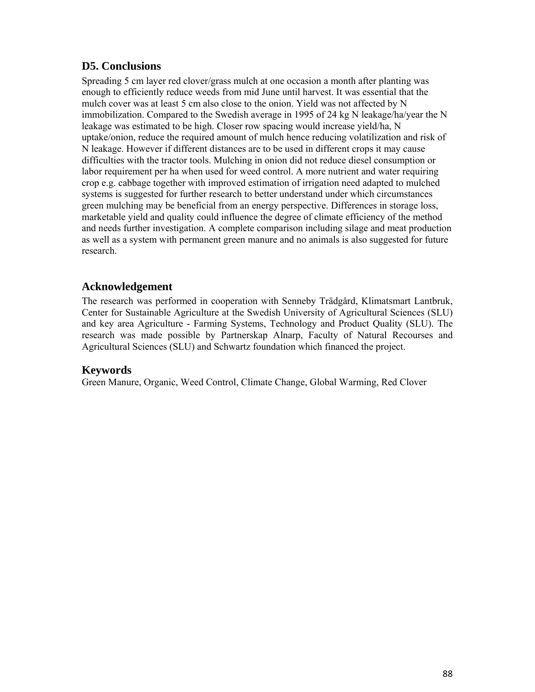## **D5. Conclusions**

Spreading 5 cm layer red clover/grass mulch at one occasion a month after planting was enough to efficiently reduce weeds from mid June until harvest. It was essential that the mulch cover was at least 5 cm also close to the onion. Yield was not affected by N immobilization. Compared to the Swedish average in 1995 of 24 kg N leakage/ha/year the N leakage was estimated to be high. Closer row spacing would increase yield/ha, N uptake/onion, reduce the required amount of mulch hence reducing volatilization and risk of N leakage. However if different distances are to be used in different crops it may cause difficulties with the tractor tools. Mulching in onion did not reduce diesel consumption or labor requirement per ha when used for weed control. A more nutrient and water requiring crop e.g. cabbage together with improved estimation of irrigation need adapted to mulched systems is suggested for further research to better understand under which circumstances green mulching may be beneficial from an energy perspective. Differences in storage loss, marketable yield and quality could influence the degree of climate efficiency of the method and needs further investigation. A complete comparison including silage and meat production as well as a system with permanent green manure and no animals is also suggested for future research.

### **Acknowledgement**

The research was performed in cooperation with Senneby Trädgård, Klimatsmart Lantbruk, Center for Sustainable Agriculture at the Swedish University of Agricultural Sciences (SLU) and key area Agriculture - Farming Systems, Technology and Product Quality (SLU). The research was made possible by Partnerskap Alnarp, Faculty of Natural Recourses and Agricultural Sciences (SLU) and Schwartz foundation which financed the project.

#### **Keywords**

Green Manure, Organic, Weed Control, Climate Change, Global Warming, Red Clover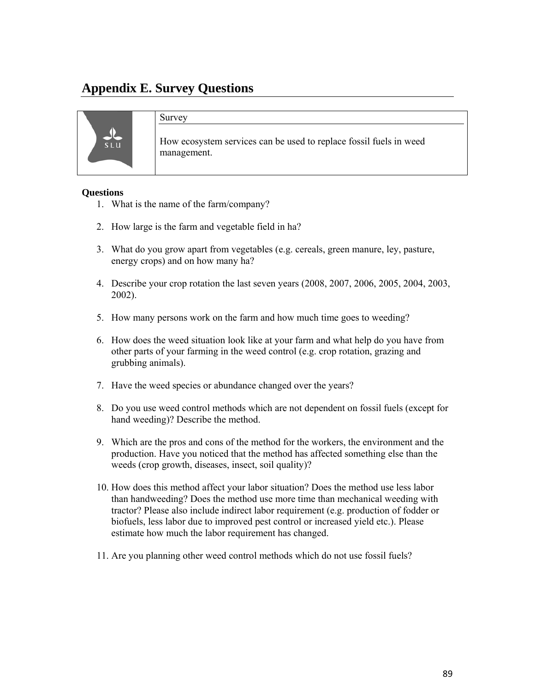# **Appendix E. Survey Questions**



#### Survey

How ecosystem services can be used to replace fossil fuels in weed management.

#### **Questions**

- 1. What is the name of the farm/company?
- 2. How large is the farm and vegetable field in ha?
- 3. What do you grow apart from vegetables (e.g. cereals, green manure, ley, pasture, energy crops) and on how many ha?
- 4. Describe your crop rotation the last seven years (2008, 2007, 2006, 2005, 2004, 2003, 2002).
- 5. How many persons work on the farm and how much time goes to weeding?
- 6. How does the weed situation look like at your farm and what help do you have from other parts of your farming in the weed control (e.g. crop rotation, grazing and grubbing animals).
- 7. Have the weed species or abundance changed over the years?
- 8. Do you use weed control methods which are not dependent on fossil fuels (except for hand weeding)? Describe the method.
- 9. Which are the pros and cons of the method for the workers, the environment and the production. Have you noticed that the method has affected something else than the weeds (crop growth, diseases, insect, soil quality)?
- 10. How does this method affect your labor situation? Does the method use less labor than handweeding? Does the method use more time than mechanical weeding with tractor? Please also include indirect labor requirement (e.g. production of fodder or biofuels, less labor due to improved pest control or increased yield etc.). Please estimate how much the labor requirement has changed.
- 11. Are you planning other weed control methods which do not use fossil fuels?